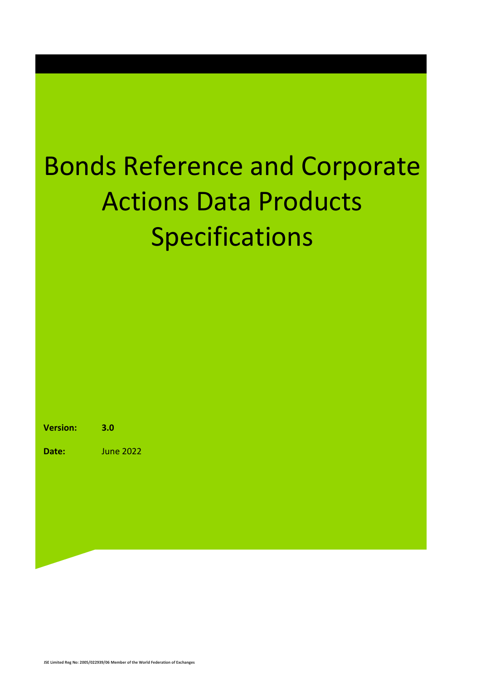### Bonds Reference and Corporate Actions Data Products Specifications

**Version: 3.0**

**Date:** June 2022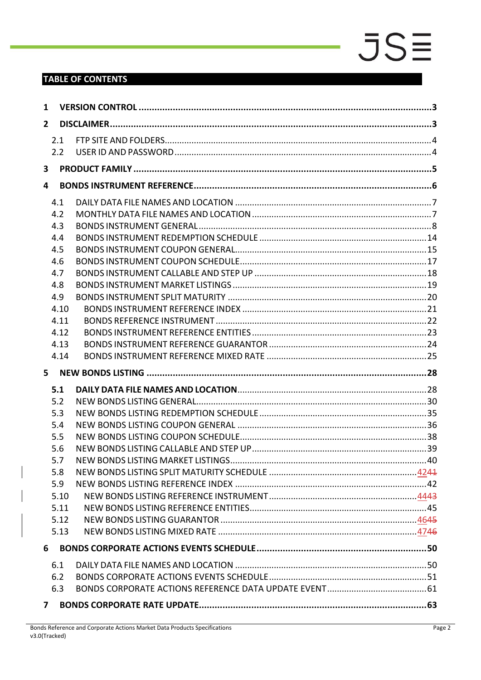### **TABLE OF CONTENTS**

| 1              |      |  |  |  |  |  |
|----------------|------|--|--|--|--|--|
| $\overline{2}$ |      |  |  |  |  |  |
|                | 2.1  |  |  |  |  |  |
|                | 2.2  |  |  |  |  |  |
| 3              |      |  |  |  |  |  |
| 4              |      |  |  |  |  |  |
|                | 4.1  |  |  |  |  |  |
|                | 4.2  |  |  |  |  |  |
|                | 4.3  |  |  |  |  |  |
|                | 4.4  |  |  |  |  |  |
|                | 4.5  |  |  |  |  |  |
|                | 4.6  |  |  |  |  |  |
|                | 4.7  |  |  |  |  |  |
|                | 4.8  |  |  |  |  |  |
|                | 4.9  |  |  |  |  |  |
|                | 4.10 |  |  |  |  |  |
|                | 4.11 |  |  |  |  |  |
|                | 4.12 |  |  |  |  |  |
|                | 4.13 |  |  |  |  |  |
|                | 4.14 |  |  |  |  |  |
|                |      |  |  |  |  |  |
| $5 -$          |      |  |  |  |  |  |
|                | 5.1  |  |  |  |  |  |
|                | 5.2  |  |  |  |  |  |
|                | 5.3  |  |  |  |  |  |
|                | 5.4  |  |  |  |  |  |
|                | 5.5  |  |  |  |  |  |
|                | 5.6  |  |  |  |  |  |
|                | 5.7  |  |  |  |  |  |
|                | 5.8  |  |  |  |  |  |
|                | 5.9  |  |  |  |  |  |
|                | 5.10 |  |  |  |  |  |
|                | 5.11 |  |  |  |  |  |
|                | 5.12 |  |  |  |  |  |
|                | 5.13 |  |  |  |  |  |
| 6              |      |  |  |  |  |  |
|                | 6.1  |  |  |  |  |  |
|                | 6.2  |  |  |  |  |  |
|                | 6.3  |  |  |  |  |  |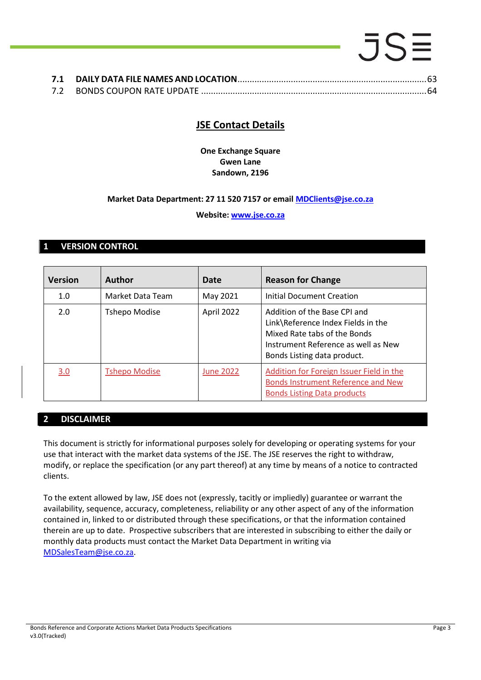### .5S **7.1 DAILY DATA FILE NAMES AND LOCATION**[..............................................................................63](#page-62-1)

| --- |  |
|-----|--|
| 7.2 |  |

### **JSE Contact Details**

**One Exchange Square Gwen Lane Sandown, 2196**

### **Market Data Department: 27 11 520 7157 or email [MDClients@jse.co.za](mailto:MDClients@jse.co.za)**

### **Website: [www.jse.co.za](http://www.jse.co.za/)**

### <span id="page-2-0"></span>**1 VERSION CONTROL**

| <b>Version</b> | <b>Author</b>        | Date             | <b>Reason for Change</b>                                                                                                                                                 |
|----------------|----------------------|------------------|--------------------------------------------------------------------------------------------------------------------------------------------------------------------------|
| 1.0            | Market Data Team     | May 2021         | Initial Document Creation                                                                                                                                                |
| 2.0            | <b>Tshepo Modise</b> | April 2022       | Addition of the Base CPI and<br>Link\Reference Index Fields in the<br>Mixed Rate tabs of the Bonds<br>Instrument Reference as well as New<br>Bonds Listing data product. |
| 3.0            | <b>Tshepo Modise</b> | <b>June 2022</b> | Addition for Foreign Issuer Field in the<br>Bonds Instrument Reference and New<br><b>Bonds Listing Data products</b>                                                     |

### <span id="page-2-1"></span>**2 DISCLAIMER**

This document is strictly for informational purposes solely for developing or operating systems for your use that interact with the market data systems of the JSE. The JSE reserves the right to withdraw, modify, or replace the specification (or any part thereof) at any time by means of a notice to contracted clients.

To the extent allowed by law, JSE does not (expressly, tacitly or impliedly) guarantee or warrant the availability, sequence, accuracy, completeness, reliability or any other aspect of any of the information contained in, linked to or distributed through these specifications, or that the information contained therein are up to date. Prospective subscribers that are interested in subscribing to either the daily or monthly data products must contact the Market Data Department in writing via [MDSalesTeam@jse.co.za.](mailto:MDSalesTeam@jse.co.za)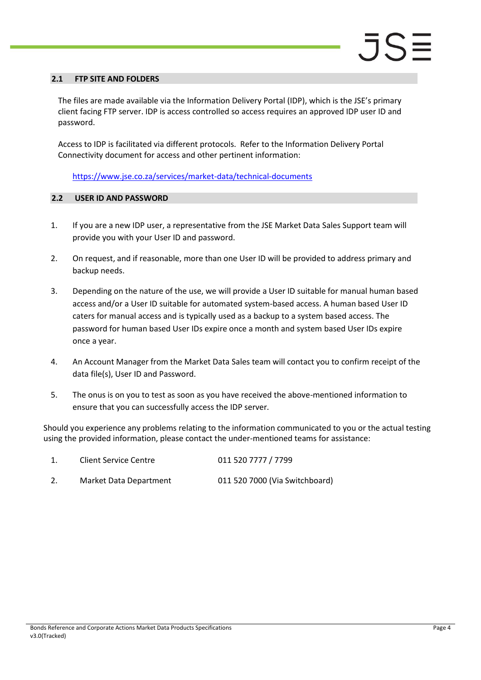#### <span id="page-3-0"></span>**2.1 FTP SITE AND FOLDERS**

The files are made available via the Information Delivery Portal (IDP), which is the JSE's primary client facing FTP server. IDP is access controlled so access requires an approved IDP user ID and password.

Access to IDP is facilitated via different protocols. Refer to the Information Delivery Portal Connectivity document for access and other pertinent information:

<https://www.jse.co.za/services/market-data/technical-documents>

#### <span id="page-3-1"></span>**2.2 USER ID AND PASSWORD**

- 1. If you are a new IDP user, a representative from the JSE Market Data Sales Support team will provide you with your User ID and password.
- 2. On request, and if reasonable, more than one User ID will be provided to address primary and backup needs.
- 3. Depending on the nature of the use, we will provide a User ID suitable for manual human based access and/or a User ID suitable for automated system-based access. A human based User ID caters for manual access and is typically used as a backup to a system based access. The password for human based User IDs expire once a month and system based User IDs expire once a year.
- 4. An Account Manager from the Market Data Sales team will contact you to confirm receipt of the data file(s), User ID and Password.
- 5. The onus is on you to test as soon as you have received the above-mentioned information to ensure that you can successfully access the IDP server.

Should you experience any problems relating to the information communicated to you or the actual testing using the provided information, please contact the under-mentioned teams for assistance:

| <b>Client Service Centre</b> | 011 520 7777 / 7799            |
|------------------------------|--------------------------------|
| Market Data Department       | 011 520 7000 (Via Switchboard) |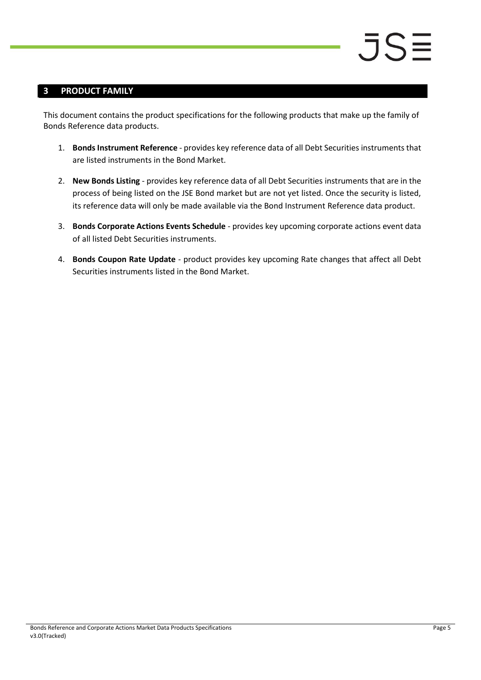### <span id="page-4-0"></span>**3 PRODUCT FAMILY**

This document contains the product specifications for the following products that make up the family of Bonds Reference data products.

- 1. **Bonds Instrument Reference** provides key reference data of all Debt Securities instruments that are listed instruments in the Bond Market.
- 2. **New Bonds Listing** provides key reference data of all Debt Securities instruments that are in the process of being listed on the JSE Bond market but are not yet listed. Once the security is listed, its reference data will only be made available via the Bond Instrument Reference data product.
- 3. **Bonds Corporate Actions Events Schedule** provides key upcoming corporate actions event data of all listed Debt Securities instruments.
- 4. **Bonds Coupon Rate Update** product provides key upcoming Rate changes that affect all Debt Securities instruments listed in the Bond Market.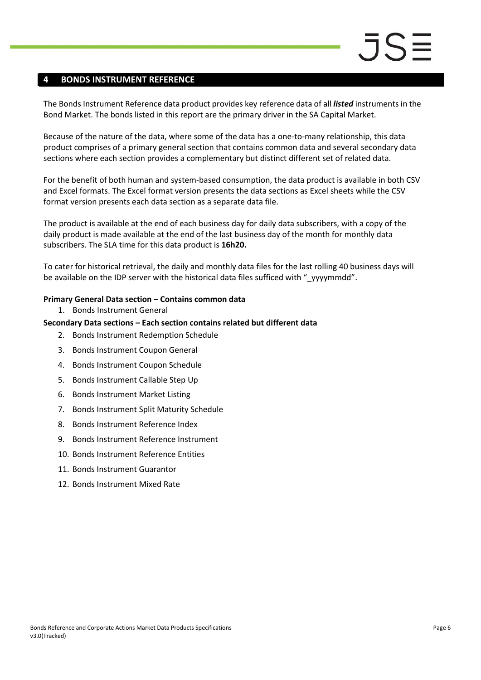### <span id="page-5-0"></span>**4 BONDS INSTRUMENT REFERENCE**

The Bonds Instrument Reference data product provides key reference data of all *listed* instruments in the Bond Market. The bonds listed in this report are the primary driver in the SA Capital Market.

Because of the nature of the data, where some of the data has a one-to-many relationship, this data product comprises of a primary general section that contains common data and several secondary data sections where each section provides a complementary but distinct different set of related data.

For the benefit of both human and system-based consumption, the data product is available in both CSV and Excel formats. The Excel format version presents the data sections as Excel sheets while the CSV format version presents each data section as a separate data file.

The product is available at the end of each business day for daily data subscribers, with a copy of the daily product is made available at the end of the last business day of the month for monthly data subscribers. The SLA time for this data product is **16h20.**

To cater for historical retrieval, the daily and monthly data files for the last rolling 40 business days will be available on the IDP server with the historical data files sufficed with "\_yyyymmdd".

#### **Primary General Data section – Contains common data**

1. Bonds Instrument General

#### **Secondary Data sections – Each section contains related but different data**

- 2. Bonds Instrument Redemption Schedule
- 3. Bonds Instrument Coupon General
- 4. Bonds Instrument Coupon Schedule
- 5. Bonds Instrument Callable Step Up
- 6. Bonds Instrument Market Listing
- 7. Bonds Instrument Split Maturity Schedule
- 8. Bonds Instrument Reference Index
- 9. Bonds Instrument Reference Instrument
- 10. Bonds Instrument Reference Entities
- 11. Bonds Instrument Guarantor
- 12. Bonds Instrument Mixed Rate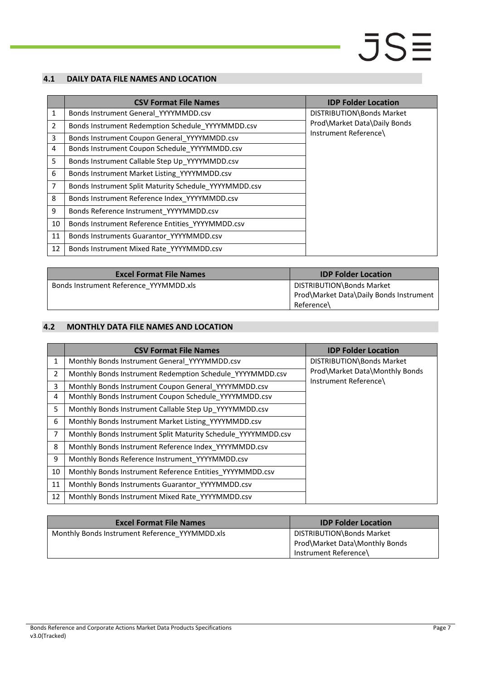### <span id="page-6-0"></span>**4.1 DAILY DATA FILE NAMES AND LOCATION**

|                | <b>CSV Format File Names</b>                          | <b>IDP Folder Location</b>   |
|----------------|-------------------------------------------------------|------------------------------|
| $\mathbf{1}$   | Bonds Instrument General_YYYYMMDD.csv                 | DISTRIBUTION\Bonds Market    |
| $\overline{2}$ | Bonds Instrument Redemption Schedule YYYYMMDD.csv     | Prod\Market Data\Daily Bonds |
| 3              | Bonds Instrument Coupon General YYYYMMDD.csv          | Instrument Reference\        |
| 4              | Bonds Instrument Coupon Schedule YYYYMMDD.csv         |                              |
| 5              | Bonds Instrument Callable Step Up YYYYMMDD.csv        |                              |
| 6              | Bonds Instrument Market Listing_YYYYMMDD.csv          |                              |
| 7              | Bonds Instrument Split Maturity Schedule YYYYMMDD.csv |                              |
| 8              | Bonds Instrument Reference Index YYYYMMDD.csv         |                              |
| 9              | Bonds Reference Instrument_YYYYMMDD.csv               |                              |
| 10             | Bonds Instrument Reference Entities YYYYMMDD.csv      |                              |
| 11             | Bonds Instruments Guarantor YYYYMMDD.csv              |                              |
| 12             | Bonds Instrument Mixed Rate YYYYMMDD.csv              |                              |

| <b>Excel Format File Names</b>         | <b>IDP Folder Location</b>                                           |
|----------------------------------------|----------------------------------------------------------------------|
| Bonds Instrument Reference YYYMMDD.xls | DISTRIBUTION\Bonds Market<br>Prod\Market Data\Daily Bonds Instrument |
|                                        | Reference\                                                           |

### <span id="page-6-1"></span>**4.2 MONTHLY DATA FILE NAMES AND LOCATION**

|                | <b>CSV Format File Names</b>                                  | <b>IDP Folder Location</b>     |
|----------------|---------------------------------------------------------------|--------------------------------|
| 1              | Monthly Bonds Instrument General_YYYYMMDD.csv                 | DISTRIBUTION\Bonds Market      |
| $\overline{2}$ | Monthly Bonds Instrument Redemption Schedule YYYYMMDD.csv     | Prod\Market Data\Monthly Bonds |
| 3              | Monthly Bonds Instrument Coupon General YYYYMMDD.csv          | Instrument Reference\          |
| 4              | Monthly Bonds Instrument Coupon Schedule YYYYMMDD.csv         |                                |
| 5              | Monthly Bonds Instrument Callable Step Up YYYYMMDD.csv        |                                |
| 6              | Monthly Bonds Instrument Market Listing YYYYMMDD.csv          |                                |
| $\overline{7}$ | Monthly Bonds Instrument Split Maturity Schedule YYYYMMDD.csv |                                |
| 8              | Monthly Bonds Instrument Reference Index YYYYMMDD.csv         |                                |
| 9              | Monthly Bonds Reference Instrument YYYYMMDD.csv               |                                |
| 10             | Monthly Bonds Instrument Reference Entities YYYYMMDD.csv      |                                |
| 11             | Monthly Bonds Instruments Guarantor YYYYMMDD.csv              |                                |
| 12             | Monthly Bonds Instrument Mixed Rate_YYYYMMDD.csv              |                                |

| <b>Excel Format File Names</b>                 | <b>IDP Folder Location</b>                                  |
|------------------------------------------------|-------------------------------------------------------------|
| Monthly Bonds Instrument Reference YYYMMDD.xls | DISTRIBUTION\Bonds Market<br>Prod\Market Data\Monthly Bonds |
|                                                | Instrument Reference\                                       |

#### Bonds Reference and Corporate Actions Market Data Products Specifications v3.0(Tracked)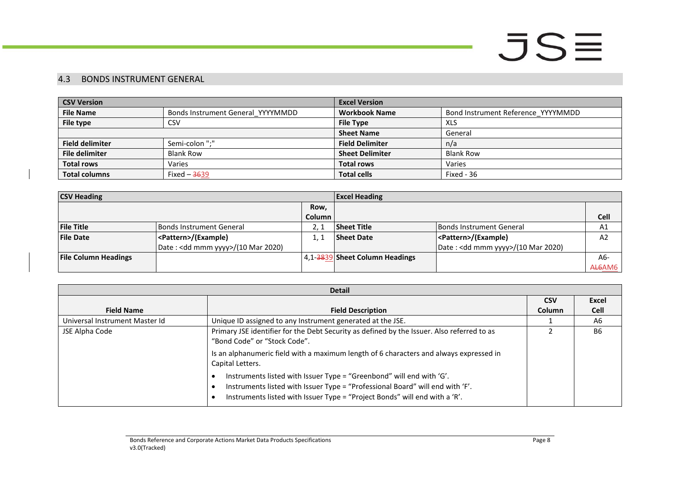### 4.3 BONDS INSTRUMENT GENERAL

| <b>CSV Version</b>                                    |                  | <b>Excel Version</b>    |                                    |  |
|-------------------------------------------------------|------------------|-------------------------|------------------------------------|--|
| <b>File Name</b><br>Bonds Instrument General YYYYMMDD |                  | <b>Workbook Name</b>    | Bond Instrument Reference YYYYMMDD |  |
| File type                                             | <b>CSV</b>       | <b>File Type</b><br>XLS |                                    |  |
|                                                       |                  | <b>Sheet Name</b>       | General                            |  |
| <b>Field delimiter</b>                                | Semi-colon ";"   | <b>Field Delimiter</b>  | n/a                                |  |
| <b>File delimiter</b>                                 | <b>Blank Row</b> | <b>Sheet Delimiter</b>  | <b>Blank Row</b>                   |  |
| <b>Total rows</b><br>Varies                           |                  | <b>Total rows</b>       | Varies                             |  |
| <b>Total columns</b><br>Fixed $-3639$                 |                  | <b>Total cells</b>      | Fixed - 36                         |  |

| <b>CSV Heading</b>          |                                    |        | <b>Excel Heading</b>           |                                              |                |
|-----------------------------|------------------------------------|--------|--------------------------------|----------------------------------------------|----------------|
|                             |                                    | Row.   |                                |                                              |                |
|                             |                                    | Column |                                |                                              | <b>Cell</b>    |
| <b>File Title</b>           | Bonds Instrument General           |        | <b>Sheet Title</b>             | Bonds Instrument General                     | A1             |
| <b>File Date</b>            | <pattern>/(Example)</pattern>      |        | <b>Sheet Date</b>              | <pattern>/(Example)</pattern>                | A <sub>2</sub> |
|                             | Date: < dd mmm yyyy>/(10 Mar 2020) |        |                                | Date: <dd mmm="" yyyy="">/(10 Mar 2020)</dd> |                |
| <b>File Column Headings</b> |                                    |        | 4,1-3839 Sheet Column Headings |                                              | A6-            |
|                             |                                    |        |                                |                                              | AL6AM6         |

<span id="page-7-0"></span>

| <b>Detail</b>                  |                                                                                                                                                                                                                                     |               |             |  |
|--------------------------------|-------------------------------------------------------------------------------------------------------------------------------------------------------------------------------------------------------------------------------------|---------------|-------------|--|
|                                |                                                                                                                                                                                                                                     |               | Excel       |  |
| <b>Field Name</b>              | <b>Field Description</b>                                                                                                                                                                                                            | <b>Column</b> | <b>Cell</b> |  |
| Universal Instrument Master Id | Unique ID assigned to any Instrument generated at the JSE.                                                                                                                                                                          |               | A6          |  |
| JSE Alpha Code                 | Primary JSE identifier for the Debt Security as defined by the Issuer. Also referred to as<br>"Bond Code" or "Stock Code".                                                                                                          |               | <b>B6</b>   |  |
|                                | Is an alphanumeric field with a maximum length of 6 characters and always expressed in<br>Capital Letters.                                                                                                                          |               |             |  |
|                                | Instruments listed with Issuer Type = "Greenbond" will end with 'G'.<br>Instruments listed with Issuer Type = "Professional Board" will end with 'F'.<br>Instruments listed with Issuer Type = "Project Bonds" will end with a 'R'. |               |             |  |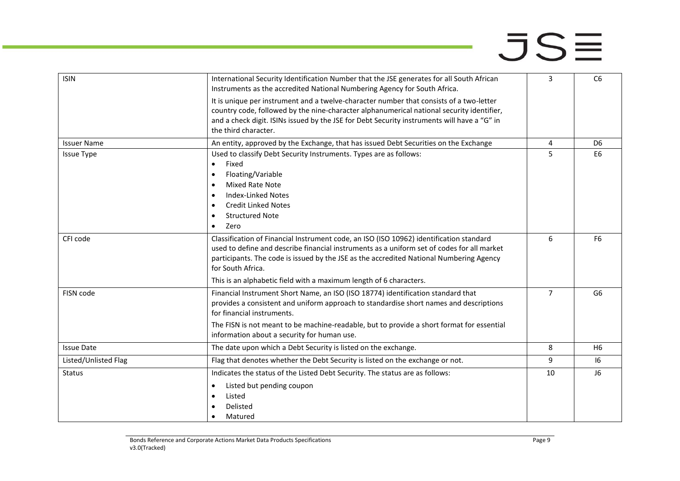maria.

| <b>ISIN</b>          | International Security Identification Number that the JSE generates for all South African<br>Instruments as the accredited National Numbering Agency for South Africa.                                                                                                                                                                                                      | 3              | C <sub>6</sub> |
|----------------------|-----------------------------------------------------------------------------------------------------------------------------------------------------------------------------------------------------------------------------------------------------------------------------------------------------------------------------------------------------------------------------|----------------|----------------|
|                      | It is unique per instrument and a twelve-character number that consists of a two-letter<br>country code, followed by the nine-character alphanumerical national security identifier,<br>and a check digit. ISINs issued by the JSE for Debt Security instruments will have a "G" in<br>the third character.                                                                 |                |                |
| <b>Issuer Name</b>   | An entity, approved by the Exchange, that has issued Debt Securities on the Exchange                                                                                                                                                                                                                                                                                        | 4              | D <sub>6</sub> |
| <b>Issue Type</b>    | Used to classify Debt Security Instruments. Types are as follows:<br>Fixed<br>$\bullet$<br>Floating/Variable<br>$\bullet$<br><b>Mixed Rate Note</b><br>$\bullet$<br><b>Index-Linked Notes</b><br>$\bullet$<br><b>Credit Linked Notes</b><br>$\bullet$<br><b>Structured Note</b><br>$\bullet$<br>Zero<br>$\bullet$                                                           | 5              | E <sub>6</sub> |
| CFI code             | Classification of Financial Instrument code, an ISO (ISO 10962) identification standard<br>used to define and describe financial instruments as a uniform set of codes for all market<br>participants. The code is issued by the JSE as the accredited National Numbering Agency<br>for South Africa.<br>This is an alphabetic field with a maximum length of 6 characters. | 6              | F <sub>6</sub> |
| FISN code            | Financial Instrument Short Name, an ISO (ISO 18774) identification standard that<br>provides a consistent and uniform approach to standardise short names and descriptions<br>for financial instruments.<br>The FISN is not meant to be machine-readable, but to provide a short format for essential<br>information about a security for human use.                        | $\overline{7}$ | G6             |
| <b>Issue Date</b>    | The date upon which a Debt Security is listed on the exchange.                                                                                                                                                                                                                                                                                                              | 8              | H <sub>6</sub> |
| Listed/Unlisted Flag | Flag that denotes whether the Debt Security is listed on the exchange or not.                                                                                                                                                                                                                                                                                               | 9              | 16             |
| <b>Status</b>        | Indicates the status of the Listed Debt Security. The status are as follows:<br>Listed but pending coupon<br>$\bullet$<br>Listed<br>$\bullet$<br>Delisted<br>$\bullet$<br>Matured<br>$\bullet$                                                                                                                                                                              | 10             | J <sub>6</sub> |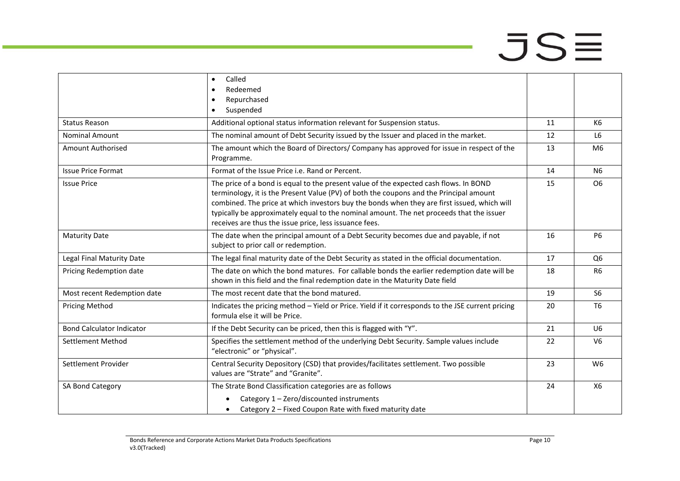|                                  | Called<br>$\bullet$                                                                                                                                                                                                                                                                                                                                                                                                                  |    |                |
|----------------------------------|--------------------------------------------------------------------------------------------------------------------------------------------------------------------------------------------------------------------------------------------------------------------------------------------------------------------------------------------------------------------------------------------------------------------------------------|----|----------------|
|                                  | Redeemed<br>$\bullet$                                                                                                                                                                                                                                                                                                                                                                                                                |    |                |
|                                  | Repurchased<br>$\bullet$                                                                                                                                                                                                                                                                                                                                                                                                             |    |                |
|                                  | Suspended<br>$\bullet$                                                                                                                                                                                                                                                                                                                                                                                                               |    |                |
| <b>Status Reason</b>             | Additional optional status information relevant for Suspension status.                                                                                                                                                                                                                                                                                                                                                               | 11 | K6             |
| <b>Nominal Amount</b>            | The nominal amount of Debt Security issued by the Issuer and placed in the market.                                                                                                                                                                                                                                                                                                                                                   | 12 | L <sub>6</sub> |
| <b>Amount Authorised</b>         | The amount which the Board of Directors/ Company has approved for issue in respect of the<br>Programme.                                                                                                                                                                                                                                                                                                                              | 13 | M <sub>6</sub> |
| <b>Issue Price Format</b>        | Format of the Issue Price i.e. Rand or Percent.                                                                                                                                                                                                                                                                                                                                                                                      | 14 | N <sub>6</sub> |
| <b>Issue Price</b>               | The price of a bond is equal to the present value of the expected cash flows. In BOND<br>terminology, it is the Present Value (PV) of both the coupons and the Principal amount<br>combined. The price at which investors buy the bonds when they are first issued, which will<br>typically be approximately equal to the nominal amount. The net proceeds that the issuer<br>receives are thus the issue price, less issuance fees. | 15 | O <sub>6</sub> |
| <b>Maturity Date</b>             | The date when the principal amount of a Debt Security becomes due and payable, if not<br>subject to prior call or redemption.                                                                                                                                                                                                                                                                                                        | 16 | <b>P6</b>      |
| Legal Final Maturity Date        | The legal final maturity date of the Debt Security as stated in the official documentation.                                                                                                                                                                                                                                                                                                                                          | 17 | Q <sub>6</sub> |
| Pricing Redemption date          | The date on which the bond matures. For callable bonds the earlier redemption date will be<br>shown in this field and the final redemption date in the Maturity Date field                                                                                                                                                                                                                                                           | 18 | R <sub>6</sub> |
| Most recent Redemption date      | The most recent date that the bond matured.                                                                                                                                                                                                                                                                                                                                                                                          | 19 | S <sub>6</sub> |
| <b>Pricing Method</b>            | Indicates the pricing method - Yield or Price. Yield if it corresponds to the JSE current pricing<br>formula else it will be Price.                                                                                                                                                                                                                                                                                                  | 20 | <b>T6</b>      |
| <b>Bond Calculator Indicator</b> | If the Debt Security can be priced, then this is flagged with "Y".                                                                                                                                                                                                                                                                                                                                                                   | 21 | U <sub>6</sub> |
| <b>Settlement Method</b>         | Specifies the settlement method of the underlying Debt Security. Sample values include<br>"electronic" or "physical".                                                                                                                                                                                                                                                                                                                | 22 | V <sub>6</sub> |
| Settlement Provider              | Central Security Depository (CSD) that provides/facilitates settlement. Two possible<br>values are "Strate" and "Granite".                                                                                                                                                                                                                                                                                                           | 23 | W <sub>6</sub> |
| SA Bond Category                 | The Strate Bond Classification categories are as follows                                                                                                                                                                                                                                                                                                                                                                             | 24 | X6             |
|                                  | Category 1 - Zero/discounted instruments<br>Category 2 - Fixed Coupon Rate with fixed maturity date<br>$\bullet$                                                                                                                                                                                                                                                                                                                     |    |                |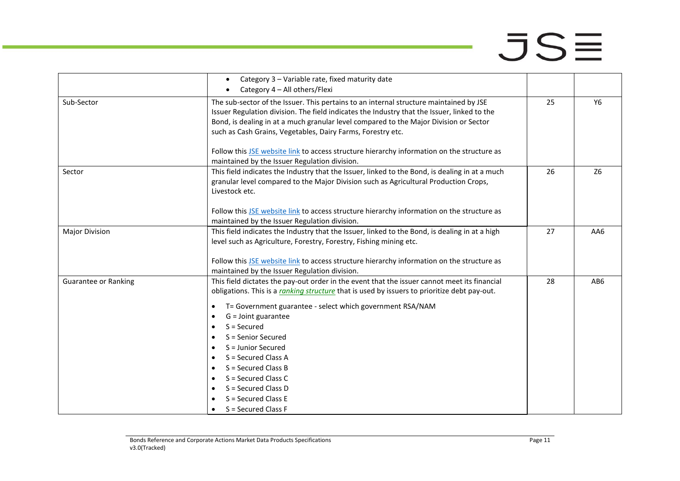- 1

|                             | Category 3 - Variable rate, fixed maturity date<br>$\bullet$                                                                                                                                                                                                                                                                                                                                                                                                                                                                                                                                                                                                                              |    |                |
|-----------------------------|-------------------------------------------------------------------------------------------------------------------------------------------------------------------------------------------------------------------------------------------------------------------------------------------------------------------------------------------------------------------------------------------------------------------------------------------------------------------------------------------------------------------------------------------------------------------------------------------------------------------------------------------------------------------------------------------|----|----------------|
|                             | Category 4 - All others/Flexi<br>$\bullet$                                                                                                                                                                                                                                                                                                                                                                                                                                                                                                                                                                                                                                                |    |                |
| Sub-Sector                  | The sub-sector of the Issuer. This pertains to an internal structure maintained by JSE<br>Issuer Regulation division. The field indicates the Industry that the Issuer, linked to the<br>Bond, is dealing in at a much granular level compared to the Major Division or Sector<br>such as Cash Grains, Vegetables, Dairy Farms, Forestry etc.                                                                                                                                                                                                                                                                                                                                             | 25 | Y6             |
|                             | Follow this JSE website link to access structure hierarchy information on the structure as<br>maintained by the Issuer Regulation division.                                                                                                                                                                                                                                                                                                                                                                                                                                                                                                                                               |    |                |
| Sector                      | This field indicates the Industry that the Issuer, linked to the Bond, is dealing in at a much<br>granular level compared to the Major Division such as Agricultural Production Crops,<br>Livestock etc.                                                                                                                                                                                                                                                                                                                                                                                                                                                                                  | 26 | Z <sub>6</sub> |
|                             | Follow this JSE website link to access structure hierarchy information on the structure as<br>maintained by the Issuer Regulation division.                                                                                                                                                                                                                                                                                                                                                                                                                                                                                                                                               |    |                |
| <b>Major Division</b>       | This field indicates the Industry that the Issuer, linked to the Bond, is dealing in at a high<br>level such as Agriculture, Forestry, Forestry, Fishing mining etc.<br>Follow this JSE website link to access structure hierarchy information on the structure as                                                                                                                                                                                                                                                                                                                                                                                                                        | 27 | AA6            |
| <b>Guarantee or Ranking</b> | maintained by the Issuer Regulation division.<br>This field dictates the pay-out order in the event that the issuer cannot meet its financial<br>obligations. This is a ranking structure that is used by issuers to prioritize debt pay-out.<br>T= Government guarantee - select which government RSA/NAM<br>$\bullet$<br>G = Joint guarantee<br>$\bullet$<br>$S =$ Secured<br>$\bullet$<br>S = Senior Secured<br>$\bullet$<br>S = Junior Secured<br>$\bullet$<br>S = Secured Class A<br>$\bullet$<br>S = Secured Class B<br>$\bullet$<br>S = Secured Class C<br>$\bullet$<br>S = Secured Class D<br>$\bullet$<br>$S =$ Secured Class E<br>$\bullet$<br>S = Secured Class F<br>$\bullet$ | 28 | AB6            |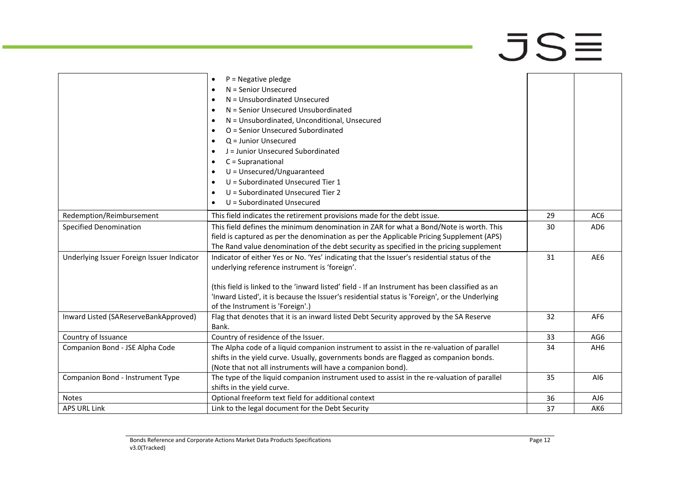|                                            | $P = Negative$ pledge<br>$\bullet$<br>N = Senior Unsecured<br>$\bullet$<br>N = Unsubordinated Unsecured<br>$\bullet$<br>N = Senior Unsecured Unsubordinated<br>$\bullet$<br>N = Unsubordinated, Unconditional, Unsecured<br>$\bullet$<br>O = Senior Unsecured Subordinated<br>$\bullet$<br>$Q =$ Junior Unsecured<br>$\bullet$<br>J = Junior Unsecured Subordinated<br>$\bullet$<br>C = Supranational<br>$\bullet$<br>$U = Unsecured/Unguaranteed$<br>$\bullet$<br>$U =$ Subordinated Unsecured Tier 1<br>$\bullet$<br>U = Subordinated Unsecured Tier 2<br>$\bullet$<br>U = Subordinated Unsecured<br>$\bullet$ |    |                 |
|--------------------------------------------|------------------------------------------------------------------------------------------------------------------------------------------------------------------------------------------------------------------------------------------------------------------------------------------------------------------------------------------------------------------------------------------------------------------------------------------------------------------------------------------------------------------------------------------------------------------------------------------------------------------|----|-----------------|
| Redemption/Reimbursement                   | This field indicates the retirement provisions made for the debt issue.                                                                                                                                                                                                                                                                                                                                                                                                                                                                                                                                          | 29 | AC <sub>6</sub> |
| <b>Specified Denomination</b>              | This field defines the minimum denomination in ZAR for what a Bond/Note is worth. This                                                                                                                                                                                                                                                                                                                                                                                                                                                                                                                           | 30 | AD <sub>6</sub> |
|                                            | field is captured as per the denomination as per the Applicable Pricing Supplement (APS)<br>The Rand value denomination of the debt security as specified in the pricing supplement                                                                                                                                                                                                                                                                                                                                                                                                                              |    |                 |
| Underlying Issuer Foreign Issuer Indicator | Indicator of either Yes or No. 'Yes' indicating that the Issuer's residential status of the<br>underlying reference instrument is 'foreign'.<br>(this field is linked to the 'inward listed' field - If an Instrument has been classified as an<br>'Inward Listed', it is because the Issuer's residential status is 'Foreign', or the Underlying<br>of the Instrument is 'Foreign'.)                                                                                                                                                                                                                            | 31 | AE6             |
| Inward Listed (SAReserveBankApproved)      | Flag that denotes that it is an inward listed Debt Security approved by the SA Reserve<br>Bank.                                                                                                                                                                                                                                                                                                                                                                                                                                                                                                                  | 32 | AF <sub>6</sub> |
| Country of Issuance                        | Country of residence of the Issuer.                                                                                                                                                                                                                                                                                                                                                                                                                                                                                                                                                                              | 33 | AG6             |
| Companion Bond - JSE Alpha Code            | The Alpha code of a liquid companion instrument to assist in the re-valuation of parallel<br>shifts in the yield curve. Usually, governments bonds are flagged as companion bonds.<br>(Note that not all instruments will have a companion bond).                                                                                                                                                                                                                                                                                                                                                                | 34 | AH <sub>6</sub> |
| Companion Bond - Instrument Type           | The type of the liquid companion instrument used to assist in the re-valuation of parallel<br>shifts in the yield curve.                                                                                                                                                                                                                                                                                                                                                                                                                                                                                         | 35 | AI6             |
| <b>Notes</b>                               | Optional freeform text field for additional context                                                                                                                                                                                                                                                                                                                                                                                                                                                                                                                                                              | 36 | AJ6             |
| <b>APS URL Link</b>                        | Link to the legal document for the Debt Security                                                                                                                                                                                                                                                                                                                                                                                                                                                                                                                                                                 | 37 | AK <sub>6</sub> |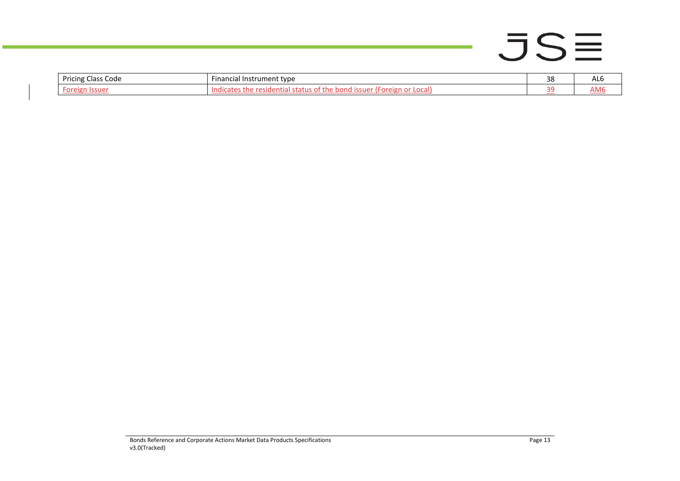# $JSE$

÷,

| Pricing<br>: Code<br>Iass | --<br>Financial Instrument type | າດ<br>၁၀ | <b>ALC</b> |
|---------------------------|---------------------------------|----------|------------|
| reign<br>vı               | _ocal]<br>indio<br>שווטי<br>יש  | ີ        | AM6        |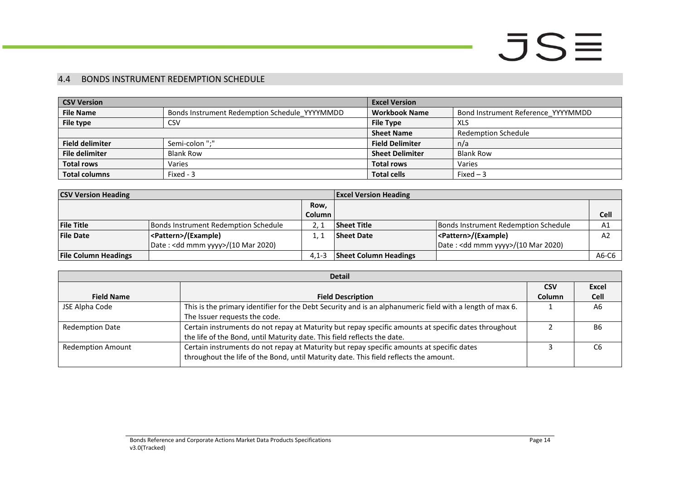### 4.4 BONDS INSTRUMENT REDEMPTION SCHEDULE

| <b>CSV Version</b>     |                                               | <b>Excel Version</b>   |                                    |  |
|------------------------|-----------------------------------------------|------------------------|------------------------------------|--|
| <b>File Name</b>       | Bonds Instrument Redemption Schedule YYYYMMDD | <b>Workbook Name</b>   | Bond Instrument Reference YYYYMMDD |  |
| File type              | <b>CSV</b>                                    | <b>File Type</b>       | <b>XLS</b>                         |  |
|                        |                                               | <b>Sheet Name</b>      | <b>Redemption Schedule</b>         |  |
| <b>Field delimiter</b> | Semi-colon ";"                                | <b>Field Delimiter</b> | n/a                                |  |
| <b>File delimiter</b>  | <b>Blank Row</b>                              | <b>Sheet Delimiter</b> | <b>Blank Row</b>                   |  |
| <b>Total rows</b>      | Varies                                        | <b>Total rows</b>      | Varies                             |  |
| <b>Total columns</b>   | Fixed - 3                                     | <b>Total cells</b>     | $Fixed-3$                          |  |

| <b>CSV Version Heading</b>  |                                              |               | <b>Excel Version Heading</b> |                                              |             |
|-----------------------------|----------------------------------------------|---------------|------------------------------|----------------------------------------------|-------------|
|                             |                                              | Row,          |                              |                                              |             |
|                             |                                              | <b>Column</b> |                              |                                              | <b>Cell</b> |
| <b>File Title</b>           | Bonds Instrument Redemption Schedule         |               | <b>Sheet Title</b>           | Bonds Instrument Redemption Schedule         | A1          |
| <b>File Date</b>            | <pattern>/(Example)</pattern>                |               | <b>Sheet Date</b>            | <pattern>/(Example)</pattern>                | A2          |
|                             | Date: <dd mmm="" yyyy="">/(10 Mar 2020)</dd> |               |                              | Date: <dd mmm="" yyyy="">/(10 Mar 2020)</dd> |             |
| <b>File Column Headings</b> |                                              | $4.1 - 3$     | <b>Sheet Column Headings</b> |                                              | A6-C6       |

<span id="page-13-0"></span>

| <b>Detail</b>            |                                                                                                           |            |                |  |
|--------------------------|-----------------------------------------------------------------------------------------------------------|------------|----------------|--|
|                          |                                                                                                           | <b>CSV</b> | Excel          |  |
| <b>Field Name</b>        | <b>Field Description</b>                                                                                  | Column     | Cell           |  |
| JSE Alpha Code           | This is the primary identifier for the Debt Security and is an alphanumeric field with a length of max 6. |            | A <sub>6</sub> |  |
|                          | The Issuer requests the code.                                                                             |            |                |  |
| <b>Redemption Date</b>   | Certain instruments do not repay at Maturity but repay specific amounts at specific dates throughout      |            | <b>B6</b>      |  |
|                          | the life of the Bond, until Maturity date. This field reflects the date.                                  |            |                |  |
| <b>Redemption Amount</b> | Certain instruments do not repay at Maturity but repay specific amounts at specific dates                 |            | С6             |  |
|                          | throughout the life of the Bond, until Maturity date. This field reflects the amount.                     |            |                |  |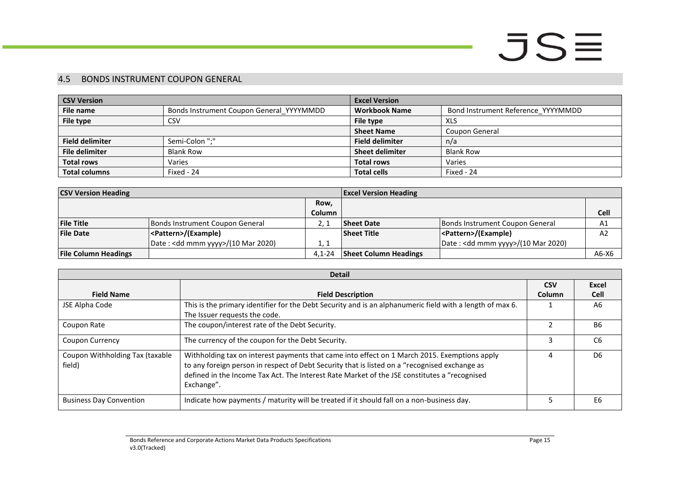### 4.5 BONDS INSTRUMENT COUPON GENERAL

| <b>CSV Version</b>     |                                          | <b>Excel Version</b>   |                                    |  |
|------------------------|------------------------------------------|------------------------|------------------------------------|--|
| File name              | Bonds Instrument Coupon General YYYYMMDD | <b>Workbook Name</b>   | Bond Instrument Reference_YYYYMMDD |  |
| File type              | <b>CSV</b>                               | File type              | XLS                                |  |
|                        |                                          | <b>Sheet Name</b>      | Coupon General                     |  |
| <b>Field delimiter</b> | Semi-Colon ";"                           | <b>Field delimiter</b> | n/a                                |  |
| <b>File delimiter</b>  | <b>Blank Row</b>                         | <b>Sheet delimiter</b> | <b>Blank Row</b>                   |  |
| <b>Total rows</b>      | Varies                                   | <b>Total rows</b>      | Varies                             |  |
| <b>Total columns</b>   | Fixed - 24                               | <b>Total cells</b>     | Fixed - 24                         |  |

| <b>CSV Version Heading</b>  |                                              |               | <b>Excel Version Heading</b> |                                              |         |
|-----------------------------|----------------------------------------------|---------------|------------------------------|----------------------------------------------|---------|
|                             |                                              | Row,          |                              |                                              |         |
|                             |                                              | <b>Column</b> |                              |                                              | Cell    |
| <b>File Title</b>           | Bonds Instrument Coupon General              |               | <b>Sheet Date</b>            | Bonds Instrument Coupon General              | A1      |
| <b>File Date</b>            | <pattern>/(Example)</pattern>                |               | <b>Sheet Title</b>           | <pattern>/(Example)</pattern>                | A2      |
|                             | Date: <dd mmm="" yyyy="">/(10 Mar 2020)</dd> | 1. 1          |                              | Date: <dd mmm="" yyyy="">/(10 Mar 2020)</dd> |         |
| <b>File Column Headings</b> |                                              | $4.1 - 24$    | <b>Sheet Column Headings</b> |                                              | $A6-X6$ |

<span id="page-14-0"></span>

|                                           | <b>Detail</b>                                                                                                                                                                                                                                                                                               |            |                |  |  |
|-------------------------------------------|-------------------------------------------------------------------------------------------------------------------------------------------------------------------------------------------------------------------------------------------------------------------------------------------------------------|------------|----------------|--|--|
|                                           |                                                                                                                                                                                                                                                                                                             | <b>CSV</b> | Excel          |  |  |
| <b>Field Name</b>                         | <b>Field Description</b>                                                                                                                                                                                                                                                                                    | Column     | <b>Cell</b>    |  |  |
| JSE Alpha Code                            | This is the primary identifier for the Debt Security and is an alphanumeric field with a length of max 6.                                                                                                                                                                                                   |            | A6             |  |  |
|                                           | The Issuer requests the code.                                                                                                                                                                                                                                                                               |            |                |  |  |
| Coupon Rate                               | The coupon/interest rate of the Debt Security.                                                                                                                                                                                                                                                              |            | <b>B6</b>      |  |  |
| <b>Coupon Currency</b>                    | The currency of the coupon for the Debt Security.                                                                                                                                                                                                                                                           |            | C <sub>6</sub> |  |  |
| Coupon Withholding Tax (taxable<br>field) | Withholding tax on interest payments that came into effect on 1 March 2015. Exemptions apply<br>to any foreign person in respect of Debt Security that is listed on a "recognised exchange as<br>defined in the Income Tax Act. The Interest Rate Market of the JSE constitutes a "recognised<br>Exchange". | 4          | D <sub>6</sub> |  |  |
| <b>Business Day Convention</b>            | Indicate how payments / maturity will be treated if it should fall on a non-business day.                                                                                                                                                                                                                   |            | E6             |  |  |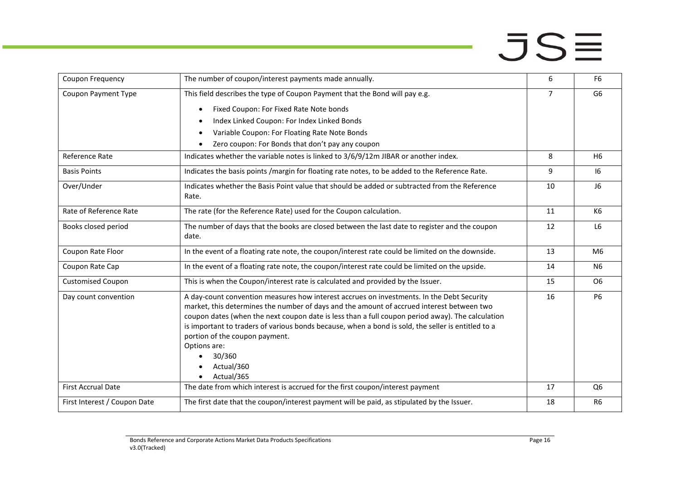| Coupon Frequency             | The number of coupon/interest payments made annually.                                                                                                                                                                                                                                                                                                                                                                                                                                    | 6              | F <sub>6</sub> |
|------------------------------|------------------------------------------------------------------------------------------------------------------------------------------------------------------------------------------------------------------------------------------------------------------------------------------------------------------------------------------------------------------------------------------------------------------------------------------------------------------------------------------|----------------|----------------|
| Coupon Payment Type          | This field describes the type of Coupon Payment that the Bond will pay e.g.                                                                                                                                                                                                                                                                                                                                                                                                              | $\overline{7}$ | G <sub>6</sub> |
|                              | Fixed Coupon: For Fixed Rate Note bonds<br>$\bullet$                                                                                                                                                                                                                                                                                                                                                                                                                                     |                |                |
|                              | Index Linked Coupon: For Index Linked Bonds                                                                                                                                                                                                                                                                                                                                                                                                                                              |                |                |
|                              | Variable Coupon: For Floating Rate Note Bonds                                                                                                                                                                                                                                                                                                                                                                                                                                            |                |                |
|                              | Zero coupon: For Bonds that don't pay any coupon                                                                                                                                                                                                                                                                                                                                                                                                                                         |                |                |
| Reference Rate               | Indicates whether the variable notes is linked to 3/6/9/12m JIBAR or another index.                                                                                                                                                                                                                                                                                                                                                                                                      | 8              | H <sub>6</sub> |
| <b>Basis Points</b>          | Indicates the basis points /margin for floating rate notes, to be added to the Reference Rate.                                                                                                                                                                                                                                                                                                                                                                                           | 9              | 16             |
| Over/Under                   | Indicates whether the Basis Point value that should be added or subtracted from the Reference<br>Rate.                                                                                                                                                                                                                                                                                                                                                                                   | 10             | J6             |
| Rate of Reference Rate       | The rate (for the Reference Rate) used for the Coupon calculation.                                                                                                                                                                                                                                                                                                                                                                                                                       | 11             | K6             |
| Books closed period          | The number of days that the books are closed between the last date to register and the coupon<br>date.                                                                                                                                                                                                                                                                                                                                                                                   | 12             | L <sub>6</sub> |
| Coupon Rate Floor            | In the event of a floating rate note, the coupon/interest rate could be limited on the downside.                                                                                                                                                                                                                                                                                                                                                                                         | 13             | M <sub>6</sub> |
| Coupon Rate Cap              | In the event of a floating rate note, the coupon/interest rate could be limited on the upside.                                                                                                                                                                                                                                                                                                                                                                                           | 14             | N <sub>6</sub> |
| <b>Customised Coupon</b>     | This is when the Coupon/interest rate is calculated and provided by the Issuer.                                                                                                                                                                                                                                                                                                                                                                                                          | 15             | O <sub>6</sub> |
| Day count convention         | A day-count convention measures how interest accrues on investments. In the Debt Security<br>market, this determines the number of days and the amount of accrued interest between two<br>coupon dates (when the next coupon date is less than a full coupon period away). The calculation<br>is important to traders of various bonds because, when a bond is sold, the seller is entitled to a<br>portion of the coupon payment.<br>Options are:<br>30/360<br>Actual/360<br>Actual/365 | 16             | <b>P6</b>      |
| <b>First Accrual Date</b>    | The date from which interest is accrued for the first coupon/interest payment                                                                                                                                                                                                                                                                                                                                                                                                            | 17             | Q <sub>6</sub> |
| First Interest / Coupon Date | The first date that the coupon/interest payment will be paid, as stipulated by the Issuer.                                                                                                                                                                                                                                                                                                                                                                                               | 18             | R <sub>6</sub> |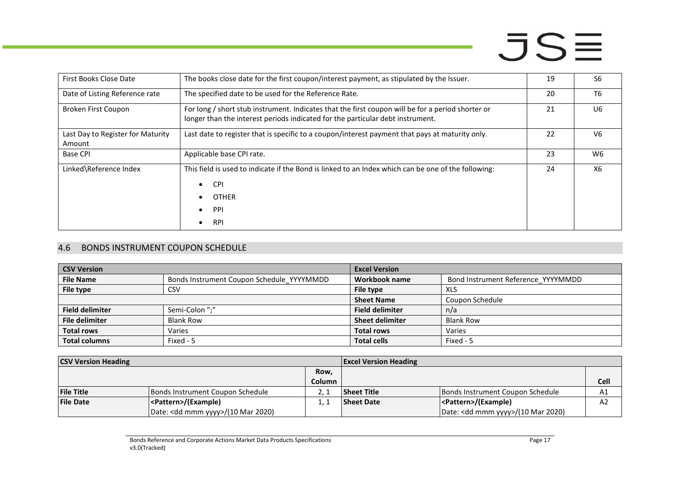| First Books Close Date                      | The books close date for the first coupon/interest payment, as stipulated by the Issuer.                                                                                            | 19 | S <sub>6</sub> |
|---------------------------------------------|-------------------------------------------------------------------------------------------------------------------------------------------------------------------------------------|----|----------------|
| Date of Listing Reference rate              | The specified date to be used for the Reference Rate.                                                                                                                               | 20 | T <sub>6</sub> |
| Broken First Coupon                         | For long / short stub instrument. Indicates that the first coupon will be for a period shorter or<br>longer than the interest periods indicated for the particular debt instrument. | 21 | U <sub>6</sub> |
| Last Day to Register for Maturity<br>Amount | Last date to register that is specific to a coupon/interest payment that pays at maturity only.                                                                                     | 22 | V6             |
| <b>Base CPI</b>                             | Applicable base CPI rate.                                                                                                                                                           | 23 | W <sub>6</sub> |
| Linked\Reference Index                      | This field is used to indicate if the Bond is linked to an Index which can be one of the following:<br><b>CPI</b><br>$\bullet$<br><b>OTHER</b><br>PPI<br><b>RPI</b>                 | 24 | X6             |

### 4.6 BONDS INSTRUMENT COUPON SCHEDULE

| <b>CSV Version</b>     |                                           | <b>Excel Version</b>   |                                    |
|------------------------|-------------------------------------------|------------------------|------------------------------------|
| <b>File Name</b>       | Bonds Instrument Coupon Schedule_YYYYMMDD | Workbook name          | Bond Instrument Reference_YYYYMMDD |
| File type              | CSV                                       | File type              | XLS                                |
|                        |                                           | <b>Sheet Name</b>      | Coupon Schedule                    |
| <b>Field delimiter</b> | Semi-Colon ";"                            | <b>Field delimiter</b> | n/a                                |
| <b>File delimiter</b>  | <b>Blank Row</b>                          | <b>Sheet delimiter</b> | <b>Blank Row</b>                   |
| <b>Total rows</b>      | Varies                                    | <b>Total rows</b>      | Varies                             |
| <b>Total columns</b>   | Fixed - 5                                 | <b>Total cells</b>     | Fixed - 5                          |

<span id="page-16-0"></span>

| <b>CSV Version Heading</b> |                                              | <b>Excel Version Heading</b> |                   |                                              |                |
|----------------------------|----------------------------------------------|------------------------------|-------------------|----------------------------------------------|----------------|
|                            |                                              | Row,                         |                   |                                              |                |
|                            |                                              | <b>Column</b>                |                   |                                              | Cell           |
| <b>File Title</b>          | Bonds Instrument Coupon Schedule             |                              | Sheet Title       | Bonds Instrument Coupon Schedule             | Α1             |
| <b>File Date</b>           | <pattern>/(Example)</pattern>                |                              | <b>Sheet Date</b> | <pattern>/(Example)</pattern>                | A <sub>2</sub> |
|                            | Date: <dd mmm="" yyyy="">/(10 Mar 2020)</dd> |                              |                   | Date: <dd mmm="" yyyy="">/(10 Mar 2020)</dd> |                |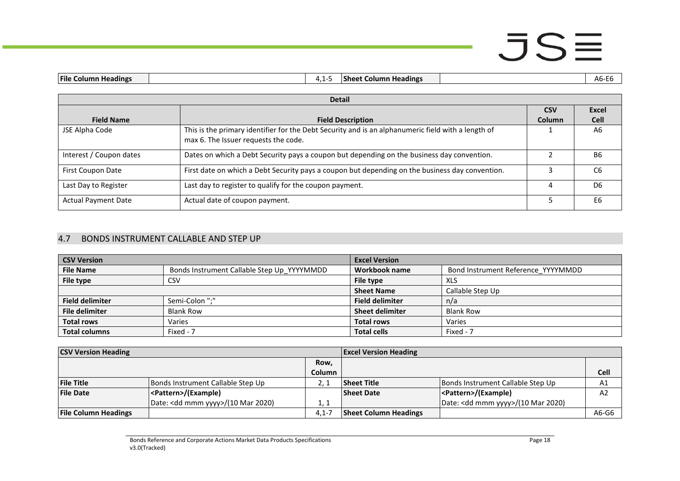| <b>File Column Headings</b><br>. . | . | <b>Sheet</b><br>Column Headings | ^^<br>−∟∪<br>ັ∨ |
|------------------------------------|---|---------------------------------|-----------------|
|                                    |   |                                 |                 |

|                            | <b>Detail</b>                                                                                                                              |               |                |  |
|----------------------------|--------------------------------------------------------------------------------------------------------------------------------------------|---------------|----------------|--|
|                            |                                                                                                                                            | <b>CSV</b>    | Excel          |  |
| <b>Field Name</b>          | <b>Field Description</b>                                                                                                                   | <b>Column</b> | <b>Cell</b>    |  |
| JSE Alpha Code             | This is the primary identifier for the Debt Security and is an alphanumeric field with a length of<br>max 6. The Issuer requests the code. |               | A6             |  |
| Interest / Coupon dates    | Dates on which a Debt Security pays a coupon but depending on the business day convention.                                                 |               | <b>B6</b>      |  |
| First Coupon Date          | First date on which a Debt Security pays a coupon but depending on the business day convention.                                            |               | C6             |  |
| Last Day to Register       | Last day to register to qualify for the coupon payment.                                                                                    | 4             | D <sub>6</sub> |  |
| <b>Actual Payment Date</b> | Actual date of coupon payment.                                                                                                             |               | E <sub>6</sub> |  |

#### 4.7 BONDS INSTRUMENT CALLABLE AND STEP UP

| <b>CSV Version</b>     |                                            | <b>Excel Version</b>   |                                    |
|------------------------|--------------------------------------------|------------------------|------------------------------------|
| <b>File Name</b>       | Bonds Instrument Callable Step Up YYYYMMDD | Workbook name          | Bond Instrument Reference YYYYMMDD |
| File type              | CSV                                        | File type              | XLS                                |
|                        |                                            | <b>Sheet Name</b>      | Callable Step Up                   |
| <b>Field delimiter</b> | Semi-Colon ";"                             | <b>Field delimiter</b> | n/a                                |
| <b>File delimiter</b>  | <b>Blank Row</b>                           | <b>Sheet delimiter</b> | <b>Blank Row</b>                   |
| <b>Total rows</b>      | Varies                                     | <b>Total rows</b>      | Varies                             |
| <b>Total columns</b>   | Fixed - 7                                  | <b>Total cells</b>     | Fixed - 7                          |

<span id="page-17-0"></span>

| <b>CSV Version Heading</b>  |                                              | <b>Excel Version Heading</b> |                              |                                              |       |
|-----------------------------|----------------------------------------------|------------------------------|------------------------------|----------------------------------------------|-------|
|                             |                                              | Row.                         |                              |                                              |       |
|                             |                                              | <b>Column</b>                |                              |                                              | Cell  |
| <b>File Title</b>           | Bonds Instrument Callable Step Up            |                              | <b>Sheet Title</b>           | Bonds Instrument Callable Step Up            | A1    |
| <b>File Date</b>            | <pattern>/(Example)</pattern>                |                              | <b>Sheet Date</b>            | <pattern>/(Example)</pattern>                | A2    |
|                             | Date: <dd mmm="" yyyy="">/(10 Mar 2020)</dd> | 1.1                          |                              | Date: <dd mmm="" yyyy="">/(10 Mar 2020)</dd> |       |
| <b>File Column Headings</b> |                                              | $4.1 - 7$                    | <b>Sheet Column Headings</b> |                                              | A6-G6 |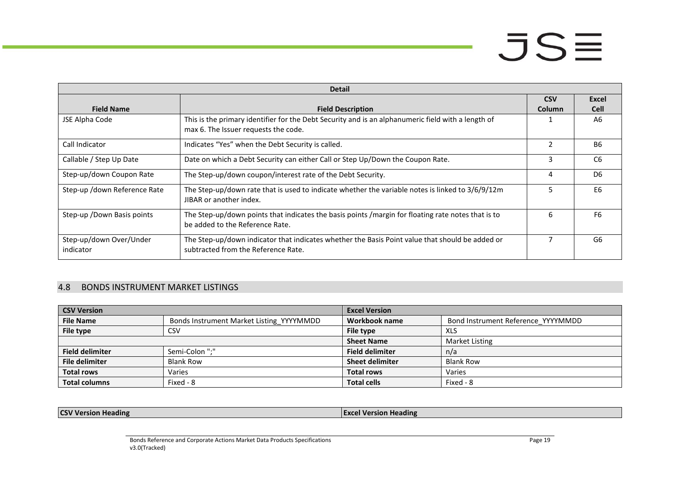|                                      | <b>Detail</b>                                                                                                                              |            |                |  |  |
|--------------------------------------|--------------------------------------------------------------------------------------------------------------------------------------------|------------|----------------|--|--|
|                                      |                                                                                                                                            | <b>CSV</b> | Excel          |  |  |
| <b>Field Name</b>                    | <b>Field Description</b>                                                                                                                   | Column     | <b>Cell</b>    |  |  |
| JSE Alpha Code                       | This is the primary identifier for the Debt Security and is an alphanumeric field with a length of<br>max 6. The Issuer requests the code. |            | A <sub>6</sub> |  |  |
| Call Indicator                       | Indicates "Yes" when the Debt Security is called.                                                                                          | 2          | <b>B6</b>      |  |  |
| Callable / Step Up Date              | Date on which a Debt Security can either Call or Step Up/Down the Coupon Rate.                                                             | 3          | C <sub>6</sub> |  |  |
| Step-up/down Coupon Rate             | The Step-up/down coupon/interest rate of the Debt Security.                                                                                | 4          | D <sub>6</sub> |  |  |
| Step-up /down Reference Rate         | The Step-up/down rate that is used to indicate whether the variable notes is linked to 3/6/9/12m<br>JIBAR or another index.                |            | E <sub>6</sub> |  |  |
| Step-up / Down Basis points          | The Step-up/down points that indicates the basis points /margin for floating rate notes that is to<br>be added to the Reference Rate.      | 6          | F6             |  |  |
| Step-up/down Over/Under<br>indicator | The Step-up/down indicator that indicates whether the Basis Point value that should be added or<br>subtracted from the Reference Rate.     | 7          | G <sub>6</sub> |  |  |

### 4.8 BONDS INSTRUMENT MARKET LISTINGS

| <b>CSV Version</b>     |                                          | <b>Excel Version</b>   |                                    |
|------------------------|------------------------------------------|------------------------|------------------------------------|
| <b>File Name</b>       | Bonds Instrument Market Listing YYYYMMDD | Workbook name          | Bond Instrument Reference YYYYMMDD |
| File type              | CSV                                      | File type              | XLS                                |
|                        |                                          | <b>Sheet Name</b>      | Market Listing                     |
| <b>Field delimiter</b> | Semi-Colon ";"                           | <b>Field delimiter</b> | n/a                                |
| <b>File delimiter</b>  | <b>Blank Row</b>                         | <b>Sheet delimiter</b> | <b>Blank Row</b>                   |
| <b>Total rows</b>      | Varies                                   | <b>Total rows</b>      | Varies                             |
| <b>Total columns</b>   | Fixed - 8                                | <b>Total cells</b>     | Fixed - 8                          |

<span id="page-18-0"></span>**CSV Version Heading Excel Version Heading Excel Version Heading**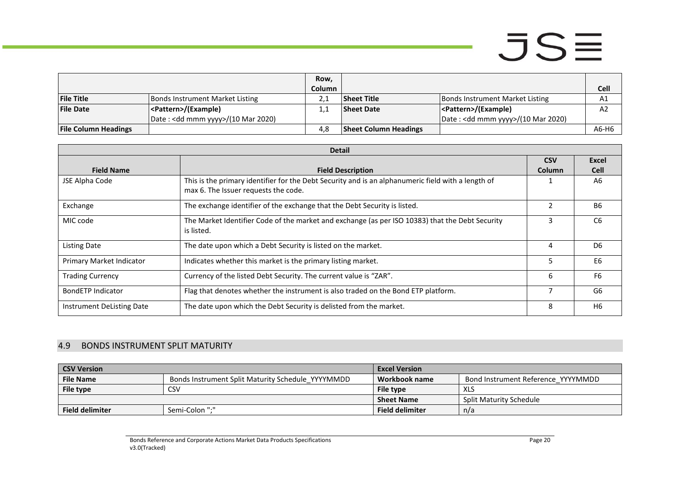|                             |                                              | Row,   |                              |                                        |             |
|-----------------------------|----------------------------------------------|--------|------------------------------|----------------------------------------|-------------|
|                             |                                              | Column |                              |                                        | <b>Cell</b> |
| <b>File Title</b>           | Bonds Instrument Market Listing              |        | <b>Sheet Title</b>           | <b>Bonds Instrument Market Listing</b> | A1          |
| <b>File Date</b>            | <pattern>/(Example)</pattern>                |        | <b>Sheet Date</b>            | <pattern>/(Example)</pattern>          | A2          |
|                             | Date: <dd mmm="" yyyy="">/(10 Mar 2020)</dd> |        |                              | Date : < dd mmm yyyy>/(10 Mar 2020)    |             |
| <b>File Column Headings</b> |                                              | 4.8    | <b>Sheet Column Headings</b> |                                        | A6-H6       |

| <b>Detail</b>             |                                                                                                    |                |                |
|---------------------------|----------------------------------------------------------------------------------------------------|----------------|----------------|
|                           |                                                                                                    | <b>CSV</b>     | <b>Excel</b>   |
| <b>Field Name</b>         | <b>Field Description</b>                                                                           | Column         | <b>Cell</b>    |
| JSE Alpha Code            | This is the primary identifier for the Debt Security and is an alphanumeric field with a length of |                | A6             |
|                           | max 6. The Issuer requests the code.                                                               |                |                |
| Exchange                  | The exchange identifier of the exchange that the Debt Security is listed.                          | $\mathfrak{p}$ | <b>B6</b>      |
| MIC code                  | The Market Identifier Code of the market and exchange (as per ISO 10383) that the Debt Security    | 3              | C6             |
|                           | is listed.                                                                                         |                |                |
| <b>Listing Date</b>       | The date upon which a Debt Security is listed on the market.                                       | 4              | D <sub>6</sub> |
| Primary Market Indicator  | Indicates whether this market is the primary listing market.                                       | 5.             | E <sub>6</sub> |
| <b>Trading Currency</b>   | Currency of the listed Debt Security. The current value is "ZAR".                                  | 6              | F <sub>6</sub> |
| BondETP Indicator         | Flag that denotes whether the instrument is also traded on the Bond ETP platform.                  |                | G <sub>6</sub> |
| Instrument DeListing Date | The date upon which the Debt Security is delisted from the market.                                 | 8              | H6             |

### 4.9 BONDS INSTRUMENT SPLIT MATURITY

<span id="page-19-0"></span>

| <b>CSV Version</b>     |                                                   | <b>Excel Version</b>   |                                    |
|------------------------|---------------------------------------------------|------------------------|------------------------------------|
| <b>File Name</b>       | Bonds Instrument Split Maturity Schedule YYYYMMDD | Workbook name          | Bond Instrument Reference YYYYMMDD |
| File type              | CSV                                               | File type              | <b>XLS</b>                         |
|                        |                                                   | <b>Sheet Name</b>      | <b>Split Maturity Schedule</b>     |
| <b>Field delimiter</b> | Semi-Colon ":"                                    | <b>Field delimiter</b> | n/a                                |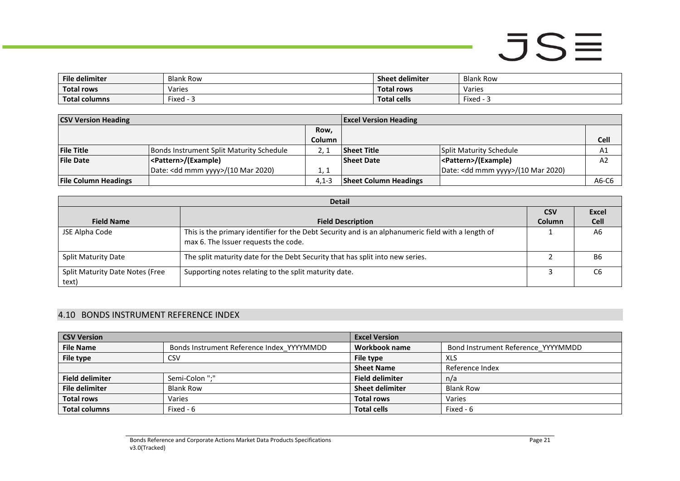| <b>File delimiter</b> | <b>Blank Row</b> | <b>Sheet delimiter</b> | <b>Blank Row</b>     |
|-----------------------|------------------|------------------------|----------------------|
| <b>Total rows</b>     | Varies           | <b>Total rows</b>      | Varies               |
| <b>Total columns</b>  | Fixed - -        | <b>Total cells</b>     | $- \cdot$<br>Fixed - |

| <b>CSV Version Heading</b>  |                                              |           | <b>Excel Version Heading</b> |                                              |                |
|-----------------------------|----------------------------------------------|-----------|------------------------------|----------------------------------------------|----------------|
|                             |                                              | Row,      |                              |                                              |                |
|                             |                                              | Column    |                              |                                              | <b>Cell</b>    |
| <b>File Title</b>           | Bonds Instrument Split Maturity Schedule     |           | <b>Sheet Title</b>           | Split Maturity Schedule                      | A1             |
| <b>File Date</b>            | <pattern>/(Example)</pattern>                |           | <b>Sheet Date</b>            | <pattern>/(Example)</pattern>                | A <sub>2</sub> |
|                             | Date: <dd mmm="" yyyy="">/(10 Mar 2020)</dd> | 1. 1      |                              | Date: <dd mmm="" yyyy="">/(10 Mar 2020)</dd> |                |
| <b>File Column Headings</b> |                                              | $4.1 - 3$ | <b>Sheet Column Headings</b> |                                              | A6-C6          |

| <b>Detail</b>                                   |                                                                                                                                            |               |                |  |  |
|-------------------------------------------------|--------------------------------------------------------------------------------------------------------------------------------------------|---------------|----------------|--|--|
|                                                 |                                                                                                                                            | <b>CSV</b>    | Excel          |  |  |
| <b>Field Name</b>                               | <b>Field Description</b>                                                                                                                   | <b>Column</b> | <b>Cell</b>    |  |  |
| JSE Alpha Code                                  | This is the primary identifier for the Debt Security and is an alphanumeric field with a length of<br>max 6. The Issuer requests the code. |               | A6             |  |  |
| <b>Split Maturity Date</b>                      | The split maturity date for the Debt Security that has split into new series.                                                              |               | B6             |  |  |
| <b>Split Maturity Date Notes (Free</b><br>text) | Supporting notes relating to the split maturity date.                                                                                      |               | C <sub>6</sub> |  |  |

### 4.10 BONDS INSTRUMENT REFERENCE INDEX

<span id="page-20-0"></span>

| <b>CSV Version</b>     |                                           | <b>Excel Version</b>   |                                    |
|------------------------|-------------------------------------------|------------------------|------------------------------------|
| <b>File Name</b>       | Bonds Instrument Reference Index YYYYMMDD | Workbook name          | Bond Instrument Reference YYYYMMDD |
| File type              | CSV                                       | File type              | XLS                                |
|                        |                                           | <b>Sheet Name</b>      | Reference Index                    |
| <b>Field delimiter</b> | Semi-Colon ";"                            | <b>Field delimiter</b> | n/a                                |
| <b>File delimiter</b>  | <b>Blank Row</b>                          | <b>Sheet delimiter</b> | <b>Blank Row</b>                   |
| <b>Total rows</b>      | Varies                                    | <b>Total rows</b>      | Varies                             |
| <b>Total columns</b>   | Fixed - 6                                 | <b>Total cells</b>     | Fixed - 6                          |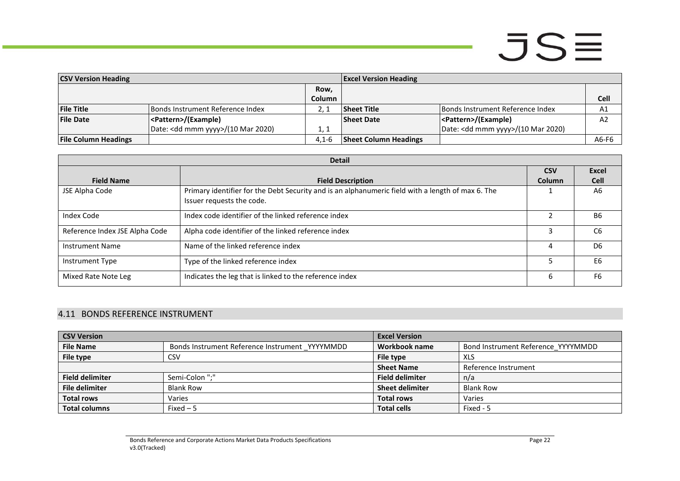| <b>CSV Version Heading</b>  |                                              |               | <b>Excel Version Heading</b> |                                              |             |
|-----------------------------|----------------------------------------------|---------------|------------------------------|----------------------------------------------|-------------|
|                             |                                              | Row,          |                              |                                              |             |
|                             |                                              | <b>Column</b> |                              |                                              | <b>Cell</b> |
| <b>File Title</b>           | Bonds Instrument Reference Index             |               | <b>Sheet Title</b>           | Bonds Instrument Reference Index             | A1          |
| <b>File Date</b>            | <pattern>/(Example)</pattern>                |               | <b>Sheet Date</b>            | <pattern>/(Example)</pattern>                | A2          |
|                             | Date: <dd mmm="" yyyy="">/(10 Mar 2020)</dd> | 1, 1          |                              | Date: <dd mmm="" yyyy="">/(10 Mar 2020)</dd> |             |
| <b>File Column Headings</b> |                                              | $4.1 - 6$     | <b>Sheet Column Headings</b> |                                              | A6-F6       |

|                                | <b>Detail</b>                                                                                                                  |            |                |  |  |
|--------------------------------|--------------------------------------------------------------------------------------------------------------------------------|------------|----------------|--|--|
|                                |                                                                                                                                | <b>CSV</b> | Excel          |  |  |
| <b>Field Name</b>              | <b>Field Description</b>                                                                                                       | Column     | <b>Cell</b>    |  |  |
| JSE Alpha Code                 | Primary identifier for the Debt Security and is an alphanumeric field with a length of max 6. The<br>Issuer requests the code. |            | A6             |  |  |
| Index Code                     | Index code identifier of the linked reference index                                                                            |            | <b>B6</b>      |  |  |
| Reference Index JSE Alpha Code | Alpha code identifier of the linked reference index                                                                            |            | C <sub>6</sub> |  |  |
| <b>Instrument Name</b>         | Name of the linked reference index                                                                                             | 4          | D <sub>6</sub> |  |  |
| Instrument Type                | Type of the linked reference index                                                                                             |            | E6             |  |  |
| Mixed Rate Note Leg            | Indicates the leg that is linked to the reference index                                                                        | h          | F <sub>6</sub> |  |  |

### 4.11 BONDS REFERENCE INSTRUMENT

<span id="page-21-0"></span>

| <b>CSV Version</b>     |                                                | <b>Excel Version</b>   |                                    |
|------------------------|------------------------------------------------|------------------------|------------------------------------|
| <b>File Name</b>       | Bonds Instrument Reference Instrument YYYYMMDD | Workbook name          | Bond Instrument Reference YYYYMMDD |
| File type              | CSV                                            | File type              | XLS                                |
|                        |                                                | <b>Sheet Name</b>      | Reference Instrument               |
| <b>Field delimiter</b> | Semi-Colon ";"                                 | <b>Field delimiter</b> | n/a                                |
| <b>File delimiter</b>  | <b>Blank Row</b>                               | <b>Sheet delimiter</b> | <b>Blank Row</b>                   |
| <b>Total rows</b>      | Varies                                         | <b>Total rows</b>      | Varies                             |
| <b>Total columns</b>   | $Fixed-5$                                      | <b>Total cells</b>     | Fixed - 5                          |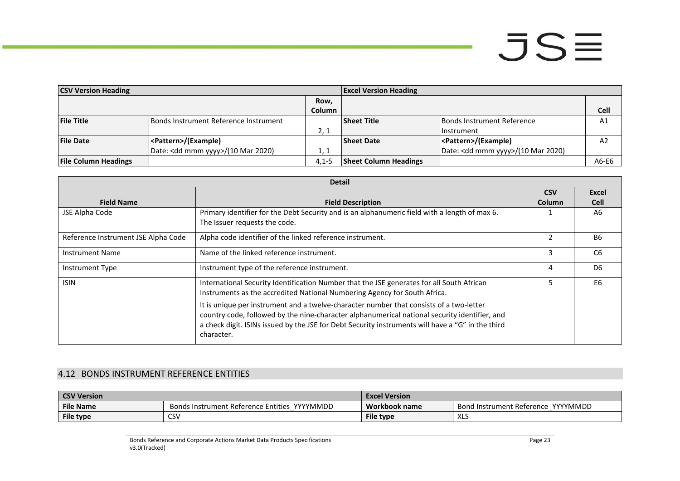| <b>CSV Version Heading</b>  |                                       |               | <b>Excel Version Heading</b> |                                              |                |
|-----------------------------|---------------------------------------|---------------|------------------------------|----------------------------------------------|----------------|
|                             |                                       | Row,          |                              |                                              |                |
|                             |                                       | <b>Column</b> |                              |                                              | <b>Cell</b>    |
| <b>File Title</b>           | Bonds Instrument Reference Instrument |               | <b>Sheet Title</b>           | Bonds Instrument Reference                   | A1             |
|                             |                                       | 2, 1          |                              | l Instrument                                 |                |
| <b>File Date</b>            | <pattern>/(Example)</pattern>         |               | <b>Sheet Date</b>            | <pattern>/(Example)</pattern>                | A <sub>2</sub> |
|                             | Date: < dd mmm yyyy>/(10 Mar 2020)    | 1. 1          |                              | Date: <dd mmm="" yyyy="">/(10 Mar 2020)</dd> |                |
| <b>File Column Headings</b> |                                       | $4.1 - 5$     | <b>Sheet Column Headings</b> |                                              | A6-E6          |

|                                     | <b>Detail</b>                                                                                     |               |                |
|-------------------------------------|---------------------------------------------------------------------------------------------------|---------------|----------------|
|                                     |                                                                                                   | <b>CSV</b>    | Excel          |
| <b>Field Name</b>                   | <b>Field Description</b>                                                                          | <b>Column</b> | <b>Cell</b>    |
| JSE Alpha Code                      | Primary identifier for the Debt Security and is an alphanumeric field with a length of max 6.     |               | A6             |
|                                     | The Issuer requests the code.                                                                     |               |                |
| Reference Instrument JSE Alpha Code | Alpha code identifier of the linked reference instrument.                                         | っ             | <b>B6</b>      |
| <b>Instrument Name</b>              | Name of the linked reference instrument.                                                          | 3             | C <sub>6</sub> |
| Instrument Type                     | Instrument type of the reference instrument.                                                      | 4             | D <sub>6</sub> |
| <b>ISIN</b>                         | International Security Identification Number that the JSE generates for all South African         |               | E6             |
|                                     | Instruments as the accredited National Numbering Agency for South Africa.                         |               |                |
|                                     | It is unique per instrument and a twelve-character number that consists of a two-letter           |               |                |
|                                     | country code, followed by the nine-character alphanumerical national security identifier, and     |               |                |
|                                     | a check digit. ISINs issued by the JSE for Debt Security instruments will have a "G" in the third |               |                |
|                                     | character.                                                                                        |               |                |

### 4.12 BONDS INSTRUMENT REFERENCE ENTITIES

<span id="page-22-0"></span>

| <b>CSV Version</b> |                                                 | <b>Excel Version</b> |                                              |  |
|--------------------|-------------------------------------------------|----------------------|----------------------------------------------|--|
| <b>File Name</b>   | YYYYMMDD<br>Bonds Instrument Reference Entities | Workbook name        | YYYYMMDD<br><b>Bond Instrument Reference</b> |  |
| File type          | CSV                                             | <b>File type</b>     | $\mathbf{v}$<br>ハレー                          |  |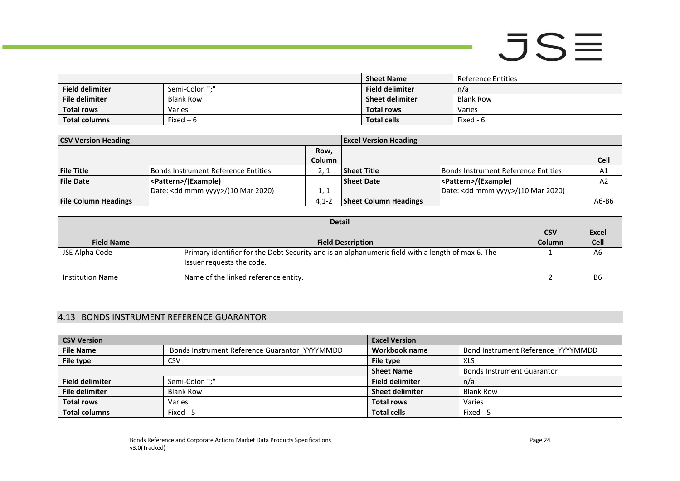|                        |                  | <b>Sheet Name</b>      | Reference Entities |
|------------------------|------------------|------------------------|--------------------|
| <b>Field delimiter</b> | Semi-Colon ":"   | <b>Field delimiter</b> | n/a                |
| File delimiter         | <b>Blank Row</b> | <b>Sheet delimiter</b> | Blank Row          |
| <b>Total rows</b>      | Varies           | <b>Total rows</b>      | Varies             |
| <b>Total columns</b>   | Fixed $-6$       | <b>Total cells</b>     | Fixed - 6          |

| <b>CSV Version Heading</b>  |                                              |               | <b>Excel Version Heading</b> |                                              |             |
|-----------------------------|----------------------------------------------|---------------|------------------------------|----------------------------------------------|-------------|
|                             |                                              | Row,          |                              |                                              |             |
|                             |                                              | <b>Column</b> |                              |                                              | <b>Cell</b> |
| <b>File Title</b>           | Bonds Instrument Reference Entities          |               | Sheet Title                  | Bonds Instrument Reference Entities          | A1          |
| <b>File Date</b>            | <pattern>/(Example)</pattern>                |               | <b>Sheet Date</b>            | <pattern>/(Example)</pattern>                | A2          |
|                             | Date: <dd mmm="" yyyy="">/(10 Mar 2020)</dd> | 1, 1          |                              | Date: <dd mmm="" yyyy="">/(10 Mar 2020)</dd> |             |
| <b>File Column Headings</b> |                                              | $4.1 - 2$     | <b>Sheet Column Headings</b> |                                              | A6-B6       |

| <b>Detail</b>           |                                                                                                                                |            |              |  |
|-------------------------|--------------------------------------------------------------------------------------------------------------------------------|------------|--------------|--|
|                         |                                                                                                                                | <b>CSV</b> | <b>Excel</b> |  |
| <b>Field Name</b>       | <b>Field Description</b>                                                                                                       | Column     | <b>Cell</b>  |  |
| JSE Alpha Code          | Primary identifier for the Debt Security and is an alphanumeric field with a length of max 6. The<br>Issuer requests the code. |            | A6           |  |
| <b>Institution Name</b> | Name of the linked reference entity.                                                                                           |            | <b>B6</b>    |  |

### 4.13 BONDS INSTRUMENT REFERENCE GUARANTOR

<span id="page-23-0"></span>

| <b>CSV Version</b>     |                                               | <b>Excel Version</b>   |                                    |
|------------------------|-----------------------------------------------|------------------------|------------------------------------|
| <b>File Name</b>       | Bonds Instrument Reference Guarantor YYYYMMDD | Workbook name          | Bond Instrument Reference YYYYMMDD |
| File type              | File type<br>CSV                              |                        | XLS                                |
|                        |                                               | <b>Sheet Name</b>      | <b>Bonds Instrument Guarantor</b>  |
| <b>Field delimiter</b> | Semi-Colon ";"                                | <b>Field delimiter</b> | n/a                                |
| <b>File delimiter</b>  | <b>Blank Row</b>                              | <b>Sheet delimiter</b> | <b>Blank Row</b>                   |
| <b>Total rows</b>      | Varies                                        | <b>Total rows</b>      | Varies                             |
| <b>Total columns</b>   | Fixed - 5                                     | <b>Total cells</b>     | Fixed - 5                          |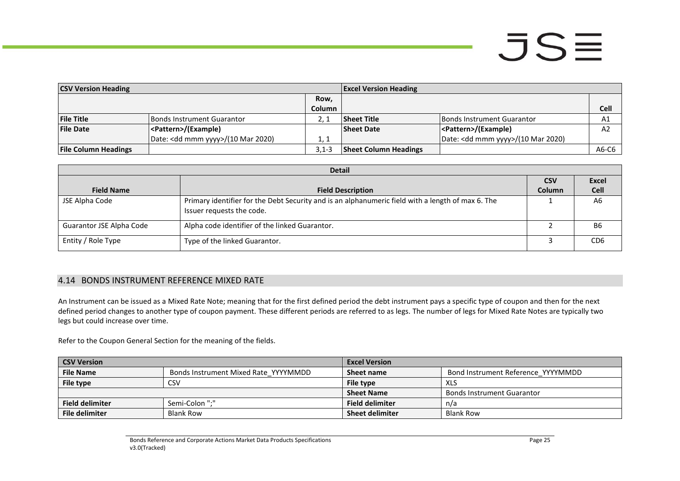# $JSE$

| <b>CSV Version Heading</b>  |                                              |               | <b>Excel Version Heading</b> |                                              |                |  |
|-----------------------------|----------------------------------------------|---------------|------------------------------|----------------------------------------------|----------------|--|
|                             |                                              | Row,          |                              |                                              |                |  |
|                             |                                              | <b>Column</b> |                              |                                              | <b>Cell</b>    |  |
| <b>File Title</b>           | <b>IBonds Instrument Guarantor</b>           |               | <b>Sheet Title</b>           | Bonds Instrument Guarantor                   | A1             |  |
| <b>File Date</b>            | <pattern>/(Example)</pattern>                |               | <b>Sheet Date</b>            | <pattern>/(Example)</pattern>                | A <sub>2</sub> |  |
|                             | Date: <dd mmm="" yyyy="">/(10 Mar 2020)</dd> | 1. 1          |                              | Date: <dd mmm="" yyyy="">/(10 Mar 2020)</dd> |                |  |
| <b>File Column Headings</b> |                                              | $3.1 - 3$     | <b>Sheet Column Headings</b> |                                              | A6-C6          |  |

| <b>Detail</b>            |                                                                                                                                |               |                 |  |
|--------------------------|--------------------------------------------------------------------------------------------------------------------------------|---------------|-----------------|--|
|                          |                                                                                                                                |               |                 |  |
| <b>Field Name</b>        | <b>Field Description</b>                                                                                                       | <b>Column</b> | <b>Cell</b>     |  |
| JSE Alpha Code           | Primary identifier for the Debt Security and is an alphanumeric field with a length of max 6. The<br>Issuer requests the code. |               | A <sub>6</sub>  |  |
| Guarantor JSE Alpha Code | Alpha code identifier of the linked Guarantor.                                                                                 |               | B <sub>6</sub>  |  |
| Entity / Role Type       | Type of the linked Guarantor.                                                                                                  |               | CD <sub>6</sub> |  |

### 4.14 BONDS INSTRUMENT REFERENCE MIXED RATE

An Instrument can be issued as a Mixed Rate Note; meaning that for the first defined period the debt instrument pays a specific type of coupon and then for the next defined period changes to another type of coupon payment. These different periods are referred to as legs. The number of legs for Mixed Rate Notes are typically two legs but could increase over time.

Refer to the Coupon General Section for the meaning of the fields.

<span id="page-24-0"></span>

| <b>CSV Version</b>     |                                      | <b>Excel Version</b>   |                                    |
|------------------------|--------------------------------------|------------------------|------------------------------------|
| <b>File Name</b>       | Bonds Instrument Mixed Rate YYYYMMDD | Sheet name             | Bond Instrument Reference YYYYMMDD |
| File type              | CSV                                  | File type              | XLS                                |
|                        |                                      | <b>Sheet Name</b>      | <b>Bonds Instrument Guarantor</b>  |
| <b>Field delimiter</b> | Semi-Colon ":"                       | <b>Field delimiter</b> | n/a                                |
| File delimiter         | <b>Blank Row</b>                     | <b>Sheet delimiter</b> | Blank Row                          |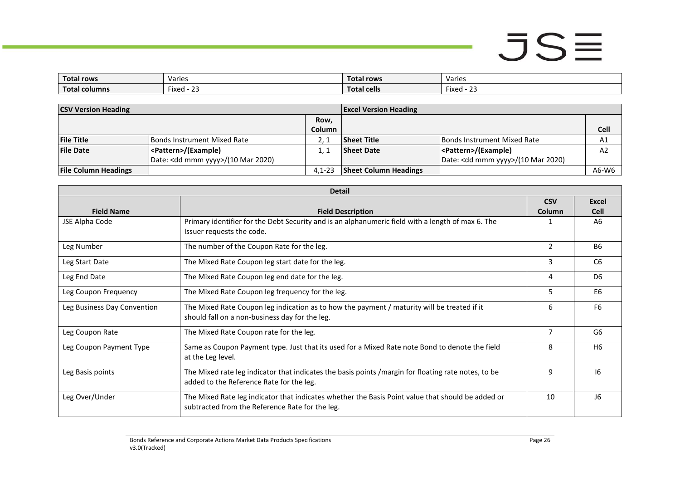| <b>Total rows</b>   | Varies                                     | Total rows  | Varies                               |
|---------------------|--------------------------------------------|-------------|--------------------------------------|
| Tota.<br>al columns | $- \cdot$<br>$\sim$ $\sim$<br>Fixed -<br>້ | Total cells | $-$<br>$\sim$<br>Fixed<br><u>_ _</u> |

| <b>CSV Version Heading</b>  |                                              |               | <b>Excel Version Heading</b> |                                              |                |
|-----------------------------|----------------------------------------------|---------------|------------------------------|----------------------------------------------|----------------|
|                             |                                              | Row,          |                              |                                              |                |
|                             |                                              | <b>Column</b> |                              |                                              | Cell           |
| <b>File Title</b>           | <b>Bonds Instrument Mixed Rate</b>           |               | <b>Sheet Title</b>           | <b>Bonds Instrument Mixed Rate</b>           | A1             |
| <b>File Date</b>            | <pattern>/(Example)</pattern>                |               | <b>Sheet Date</b>            | <pattern>/(Example)</pattern>                | A <sub>2</sub> |
|                             | Date: <dd mmm="" yyyy="">/(10 Mar 2020)</dd> |               |                              | Date: <dd mmm="" yyyy="">/(10 Mar 2020)</dd> |                |
| <b>File Column Headings</b> |                                              | $4.1 - 23$    | <b>Sheet Column Headings</b> |                                              | A6-W6          |

| <b>Detail</b>               |                                                                                                                                                      |                |                |  |  |
|-----------------------------|------------------------------------------------------------------------------------------------------------------------------------------------------|----------------|----------------|--|--|
|                             |                                                                                                                                                      | <b>CSV</b>     | <b>Excel</b>   |  |  |
| <b>Field Name</b>           | <b>Field Description</b>                                                                                                                             | Column         | <b>Cell</b>    |  |  |
| JSE Alpha Code              | Primary identifier for the Debt Security and is an alphanumeric field with a length of max 6. The<br>Issuer requests the code.                       | 1              | A6             |  |  |
| Leg Number                  | The number of the Coupon Rate for the leg.                                                                                                           | $\overline{2}$ | <b>B6</b>      |  |  |
| Leg Start Date              | The Mixed Rate Coupon leg start date for the leg.                                                                                                    | 3              | C <sub>6</sub> |  |  |
| Leg End Date                | The Mixed Rate Coupon leg end date for the leg.                                                                                                      | 4              | D <sub>6</sub> |  |  |
| Leg Coupon Frequency        | The Mixed Rate Coupon leg frequency for the leg.                                                                                                     | 5              | E <sub>6</sub> |  |  |
| Leg Business Day Convention | The Mixed Rate Coupon leg indication as to how the payment / maturity will be treated if it<br>should fall on a non-business day for the leg.        | 6              | F <sub>6</sub> |  |  |
| Leg Coupon Rate             | The Mixed Rate Coupon rate for the leg.                                                                                                              | 7              | G6             |  |  |
| Leg Coupon Payment Type     | Same as Coupon Payment type. Just that its used for a Mixed Rate note Bond to denote the field<br>at the Leg level.                                  | 8              | H <sub>6</sub> |  |  |
| Leg Basis points            | The Mixed rate leg indicator that indicates the basis points / margin for floating rate notes, to be<br>added to the Reference Rate for the leg.     | 9              | 16             |  |  |
| Leg Over/Under              | The Mixed Rate leg indicator that indicates whether the Basis Point value that should be added or<br>subtracted from the Reference Rate for the leg. | 10             | J6             |  |  |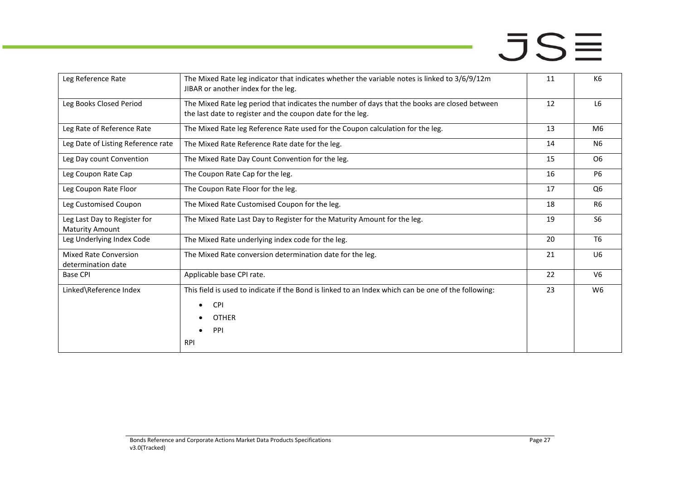**Card** 

| Leg Reference Rate                                     | The Mixed Rate leg indicator that indicates whether the variable notes is linked to 3/6/9/12m<br>JIBAR or another index for the leg.                                | 11 | K <sub>6</sub> |
|--------------------------------------------------------|---------------------------------------------------------------------------------------------------------------------------------------------------------------------|----|----------------|
| Leg Books Closed Period                                | The Mixed Rate leg period that indicates the number of days that the books are closed between<br>the last date to register and the coupon date for the leg.         | 12 | L <sub>6</sub> |
| Leg Rate of Reference Rate                             | The Mixed Rate leg Reference Rate used for the Coupon calculation for the leg.                                                                                      | 13 | M <sub>6</sub> |
| Leg Date of Listing Reference rate                     | The Mixed Rate Reference Rate date for the leg.                                                                                                                     | 14 | N <sub>6</sub> |
| Leg Day count Convention                               | The Mixed Rate Day Count Convention for the leg.                                                                                                                    | 15 | O <sub>6</sub> |
| Leg Coupon Rate Cap                                    | The Coupon Rate Cap for the leg.                                                                                                                                    | 16 | P <sub>6</sub> |
| Leg Coupon Rate Floor                                  | The Coupon Rate Floor for the leg.                                                                                                                                  | 17 | Q <sub>6</sub> |
| Leg Customised Coupon                                  | The Mixed Rate Customised Coupon for the leg.                                                                                                                       | 18 | R <sub>6</sub> |
| Leg Last Day to Register for<br><b>Maturity Amount</b> | The Mixed Rate Last Day to Register for the Maturity Amount for the leg.                                                                                            | 19 | S <sub>6</sub> |
| Leg Underlying Index Code                              | The Mixed Rate underlying index code for the leg.                                                                                                                   | 20 | T <sub>6</sub> |
| <b>Mixed Rate Conversion</b><br>determination date     | The Mixed Rate conversion determination date for the leg.                                                                                                           | 21 | U <sub>6</sub> |
| <b>Base CPI</b>                                        | Applicable base CPI rate.                                                                                                                                           | 22 | V <sub>6</sub> |
| Linked\Reference Index                                 | This field is used to indicate if the Bond is linked to an Index which can be one of the following:<br><b>CPI</b><br>$\bullet$<br><b>OTHER</b><br>PPI<br><b>RPI</b> | 23 | W <sub>6</sub> |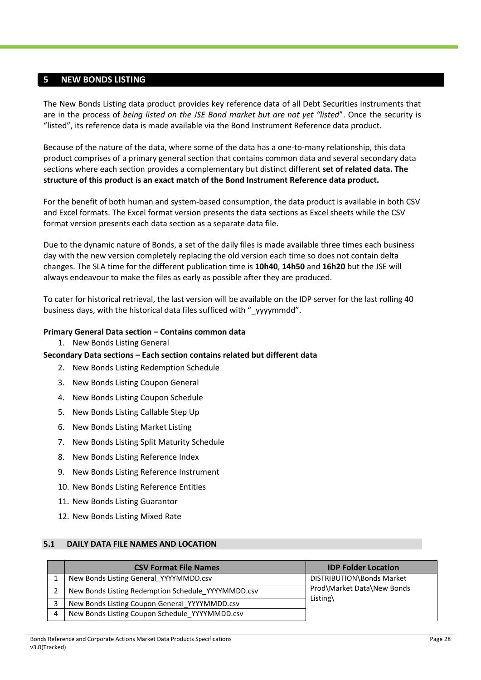#### <span id="page-27-0"></span>**5 NEW BONDS LISTING**

The New Bonds Listing data product provides key reference data of all Debt Securities instruments that are in the process of *being listed on the JSE Bond market but are not yet "listed*". Once the security is "listed", its reference data is made available via the Bond Instrument Reference data product.

Because of the nature of the data, where some of the data has a one-to-many relationship, this data product comprises of a primary general section that contains common data and several secondary data sections where each section provides a complementary but distinct different **set of related data. The structure of this product is an exact match of the Bond Instrument Reference data product.**

For the benefit of both human and system-based consumption, the data product is available in both CSV and Excel formats. The Excel format version presents the data sections as Excel sheets while the CSV format version presents each data section as a separate data file.

Due to the dynamic nature of Bonds, a set of the daily files is made available three times each business day with the new version completely replacing the old version each time so does not contain delta changes. The SLA time for the different publication time is **10h40**, **14h50** and **16h20** but the JSE will always endeavour to make the files as early as possible after they are produced.

To cater for historical retrieval, the last version will be available on the IDP server for the last rolling 40 business days, with the historical data files sufficed with " yyyymmdd".

#### **Primary General Data section – Contains common data**

1. New Bonds Listing General

#### **Secondary Data sections – Each section contains related but different data**

- 2. New Bonds Listing Redemption Schedule
- 3. New Bonds Listing Coupon General
- 4. New Bonds Listing Coupon Schedule
- 5. New Bonds Listing Callable Step Up
- 6. New Bonds Listing Market Listing
- 7. New Bonds Listing Split Maturity Schedule
- 8. New Bonds Listing Reference Index
- 9. New Bonds Listing Reference Instrument
- 10. New Bonds Listing Reference Entities
- 11. New Bonds Listing Guarantor
- 12. New Bonds Listing Mixed Rate

#### <span id="page-27-1"></span>**5.1 DAILY DATA FILE NAMES AND LOCATION**

|   | <b>CSV Format File Names</b>                       | <b>IDP Folder Location</b> |
|---|----------------------------------------------------|----------------------------|
|   | New Bonds Listing General YYYYMMDD.csv             | DISTRIBUTION\Bonds Market  |
| 2 | New Bonds Listing Redemption Schedule YYYYMMDD.csv | Prod\Market Data\New Bonds |
|   | New Bonds Listing Coupon General YYYYMMDD.csv      | Listing $\langle$          |
| 4 | New Bonds Listing Coupon Schedule YYYYMMDD.csv     |                            |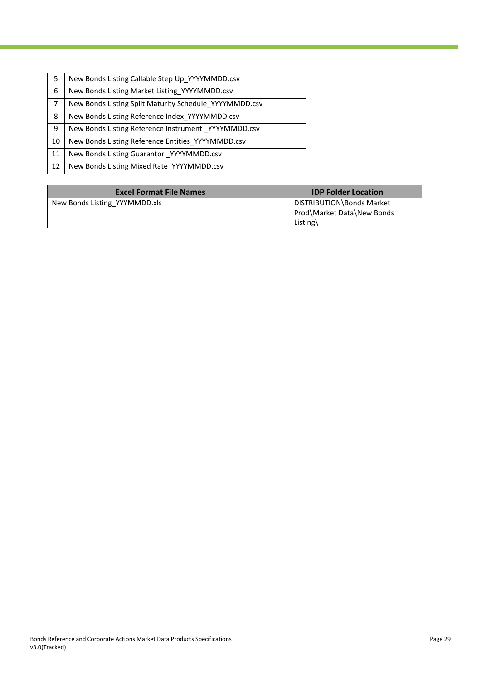|    | New Bonds Listing Callable Step Up YYYYMMDD.csv        |
|----|--------------------------------------------------------|
| 6  | New Bonds Listing Market Listing YYYYMMDD.csv          |
|    | New Bonds Listing Split Maturity Schedule YYYYMMDD.csv |
| 8  | New Bonds Listing Reference Index YYYYMMDD.csv         |
| 9  | New Bonds Listing Reference Instrument YYYYMMDD.csv    |
| 10 | New Bonds Listing Reference Entities YYYYMMDD.csv      |
| 11 | New Bonds Listing Guarantor YYYYMMDD.csv               |
| 12 | New Bonds Listing Mixed Rate YYYYMMDD.csv              |

| <b>Excel Format File Names</b> | <b>IDP Folder Location</b>                                          |
|--------------------------------|---------------------------------------------------------------------|
| New Bonds Listing YYYMMDD.xls  | DISTRIBUTION\Bonds Market<br>Prod\Market Data\New Bonds<br>Listing\ |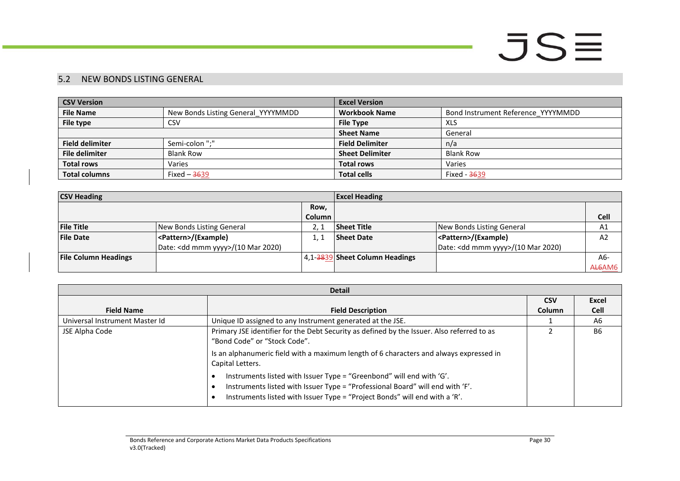### 5.2 NEW BONDS LISTING GENERAL

| <b>CSV Version</b>     |                                    | <b>Excel Version</b>   |                                    |
|------------------------|------------------------------------|------------------------|------------------------------------|
| <b>File Name</b>       | New Bonds Listing General YYYYMMDD | <b>Workbook Name</b>   | Bond Instrument Reference YYYYMMDD |
| File type              | <b>CSV</b>                         | <b>File Type</b>       | XLS                                |
|                        |                                    | <b>Sheet Name</b>      | General                            |
| <b>Field delimiter</b> | Semi-colon ";"                     | <b>Field Delimiter</b> | n/a                                |
| <b>File delimiter</b>  | <b>Blank Row</b>                   | <b>Sheet Delimiter</b> | <b>Blank Row</b>                   |
| <b>Total rows</b>      | Varies                             | <b>Total rows</b>      | Varies                             |
| <b>Total columns</b>   | Fixed $-3639$                      | <b>Total cells</b>     | Fixed - <del>36</del> 39           |

| <b>CSV Heading</b>          |                                              |               | <b>Excel Heading</b>           |                                              |                |
|-----------------------------|----------------------------------------------|---------------|--------------------------------|----------------------------------------------|----------------|
|                             |                                              | Row.          |                                |                                              |                |
|                             |                                              | <b>Column</b> |                                |                                              | <b>Cell</b>    |
| <b>File Title</b>           | New Bonds Listing General                    |               | <b>Sheet Title</b>             | New Bonds Listing General                    | A1             |
| <b>File Date</b>            | <pattern>/(Example)</pattern>                |               | <b>Sheet Date</b>              | <pattern>/(Example)</pattern>                | A <sub>2</sub> |
|                             | Date: <dd mmm="" yyyy="">/(10 Mar 2020)</dd> |               |                                | Date: <dd mmm="" yyyy="">/(10 Mar 2020)</dd> |                |
| <b>File Column Headings</b> |                                              |               | 4,1-3839 Sheet Column Headings |                                              | A6-            |
|                             |                                              |               |                                |                                              | AL6AM6         |

<span id="page-29-0"></span>

| <b>Detail</b>                  |                                                                                                                                                                                                                                     |               |             |
|--------------------------------|-------------------------------------------------------------------------------------------------------------------------------------------------------------------------------------------------------------------------------------|---------------|-------------|
|                                |                                                                                                                                                                                                                                     | <b>CSV</b>    | Excel       |
| <b>Field Name</b>              | <b>Field Description</b>                                                                                                                                                                                                            | <b>Column</b> | <b>Cell</b> |
| Universal Instrument Master Id | Unique ID assigned to any Instrument generated at the JSE.                                                                                                                                                                          |               | A6          |
| JSE Alpha Code                 | Primary JSE identifier for the Debt Security as defined by the Issuer. Also referred to as<br>"Bond Code" or "Stock Code".                                                                                                          |               | <b>B6</b>   |
|                                | Is an alphanumeric field with a maximum length of 6 characters and always expressed in<br>Capital Letters.                                                                                                                          |               |             |
|                                | Instruments listed with Issuer Type = "Greenbond" will end with 'G'.<br>Instruments listed with Issuer Type = "Professional Board" will end with 'F'.<br>Instruments listed with Issuer Type = "Project Bonds" will end with a 'R'. |               |             |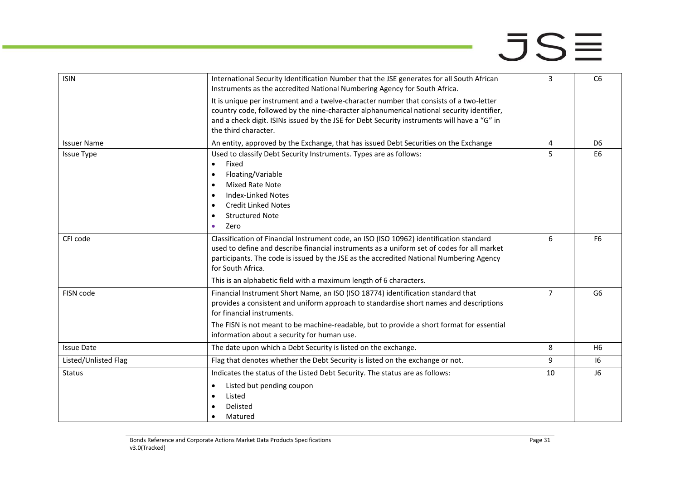| <b>ISIN</b>          | International Security Identification Number that the JSE generates for all South African<br>Instruments as the accredited National Numbering Agency for South Africa.                                                                                                                                                                                                      | 3              | C <sub>6</sub> |
|----------------------|-----------------------------------------------------------------------------------------------------------------------------------------------------------------------------------------------------------------------------------------------------------------------------------------------------------------------------------------------------------------------------|----------------|----------------|
|                      | It is unique per instrument and a twelve-character number that consists of a two-letter<br>country code, followed by the nine-character alphanumerical national security identifier,<br>and a check digit. ISINs issued by the JSE for Debt Security instruments will have a "G" in<br>the third character.                                                                 |                |                |
| <b>Issuer Name</b>   | An entity, approved by the Exchange, that has issued Debt Securities on the Exchange                                                                                                                                                                                                                                                                                        | 4              | D <sub>6</sub> |
| <b>Issue Type</b>    | Used to classify Debt Security Instruments. Types are as follows:<br>Fixed<br>$\bullet$<br>Floating/Variable<br>$\bullet$<br><b>Mixed Rate Note</b><br>$\bullet$<br><b>Index-Linked Notes</b><br>$\bullet$<br><b>Credit Linked Notes</b><br>$\bullet$<br><b>Structured Note</b><br>$\bullet$<br>Zero<br>$\bullet$                                                           | 5              | E <sub>6</sub> |
| CFI code             | Classification of Financial Instrument code, an ISO (ISO 10962) identification standard<br>used to define and describe financial instruments as a uniform set of codes for all market<br>participants. The code is issued by the JSE as the accredited National Numbering Agency<br>for South Africa.<br>This is an alphabetic field with a maximum length of 6 characters. | 6              | F <sub>6</sub> |
| FISN code            | Financial Instrument Short Name, an ISO (ISO 18774) identification standard that<br>provides a consistent and uniform approach to standardise short names and descriptions<br>for financial instruments.<br>The FISN is not meant to be machine-readable, but to provide a short format for essential<br>information about a security for human use.                        | $\overline{7}$ | G6             |
| <b>Issue Date</b>    | The date upon which a Debt Security is listed on the exchange.                                                                                                                                                                                                                                                                                                              | 8              | H <sub>6</sub> |
| Listed/Unlisted Flag | Flag that denotes whether the Debt Security is listed on the exchange or not.                                                                                                                                                                                                                                                                                               | 9              | 16             |
| <b>Status</b>        | Indicates the status of the Listed Debt Security. The status are as follows:<br>Listed but pending coupon<br>$\bullet$<br>Listed<br>$\bullet$<br>Delisted<br>$\bullet$<br>Matured<br>$\bullet$                                                                                                                                                                              | 10             | J <sub>6</sub> |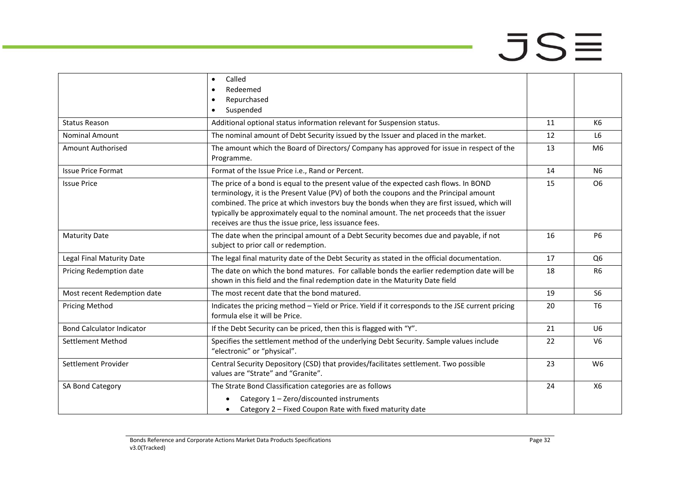|                                  | Called<br>$\bullet$                                                                                                                                                                                                                               |    |                |
|----------------------------------|---------------------------------------------------------------------------------------------------------------------------------------------------------------------------------------------------------------------------------------------------|----|----------------|
|                                  | Redeemed                                                                                                                                                                                                                                          |    |                |
|                                  | Repurchased<br>$\bullet$                                                                                                                                                                                                                          |    |                |
|                                  | Suspended                                                                                                                                                                                                                                         |    |                |
| <b>Status Reason</b>             | Additional optional status information relevant for Suspension status.                                                                                                                                                                            | 11 | K6             |
| <b>Nominal Amount</b>            | The nominal amount of Debt Security issued by the Issuer and placed in the market.                                                                                                                                                                | 12 | L <sub>6</sub> |
| <b>Amount Authorised</b>         | The amount which the Board of Directors/ Company has approved for issue in respect of the<br>Programme.                                                                                                                                           | 13 | M <sub>6</sub> |
| <b>Issue Price Format</b>        | Format of the Issue Price i.e., Rand or Percent.                                                                                                                                                                                                  | 14 | N <sub>6</sub> |
| <b>Issue Price</b>               | The price of a bond is equal to the present value of the expected cash flows. In BOND<br>terminology, it is the Present Value (PV) of both the coupons and the Principal amount                                                                   | 15 | O <sub>6</sub> |
|                                  | combined. The price at which investors buy the bonds when they are first issued, which will<br>typically be approximately equal to the nominal amount. The net proceeds that the issuer<br>receives are thus the issue price, less issuance fees. |    |                |
| <b>Maturity Date</b>             | The date when the principal amount of a Debt Security becomes due and payable, if not<br>subject to prior call or redemption.                                                                                                                     | 16 | <b>P6</b>      |
| <b>Legal Final Maturity Date</b> | The legal final maturity date of the Debt Security as stated in the official documentation.                                                                                                                                                       | 17 | Q <sub>6</sub> |
| Pricing Redemption date          | The date on which the bond matures. For callable bonds the earlier redemption date will be<br>shown in this field and the final redemption date in the Maturity Date field                                                                        | 18 | R <sub>6</sub> |
| Most recent Redemption date      | The most recent date that the bond matured.                                                                                                                                                                                                       | 19 | S <sub>6</sub> |
| <b>Pricing Method</b>            | Indicates the pricing method - Yield or Price. Yield if it corresponds to the JSE current pricing<br>formula else it will be Price.                                                                                                               | 20 | T <sub>6</sub> |
| <b>Bond Calculator Indicator</b> | If the Debt Security can be priced, then this is flagged with "Y".                                                                                                                                                                                | 21 | U <sub>6</sub> |
| <b>Settlement Method</b>         | Specifies the settlement method of the underlying Debt Security. Sample values include<br>"electronic" or "physical".                                                                                                                             | 22 | V <sub>6</sub> |
| Settlement Provider              | Central Security Depository (CSD) that provides/facilitates settlement. Two possible<br>values are "Strate" and "Granite".                                                                                                                        | 23 | W <sub>6</sub> |
| SA Bond Category                 | The Strate Bond Classification categories are as follows                                                                                                                                                                                          | 24 | X6             |
|                                  | Category 1 - Zero/discounted instruments<br>Category 2 - Fixed Coupon Rate with fixed maturity date<br>$\bullet$                                                                                                                                  |    |                |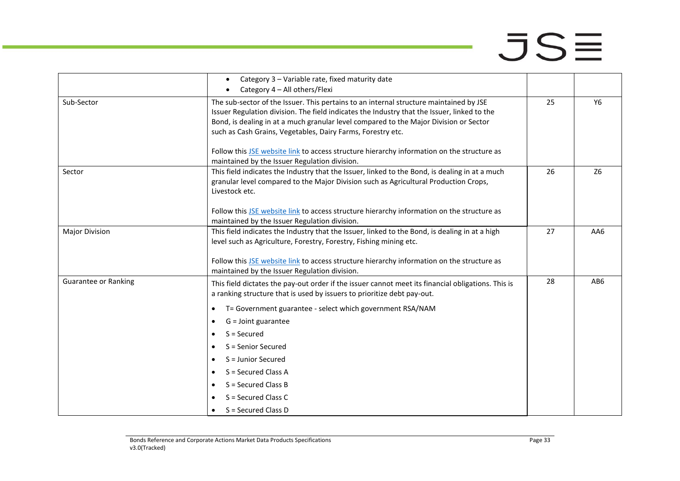and in

|                             | Category 3 - Variable rate, fixed maturity date<br>$\bullet$                                                                                                                                                                                                                                                                                  |    |                 |
|-----------------------------|-----------------------------------------------------------------------------------------------------------------------------------------------------------------------------------------------------------------------------------------------------------------------------------------------------------------------------------------------|----|-----------------|
|                             | Category 4 - All others/Flexi                                                                                                                                                                                                                                                                                                                 |    |                 |
| Sub-Sector                  | The sub-sector of the Issuer. This pertains to an internal structure maintained by JSE<br>Issuer Regulation division. The field indicates the Industry that the Issuer, linked to the<br>Bond, is dealing in at a much granular level compared to the Major Division or Sector<br>such as Cash Grains, Vegetables, Dairy Farms, Forestry etc. | 25 | <b>Y6</b>       |
|                             | Follow this JSE website link to access structure hierarchy information on the structure as<br>maintained by the Issuer Regulation division.                                                                                                                                                                                                   |    |                 |
| Sector                      | This field indicates the Industry that the Issuer, linked to the Bond, is dealing in at a much<br>granular level compared to the Major Division such as Agricultural Production Crops,<br>Livestock etc.                                                                                                                                      | 26 | Z <sub>6</sub>  |
|                             | Follow this JSE website link to access structure hierarchy information on the structure as<br>maintained by the Issuer Regulation division.                                                                                                                                                                                                   |    |                 |
| <b>Major Division</b>       | This field indicates the Industry that the Issuer, linked to the Bond, is dealing in at a high<br>level such as Agriculture, Forestry, Forestry, Fishing mining etc.<br>Follow this JSE website link to access structure hierarchy information on the structure as                                                                            | 27 | AA6             |
| <b>Guarantee or Ranking</b> | maintained by the Issuer Regulation division.<br>This field dictates the pay-out order if the issuer cannot meet its financial obligations. This is<br>a ranking structure that is used by issuers to prioritize debt pay-out.                                                                                                                | 28 | AB <sub>6</sub> |
|                             | T= Government guarantee - select which government RSA/NAM<br>$\bullet$<br>G = Joint guarantee<br>$\bullet$<br>$S =$ Secured<br>$\bullet$<br>S = Senior Secured<br>$\bullet$<br>S = Junior Secured<br>$\bullet$<br>S = Secured Class A<br>$\bullet$<br>S = Secured Class B<br>$\bullet$<br>S = Secured Class C                                 |    |                 |
|                             | S = Secured Class D                                                                                                                                                                                                                                                                                                                           |    |                 |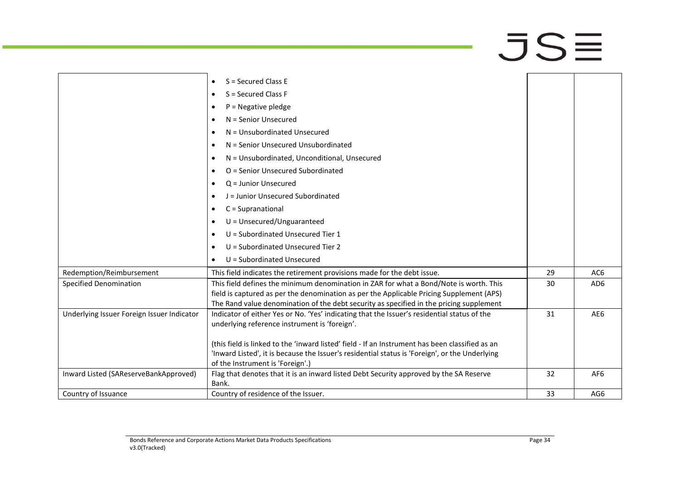and in

|                                            | S = Secured Class E<br>$\bullet$                                                                |    |                 |
|--------------------------------------------|-------------------------------------------------------------------------------------------------|----|-----------------|
|                                            | $S =$ Secured Class F<br>$\bullet$                                                              |    |                 |
|                                            | $P = Negative$ pledge<br>$\bullet$                                                              |    |                 |
|                                            | N = Senior Unsecured<br>٠                                                                       |    |                 |
|                                            | N = Unsubordinated Unsecured<br>٠                                                               |    |                 |
|                                            | N = Senior Unsecured Unsubordinated<br>$\bullet$                                                |    |                 |
|                                            | N = Unsubordinated, Unconditional, Unsecured<br>٠                                               |    |                 |
|                                            | O = Senior Unsecured Subordinated<br>$\bullet$                                                  |    |                 |
|                                            | $Q =$ Junior Unsecured<br>$\bullet$                                                             |    |                 |
|                                            | J = Junior Unsecured Subordinated<br>$\bullet$                                                  |    |                 |
|                                            | $C =$ Supranational<br>$\bullet$                                                                |    |                 |
|                                            | $U =$ Unsecured/Unguaranteed<br>$\bullet$                                                       |    |                 |
|                                            | $U =$ Subordinated Unsecured Tier 1<br>٠                                                        |    |                 |
|                                            | U = Subordinated Unsecured Tier 2<br>$\bullet$                                                  |    |                 |
|                                            | U = Subordinated Unsecured<br>$\bullet$                                                         |    |                 |
| Redemption/Reimbursement                   | This field indicates the retirement provisions made for the debt issue.                         | 29 | AC6             |
| <b>Specified Denomination</b>              | This field defines the minimum denomination in ZAR for what a Bond/Note is worth. This          | 30 | AD <sub>6</sub> |
|                                            | field is captured as per the denomination as per the Applicable Pricing Supplement (APS)        |    |                 |
|                                            | The Rand value denomination of the debt security as specified in the pricing supplement         |    |                 |
| Underlying Issuer Foreign Issuer Indicator | Indicator of either Yes or No. 'Yes' indicating that the Issuer's residential status of the     | 31 | AE6             |
|                                            | underlying reference instrument is 'foreign'.                                                   |    |                 |
|                                            | (this field is linked to the 'inward listed' field - If an Instrument has been classified as an |    |                 |
|                                            | 'Inward Listed', it is because the Issuer's residential status is 'Foreign', or the Underlying  |    |                 |
|                                            | of the Instrument is 'Foreign'.)                                                                |    |                 |
| Inward Listed (SAReserveBankApproved)      | Flag that denotes that it is an inward listed Debt Security approved by the SA Reserve          | 32 | AF <sub>6</sub> |
|                                            | Bank.                                                                                           |    |                 |
| Country of Issuance                        | Country of residence of the Issuer.                                                             | 33 | AG6             |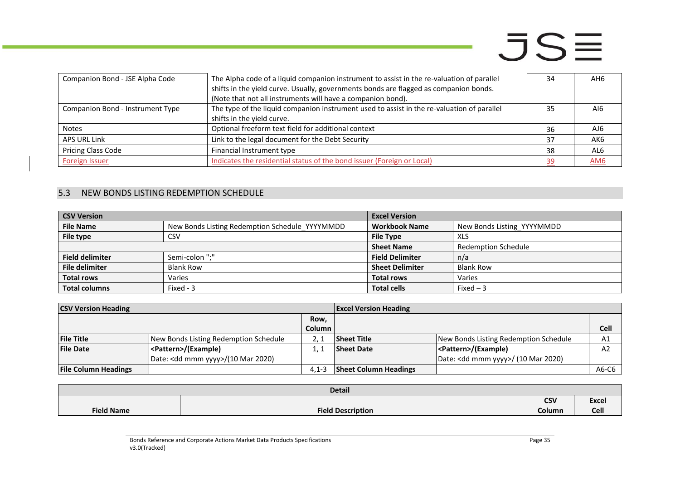| Companion Bond - JSE Alpha Code  | The Alpha code of a liquid companion instrument to assist in the re-valuation of parallel<br>shifts in the yield curve. Usually, governments bonds are flagged as companion bonds.<br>(Note that not all instruments will have a companion bond). | 34 | AH6 |
|----------------------------------|---------------------------------------------------------------------------------------------------------------------------------------------------------------------------------------------------------------------------------------------------|----|-----|
| Companion Bond - Instrument Type | The type of the liquid companion instrument used to assist in the re-valuation of parallel<br>shifts in the yield curve.                                                                                                                          | 35 | AI6 |
| <b>Notes</b>                     | Optional freeform text field for additional context                                                                                                                                                                                               | 36 | AJ6 |
| APS URL Link                     | Link to the legal document for the Debt Security                                                                                                                                                                                                  | 37 | AK6 |
| <b>Pricing Class Code</b>        | Financial Instrument type                                                                                                                                                                                                                         | 38 | AL6 |
| <b>Foreign Issuer</b>            | Indicates the residential status of the bond issuer (Foreign or Local)                                                                                                                                                                            | 39 | AM6 |

### 5.3 NEW BONDS LISTING REDEMPTION SCHEDULE

| <b>CSV Version</b>     |                                                | <b>Excel Version</b>   |                            |
|------------------------|------------------------------------------------|------------------------|----------------------------|
| <b>File Name</b>       | New Bonds Listing Redemption Schedule YYYYMMDD | <b>Workbook Name</b>   | New Bonds Listing YYYYMMDD |
| File type              | CSV                                            | <b>File Type</b>       | XLS                        |
|                        |                                                | <b>Sheet Name</b>      | Redemption Schedule        |
| <b>Field delimiter</b> | Semi-colon ";"                                 | <b>Field Delimiter</b> | n/a                        |
| <b>File delimiter</b>  | <b>Blank Row</b>                               | <b>Sheet Delimiter</b> | <b>Blank Row</b>           |
| <b>Total rows</b>      | Varies                                         | <b>Total rows</b>      | Varies                     |
| <b>Total columns</b>   | Fixed - 3                                      | <b>Total cells</b>     | Fixed $-3$                 |

| <b>CSV Version Heading</b>  |                                       |               | <b>Excel Version Heading</b> |                                               |                |
|-----------------------------|---------------------------------------|---------------|------------------------------|-----------------------------------------------|----------------|
|                             |                                       | Row.          |                              |                                               |                |
|                             |                                       | <b>Column</b> |                              |                                               | Cell           |
| <b>File Title</b>           | New Bonds Listing Redemption Schedule |               | <b>Sheet Title</b>           | New Bonds Listing Redemption Schedule         | A1             |
| <b>File Date</b>            | <pattern>/(Example)</pattern>         |               | <b>Sheet Date</b>            | <pattern>/(Example)</pattern>                 | A <sub>2</sub> |
|                             | Date: < dd mmm yyyy>/(10 Mar 2020)    |               |                              | Date: <dd mmm="" yyyy="">/ (10 Mar 2020)</dd> |                |
| <b>File Column Headings</b> |                                       | $4.1 - 3$     | <b>Sheet Column Headings</b> |                                               | A6-C6          |

<span id="page-34-0"></span>

| <b>Detail</b>     |                          |            |              |  |
|-------------------|--------------------------|------------|--------------|--|
|                   |                          | <b>CSV</b> | <b>Excel</b> |  |
| <b>Field Name</b> | <b>Field Description</b> | Column     | Cell         |  |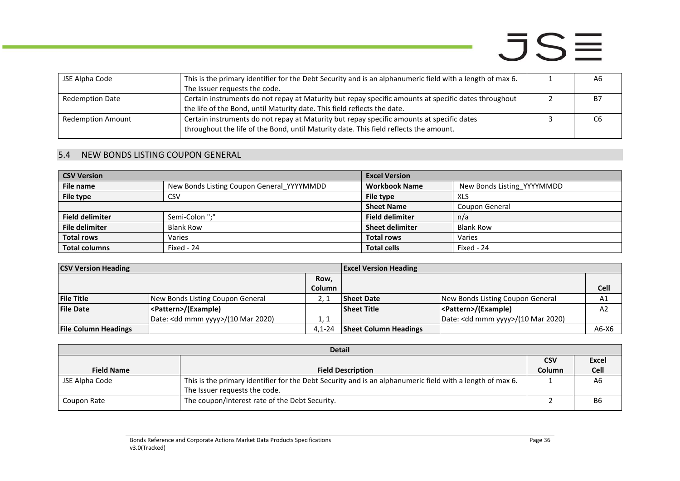| JSE Alpha Code           | This is the primary identifier for the Debt Security and is an alphanumeric field with a length of max 6.<br>The Issuer requests the code.                                         | A6 |
|--------------------------|------------------------------------------------------------------------------------------------------------------------------------------------------------------------------------|----|
| <b>Redemption Date</b>   | Certain instruments do not repay at Maturity but repay specific amounts at specific dates throughout<br>the life of the Bond, until Maturity date. This field reflects the date.   | B7 |
| <b>Redemption Amount</b> | Certain instruments do not repay at Maturity but repay specific amounts at specific dates<br>throughout the life of the Bond, until Maturity date. This field reflects the amount. | C6 |

### 5.4 NEW BONDS LISTING COUPON GENERAL

| <b>CSV Version</b>     |                                           | <b>Excel Version</b>   |                            |
|------------------------|-------------------------------------------|------------------------|----------------------------|
| File name              | New Bonds Listing Coupon General YYYYMMDD | <b>Workbook Name</b>   | New Bonds Listing YYYYMMDD |
| File type              | CSV                                       | File type              | XLS                        |
|                        |                                           | <b>Sheet Name</b>      | Coupon General             |
| <b>Field delimiter</b> | Semi-Colon ":"                            | <b>Field delimiter</b> | n/a                        |
| <b>File delimiter</b>  | <b>Blank Row</b>                          | <b>Sheet delimiter</b> | <b>Blank Row</b>           |
| <b>Total rows</b>      | Varies                                    | <b>Total rows</b>      | Varies                     |
| <b>Total columns</b>   | Fixed - 24                                | <b>Total cells</b>     | Fixed - 24                 |

| <b>CSV Version Heading</b>  |                                              | <b>Excel Version Heading</b> |                              |                                              |                |
|-----------------------------|----------------------------------------------|------------------------------|------------------------------|----------------------------------------------|----------------|
|                             |                                              | Row,                         |                              |                                              |                |
|                             |                                              | Column                       |                              |                                              | Cell           |
| <b>File Title</b>           | New Bonds Listing Coupon General             |                              | <b>Sheet Date</b>            | New Bonds Listing Coupon General             | A1             |
| <b>File Date</b>            | <pattern>/(Example)</pattern>                |                              | <b>Sheet Title</b>           | <pattern>/(Example)</pattern>                | A <sub>2</sub> |
|                             | Date: <dd mmm="" yyyy="">/(10 Mar 2020)</dd> | 1, 1                         |                              | Date: <dd mmm="" yyyy="">/(10 Mar 2020)</dd> |                |
| <b>File Column Headings</b> |                                              | $4.1 - 24$                   | <b>Sheet Column Headings</b> |                                              | $A6-X6$        |

<span id="page-35-0"></span>

|                   | <b>Detail</b>                                                                                             |            |             |  |  |
|-------------------|-----------------------------------------------------------------------------------------------------------|------------|-------------|--|--|
|                   |                                                                                                           | <b>CSV</b> | Excel       |  |  |
| <b>Field Name</b> | <b>Field Description</b>                                                                                  | Column     | <b>Cell</b> |  |  |
| JSE Alpha Code    | This is the primary identifier for the Debt Security and is an alphanumeric field with a length of max 6. |            | A6          |  |  |
|                   | The Issuer requests the code.                                                                             |            |             |  |  |
| Coupon Rate       | The coupon/interest rate of the Debt Security.                                                            |            | <b>B6</b>   |  |  |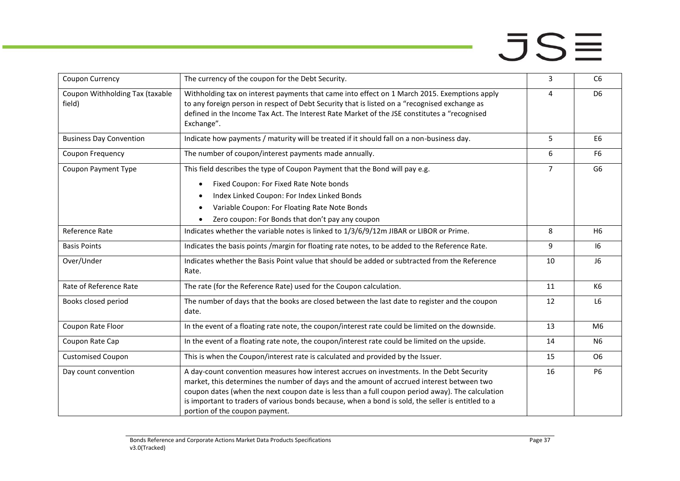| Coupon Currency                           | The currency of the coupon for the Debt Security.                                                                                                                                                                                                                                                                                                                                                                                  | 3              | C <sub>6</sub> |
|-------------------------------------------|------------------------------------------------------------------------------------------------------------------------------------------------------------------------------------------------------------------------------------------------------------------------------------------------------------------------------------------------------------------------------------------------------------------------------------|----------------|----------------|
| Coupon Withholding Tax (taxable<br>field) | Withholding tax on interest payments that came into effect on 1 March 2015. Exemptions apply<br>to any foreign person in respect of Debt Security that is listed on a "recognised exchange as<br>defined in the Income Tax Act. The Interest Rate Market of the JSE constitutes a "recognised<br>Exchange".                                                                                                                        | 4              | D <sub>6</sub> |
| <b>Business Day Convention</b>            | Indicate how payments / maturity will be treated if it should fall on a non-business day.                                                                                                                                                                                                                                                                                                                                          | 5              | E <sub>6</sub> |
| Coupon Frequency                          | The number of coupon/interest payments made annually.                                                                                                                                                                                                                                                                                                                                                                              | 6              | F <sub>6</sub> |
| Coupon Payment Type                       | This field describes the type of Coupon Payment that the Bond will pay e.g.                                                                                                                                                                                                                                                                                                                                                        | $\overline{7}$ | G <sub>6</sub> |
|                                           | Fixed Coupon: For Fixed Rate Note bonds                                                                                                                                                                                                                                                                                                                                                                                            |                |                |
|                                           | Index Linked Coupon: For Index Linked Bonds                                                                                                                                                                                                                                                                                                                                                                                        |                |                |
|                                           | Variable Coupon: For Floating Rate Note Bonds                                                                                                                                                                                                                                                                                                                                                                                      |                |                |
|                                           | Zero coupon: For Bonds that don't pay any coupon                                                                                                                                                                                                                                                                                                                                                                                   |                |                |
| Reference Rate                            | Indicates whether the variable notes is linked to 1/3/6/9/12m JIBAR or LIBOR or Prime.                                                                                                                                                                                                                                                                                                                                             | 8              | H <sub>6</sub> |
| <b>Basis Points</b>                       | Indicates the basis points /margin for floating rate notes, to be added to the Reference Rate.                                                                                                                                                                                                                                                                                                                                     | 9              | 16             |
| Over/Under                                | Indicates whether the Basis Point value that should be added or subtracted from the Reference<br>Rate.                                                                                                                                                                                                                                                                                                                             | 10             | J6             |
| Rate of Reference Rate                    | The rate (for the Reference Rate) used for the Coupon calculation.                                                                                                                                                                                                                                                                                                                                                                 | 11             | K6             |
| Books closed period                       | The number of days that the books are closed between the last date to register and the coupon<br>date.                                                                                                                                                                                                                                                                                                                             | 12             | L <sub>6</sub> |
| Coupon Rate Floor                         | In the event of a floating rate note, the coupon/interest rate could be limited on the downside.                                                                                                                                                                                                                                                                                                                                   | 13             | M <sub>6</sub> |
| Coupon Rate Cap                           | In the event of a floating rate note, the coupon/interest rate could be limited on the upside.                                                                                                                                                                                                                                                                                                                                     | 14             | N <sub>6</sub> |
| <b>Customised Coupon</b>                  | This is when the Coupon/interest rate is calculated and provided by the Issuer.                                                                                                                                                                                                                                                                                                                                                    | 15             | <b>O6</b>      |
| Day count convention                      | A day-count convention measures how interest accrues on investments. In the Debt Security<br>market, this determines the number of days and the amount of accrued interest between two<br>coupon dates (when the next coupon date is less than a full coupon period away). The calculation<br>is important to traders of various bonds because, when a bond is sold, the seller is entitled to a<br>portion of the coupon payment. | 16             | <b>P6</b>      |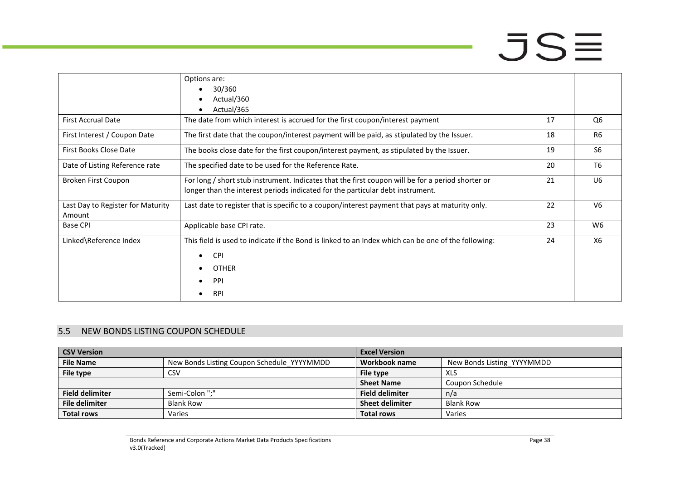|                                             | Options are:<br>30/360<br>Actual/360                                                                                                                                                |    |                |
|---------------------------------------------|-------------------------------------------------------------------------------------------------------------------------------------------------------------------------------------|----|----------------|
|                                             | Actual/365                                                                                                                                                                          |    |                |
| <b>First Accrual Date</b>                   | The date from which interest is accrued for the first coupon/interest payment                                                                                                       | 17 | Q6             |
| First Interest / Coupon Date                | The first date that the coupon/interest payment will be paid, as stipulated by the Issuer.                                                                                          | 18 | R <sub>6</sub> |
| First Books Close Date                      | The books close date for the first coupon/interest payment, as stipulated by the Issuer.                                                                                            | 19 | S <sub>6</sub> |
| Date of Listing Reference rate              | The specified date to be used for the Reference Rate.                                                                                                                               | 20 | T <sub>6</sub> |
| Broken First Coupon                         | For long / short stub instrument. Indicates that the first coupon will be for a period shorter or<br>longer than the interest periods indicated for the particular debt instrument. | 21 | U <sub>6</sub> |
| Last Day to Register for Maturity<br>Amount | Last date to register that is specific to a coupon/interest payment that pays at maturity only.                                                                                     | 22 | V <sub>6</sub> |
| <b>Base CPI</b>                             | Applicable base CPI rate.                                                                                                                                                           | 23 | W6             |
| Linked\Reference Index                      | This field is used to indicate if the Bond is linked to an Index which can be one of the following:<br><b>CPI</b><br>$\bullet$<br><b>OTHER</b><br>PPI<br><b>RPI</b>                 | 24 | X6             |

### 5.5 NEW BONDS LISTING COUPON SCHEDULE

<span id="page-37-0"></span>

| <b>CSV Version</b>     |                                            | <b>Excel Version</b>   |                            |
|------------------------|--------------------------------------------|------------------------|----------------------------|
| <b>File Name</b>       | New Bonds Listing Coupon Schedule_YYYYMMDD | Workbook name          | New Bonds Listing YYYYMMDD |
| File type              | CSV                                        | File type              | XLS                        |
|                        |                                            | <b>Sheet Name</b>      | Coupon Schedule            |
| <b>Field delimiter</b> | Semi-Colon ";"                             | <b>Field delimiter</b> | n/a                        |
| <b>File delimiter</b>  | <b>Blank Row</b>                           | <b>Sheet delimiter</b> | <b>Blank Row</b>           |
| <b>Total rows</b>      | Varies                                     | <b>Total rows</b>      | Varies                     |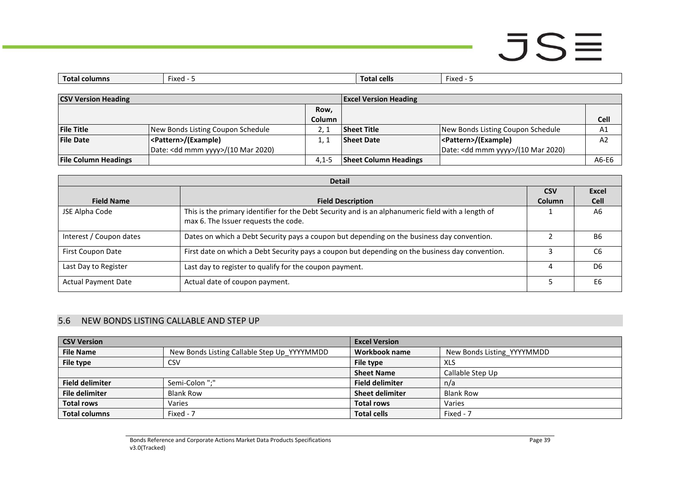| Total<br>al columns | Fixed | Total cells | Fixed |
|---------------------|-------|-------------|-------|
|                     |       |             |       |

| <b>CSV Version Heading</b>  |                                              | <b>Excel Version Heading</b> |                              |                                              |                |
|-----------------------------|----------------------------------------------|------------------------------|------------------------------|----------------------------------------------|----------------|
|                             |                                              | Row,                         |                              |                                              |                |
|                             |                                              | Column                       |                              |                                              | <b>Cell</b>    |
| <b>File Title</b>           | New Bonds Listing Coupon Schedule            |                              | <b>Sheet Title</b>           | New Bonds Listing Coupon Schedule            | A1             |
| <b>File Date</b>            | <pattern>/(Example)</pattern>                |                              | <b>Sheet Date</b>            | <pattern>/(Example)</pattern>                | A <sub>2</sub> |
|                             | Date: <dd mmm="" yyyy="">/(10 Mar 2020)</dd> |                              |                              | Date: <dd mmm="" yyyy="">/(10 Mar 2020)</dd> |                |
| <b>File Column Headings</b> |                                              | $4.1 - 5$                    | <b>Sheet Column Headings</b> |                                              | A6-E6          |

| <b>Detail</b>              |                                                                                                                                            |            |                |  |
|----------------------------|--------------------------------------------------------------------------------------------------------------------------------------------|------------|----------------|--|
|                            |                                                                                                                                            | <b>CSV</b> | Excel          |  |
| <b>Field Name</b>          | <b>Field Description</b>                                                                                                                   | Column     | <b>Cell</b>    |  |
| JSE Alpha Code             | This is the primary identifier for the Debt Security and is an alphanumeric field with a length of<br>max 6. The Issuer requests the code. |            | A6             |  |
| Interest / Coupon dates    | Dates on which a Debt Security pays a coupon but depending on the business day convention.                                                 |            | B6             |  |
| First Coupon Date          | First date on which a Debt Security pays a coupon but depending on the business day convention.                                            |            | C6             |  |
| Last Day to Register       | Last day to register to qualify for the coupon payment.                                                                                    |            | D <sub>6</sub> |  |
| <b>Actual Payment Date</b> | Actual date of coupon payment.                                                                                                             |            | E <sub>6</sub> |  |

### 5.6 NEW BONDS LISTING CALLABLE AND STEP UP

<span id="page-38-0"></span>

| <b>CSV Version</b>     |                                             | <b>Excel Version</b>   |                            |
|------------------------|---------------------------------------------|------------------------|----------------------------|
| <b>File Name</b>       | New Bonds Listing Callable Step Up YYYYMMDD | Workbook name          | New Bonds Listing YYYYMMDD |
| File type              | CSV                                         | File type              | <b>XLS</b>                 |
|                        |                                             | <b>Sheet Name</b>      | Callable Step Up           |
| <b>Field delimiter</b> | Semi-Colon ";"                              | <b>Field delimiter</b> | n/a                        |
| <b>File delimiter</b>  | <b>Blank Row</b>                            | <b>Sheet delimiter</b> | <b>Blank Row</b>           |
| <b>Total rows</b>      | Varies                                      | <b>Total rows</b>      | Varies                     |
| <b>Total columns</b>   | Fixed - 7                                   | <b>Total cells</b>     | Fixed - 7                  |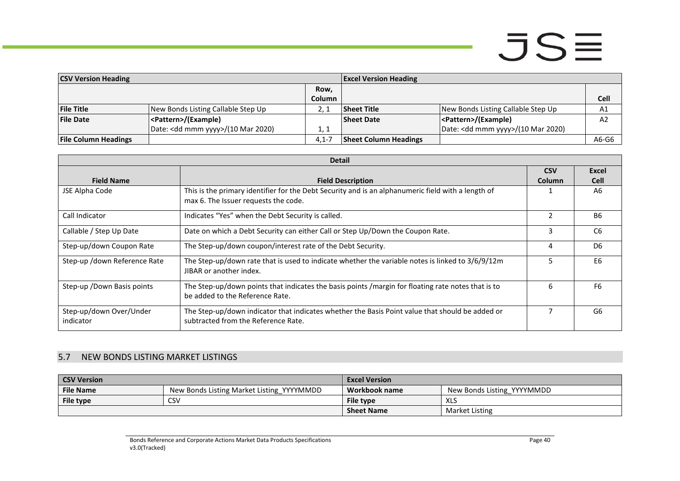| <b>CSV Version Heading</b><br><b>Excel Version Heading</b> |                                              |         |                              |                                              |                |
|------------------------------------------------------------|----------------------------------------------|---------|------------------------------|----------------------------------------------|----------------|
|                                                            |                                              | Row,    |                              |                                              |                |
|                                                            |                                              | Column  |                              |                                              | Cell           |
| <b>File Title</b>                                          | New Bonds Listing Callable Step Up           |         | <b>Sheet Title</b>           | New Bonds Listing Callable Step Up           | A1             |
| <b>File Date</b>                                           | <pattern>/(Example)</pattern>                |         | <b>Sheet Date</b>            | <pattern>/(Example)</pattern>                | A <sub>2</sub> |
|                                                            | Date: <dd mmm="" yyyy="">/(10 Mar 2020)</dd> | 1. 1    |                              | Date: <dd mmm="" yyyy="">/(10 Mar 2020)</dd> |                |
| <b>File Column Headings</b>                                |                                              | $4.1 -$ | <b>Sheet Column Headings</b> |                                              | A6-G6          |

| <b>Detail</b>                        |                                                                                                                                            |                |                |  |  |
|--------------------------------------|--------------------------------------------------------------------------------------------------------------------------------------------|----------------|----------------|--|--|
|                                      |                                                                                                                                            | <b>CSV</b>     | Excel          |  |  |
| <b>Field Name</b>                    | <b>Field Description</b>                                                                                                                   | <b>Column</b>  | <b>Cell</b>    |  |  |
| JSE Alpha Code                       | This is the primary identifier for the Debt Security and is an alphanumeric field with a length of<br>max 6. The Issuer requests the code. |                | A6             |  |  |
| Call Indicator                       | Indicates "Yes" when the Debt Security is called.                                                                                          | $\mathfrak{p}$ | <b>B6</b>      |  |  |
| Callable / Step Up Date              | Date on which a Debt Security can either Call or Step Up/Down the Coupon Rate.                                                             | 3              | C <sub>6</sub> |  |  |
| Step-up/down Coupon Rate             | The Step-up/down coupon/interest rate of the Debt Security.                                                                                | 4              | D <sub>6</sub> |  |  |
| Step-up /down Reference Rate         | The Step-up/down rate that is used to indicate whether the variable notes is linked to 3/6/9/12m<br>JIBAR or another index.                | ╮              | E <sub>6</sub> |  |  |
| Step-up / Down Basis points          | The Step-up/down points that indicates the basis points /margin for floating rate notes that is to<br>be added to the Reference Rate.      | 6              | F <sub>6</sub> |  |  |
| Step-up/down Over/Under<br>indicator | The Step-up/down indicator that indicates whether the Basis Point value that should be added or<br>subtracted from the Reference Rate.     |                | G6             |  |  |

### 5.7 NEW BONDS LISTING MARKET LISTINGS

<span id="page-39-0"></span>

| <b>CSV Version</b> |                                           | <b>Excel Version</b> |                            |
|--------------------|-------------------------------------------|----------------------|----------------------------|
| <b>File Name</b>   | New Bonds Listing Market Listing_YYYYMMDD | Workbook name        | New Bonds Listing YYYYMMDD |
| File type          | CS۷                                       | File type            | XLS                        |
|                    |                                           | <b>Sheet Name</b>    | Market Listing             |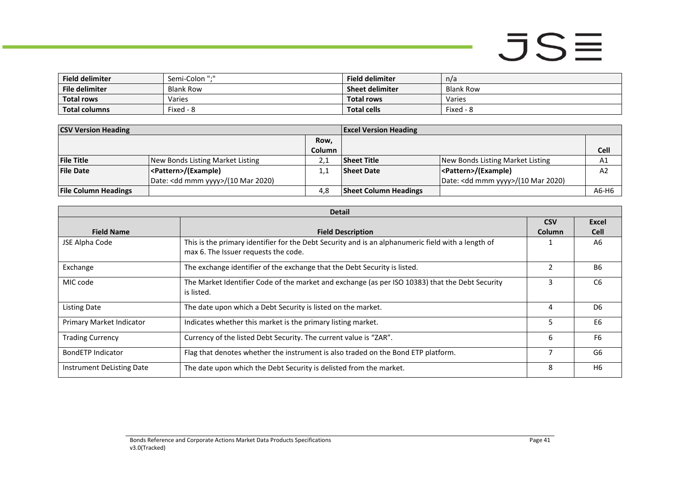| <b>Field delimiter</b> | Semi-Colon ";"   | <b>Field delimiter</b> | n/a              |
|------------------------|------------------|------------------------|------------------|
| <b>File delimiter</b>  | <b>Blank Row</b> | <b>Sheet delimiter</b> | <b>Blank Row</b> |
| <b>Total rows</b>      | Varies           | <b>Total rows</b>      | Varies           |
| <b>Total columns</b>   | Fixed - 8        | <b>Total cells</b>     | Fixed - 8        |

| <b>CSV Version Heading</b>  |                                              | <b>Excel Version Heading</b> |                              |                                              |                |
|-----------------------------|----------------------------------------------|------------------------------|------------------------------|----------------------------------------------|----------------|
|                             |                                              | Row,                         |                              |                                              |                |
|                             |                                              | Column                       |                              |                                              | Cell           |
| <b>File Title</b>           | New Bonds Listing Market Listing             | 2.1                          | <b>Sheet Title</b>           | New Bonds Listing Market Listing             | A1             |
| <b>File Date</b>            | <pattern>/(Example)</pattern>                | $\pm .3$                     | <b>Sheet Date</b>            | <pattern>/(Example)</pattern>                | A <sub>2</sub> |
|                             | Date: <dd mmm="" yyyy="">/(10 Mar 2020)</dd> |                              |                              | Date: <dd mmm="" yyyy="">/(10 Mar 2020)</dd> |                |
| <b>File Column Headings</b> |                                              | 4.8                          | <b>Sheet Column Headings</b> |                                              | A6-H6          |

|                           | <b>Detail</b>                                                                                                                              |                             |                      |  |  |  |
|---------------------------|--------------------------------------------------------------------------------------------------------------------------------------------|-----------------------------|----------------------|--|--|--|
| <b>Field Name</b>         | <b>Field Description</b>                                                                                                                   | <b>CSV</b><br><b>Column</b> | Excel<br><b>Cell</b> |  |  |  |
| JSE Alpha Code            | This is the primary identifier for the Debt Security and is an alphanumeric field with a length of<br>max 6. The Issuer requests the code. |                             | A6                   |  |  |  |
| Exchange                  | The exchange identifier of the exchange that the Debt Security is listed.                                                                  | 2                           | <b>B6</b>            |  |  |  |
| MIC code                  | The Market Identifier Code of the market and exchange (as per ISO 10383) that the Debt Security<br>is listed.                              | 3                           | C <sub>6</sub>       |  |  |  |
| <b>Listing Date</b>       | The date upon which a Debt Security is listed on the market.                                                                               | 4                           | D <sub>6</sub>       |  |  |  |
| Primary Market Indicator  | Indicates whether this market is the primary listing market.                                                                               | 5                           | E <sub>6</sub>       |  |  |  |
| <b>Trading Currency</b>   | Currency of the listed Debt Security. The current value is "ZAR".                                                                          | 6                           | F <sub>6</sub>       |  |  |  |
| BondETP Indicator         | Flag that denotes whether the instrument is also traded on the Bond ETP platform.                                                          |                             | G6                   |  |  |  |
| Instrument DeListing Date | The date upon which the Debt Security is delisted from the market.                                                                         | 8                           | H <sub>6</sub>       |  |  |  |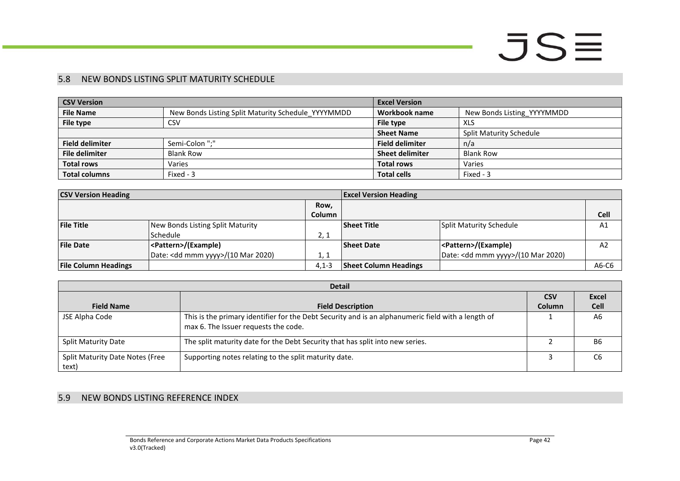### 5.8 NEW BONDS LISTING SPLIT MATURITY SCHEDULE

| <b>CSV Version</b>     |                                                    | <b>Excel Version</b>   |                                |
|------------------------|----------------------------------------------------|------------------------|--------------------------------|
| <b>File Name</b>       | New Bonds Listing Split Maturity Schedule YYYYMMDD | Workbook name          | New Bonds Listing YYYYMMDD     |
| File type              | <b>CSV</b>                                         | File type              | <b>XLS</b>                     |
|                        |                                                    | <b>Sheet Name</b>      | <b>Split Maturity Schedule</b> |
| <b>Field delimiter</b> | Semi-Colon ";"                                     | <b>Field delimiter</b> | n/a                            |
| <b>File delimiter</b>  | <b>Blank Row</b>                                   | <b>Sheet delimiter</b> | <b>Blank Row</b>               |
| <b>Total rows</b>      | Varies                                             | <b>Total rows</b>      | Varies                         |
| <b>Total columns</b>   | Fixed - 3                                          | <b>Total cells</b>     | Fixed - 3                      |

| <b>CSV Version Heading</b>  |                                              | <b>Excel Version Heading</b> |                              |                                              |                |
|-----------------------------|----------------------------------------------|------------------------------|------------------------------|----------------------------------------------|----------------|
|                             |                                              | Row,                         |                              |                                              |                |
|                             |                                              | <b>Column</b>                |                              |                                              | <b>Cell</b>    |
| <b>File Title</b>           | New Bonds Listing Split Maturity             |                              | <b>Sheet Title</b>           | Split Maturity Schedule                      | A <sub>1</sub> |
|                             | <b>Schedule</b>                              | 2, 1                         |                              |                                              |                |
| <b>File Date</b>            | <pattern>/(Example)</pattern>                |                              | <b>Sheet Date</b>            | <pattern>/(Example)</pattern>                | A2             |
|                             | Date: <dd mmm="" yyyy="">/(10 Mar 2020)</dd> | 1, 1                         |                              | Date: <dd mmm="" yyyy="">/(10 Mar 2020)</dd> |                |
| <b>File Column Headings</b> |                                              | $4.1 - 3$                    | <b>Sheet Column Headings</b> |                                              | $A6-C6$        |

<span id="page-41-0"></span>

|                                          | <b>Detail</b>                                                                                                                              |            |                |  |  |  |
|------------------------------------------|--------------------------------------------------------------------------------------------------------------------------------------------|------------|----------------|--|--|--|
|                                          |                                                                                                                                            | <b>CSV</b> | <b>Excel</b>   |  |  |  |
| <b>Field Name</b>                        | <b>Field Description</b>                                                                                                                   | Column     | <b>Cell</b>    |  |  |  |
| JSE Alpha Code                           | This is the primary identifier for the Debt Security and is an alphanumeric field with a length of<br>max 6. The Issuer requests the code. |            | A <sub>6</sub> |  |  |  |
| <b>Split Maturity Date</b>               | The split maturity date for the Debt Security that has split into new series.                                                              |            | B6             |  |  |  |
| Split Maturity Date Notes (Free<br>text) | Supporting notes relating to the split maturity date.                                                                                      |            | C6             |  |  |  |

### <span id="page-41-1"></span>5.9 NEW BONDS LISTING REFERENCE INDEX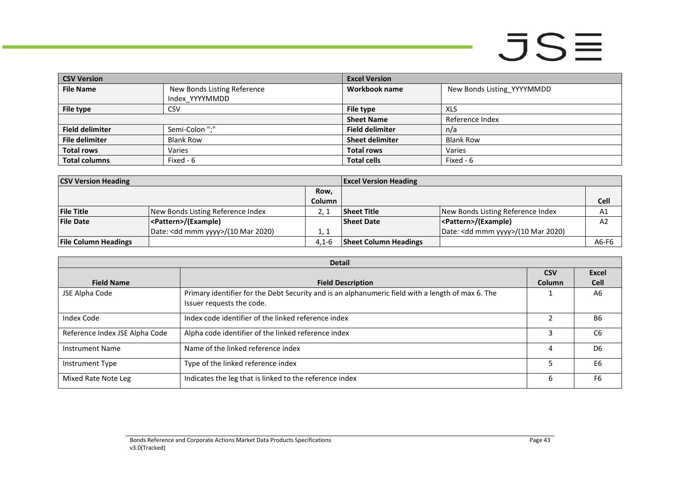**Card** 

| <b>CSV Version</b>     |                             | <b>Excel Version</b>   |                            |
|------------------------|-----------------------------|------------------------|----------------------------|
| <b>File Name</b>       | New Bonds Listing Reference | Workbook name          | New Bonds Listing YYYYMMDD |
|                        | Index YYYYMMDD              |                        |                            |
| File type              | <b>CSV</b>                  | File type              | XLS                        |
|                        |                             | <b>Sheet Name</b>      | Reference Index            |
| <b>Field delimiter</b> | Semi-Colon ";"              | <b>Field delimiter</b> | n/a                        |
| <b>File delimiter</b>  | <b>Blank Row</b>            | <b>Sheet delimiter</b> | <b>Blank Row</b>           |
| <b>Total rows</b>      | Varies                      | <b>Total rows</b>      | Varies                     |
| <b>Total columns</b>   | Fixed - 6                   | <b>Total cells</b>     | Fixed - 6                  |

| <b>CSV Version Heading</b>  |                                              | <b>Excel Version Heading</b> |                              |                                              |                |
|-----------------------------|----------------------------------------------|------------------------------|------------------------------|----------------------------------------------|----------------|
|                             |                                              | Row,                         |                              |                                              |                |
|                             |                                              | <b>Column</b>                |                              |                                              | <b>Cell</b>    |
| <b>File Title</b>           | New Bonds Listing Reference Index            |                              | Sheet Title                  | New Bonds Listing Reference Index            | A <sub>1</sub> |
| <b>File Date</b>            | <pattern>/(Example)</pattern>                |                              | <b>Sheet Date</b>            | <pattern>/(Example)</pattern>                | A <sub>2</sub> |
|                             | Date: <dd mmm="" yyyy="">/(10 Mar 2020)</dd> | 1, 1                         |                              | Date: <dd mmm="" yyyy="">/(10 Mar 2020)</dd> |                |
| <b>File Column Headings</b> |                                              | $4.1 - 6$                    | <b>Sheet Column Headings</b> |                                              | A6-F6          |

|                                | <b>Detail</b>                                                                                                                  |            |                |
|--------------------------------|--------------------------------------------------------------------------------------------------------------------------------|------------|----------------|
|                                |                                                                                                                                | <b>CSV</b> | <b>Excel</b>   |
| <b>Field Name</b>              | <b>Field Description</b>                                                                                                       | Column     | <b>Cell</b>    |
| JSE Alpha Code                 | Primary identifier for the Debt Security and is an alphanumeric field with a length of max 6. The<br>Issuer requests the code. |            | A <sub>6</sub> |
| Index Code                     | Index code identifier of the linked reference index                                                                            |            | <b>B6</b>      |
| Reference Index JSE Alpha Code | Alpha code identifier of the linked reference index                                                                            |            | C <sub>6</sub> |
| <b>Instrument Name</b>         | Name of the linked reference index                                                                                             | 4          | D <sub>6</sub> |
| Instrument Type                | Type of the linked reference index                                                                                             |            | E <sub>6</sub> |
| Mixed Rate Note Leg            | Indicates the leg that is linked to the reference index                                                                        | 6          | F <sub>6</sub> |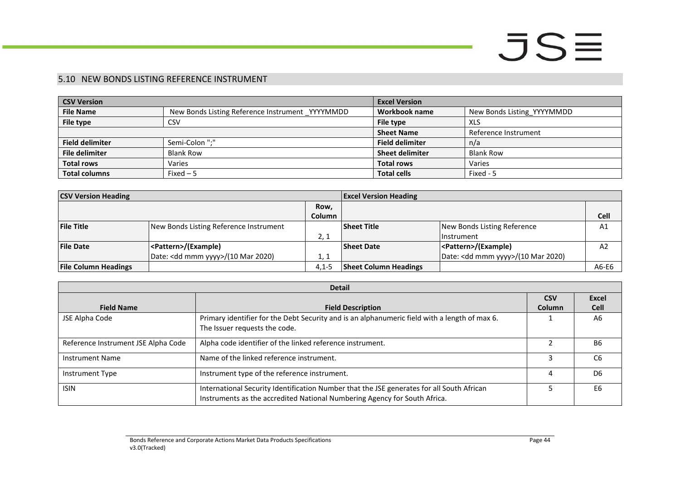### 5.10 NEW BONDS LISTING REFERENCE INSTRUMENT

| <b>CSV Version</b>     |                                                 | <b>Excel Version</b>   |                            |
|------------------------|-------------------------------------------------|------------------------|----------------------------|
| <b>File Name</b>       | New Bonds Listing Reference Instrument YYYYMMDD | Workbook name          | New Bonds Listing YYYYMMDD |
| File type              | CSV                                             | File type              | XLS                        |
|                        |                                                 | <b>Sheet Name</b>      | Reference Instrument       |
| <b>Field delimiter</b> | Semi-Colon ":"                                  | <b>Field delimiter</b> | n/a                        |
| <b>File delimiter</b>  | <b>Blank Row</b>                                | <b>Sheet delimiter</b> | <b>Blank Row</b>           |
| <b>Total rows</b>      | Varies                                          | <b>Total rows</b>      | Varies                     |
| <b>Total columns</b>   | Fixed $-5$                                      | <b>Total cells</b>     | Fixed - 5                  |

| <b>CSV Version Heading</b>  |                                              |               | <b>Excel Version Heading</b> |                                              |                |
|-----------------------------|----------------------------------------------|---------------|------------------------------|----------------------------------------------|----------------|
|                             |                                              | Row,          |                              |                                              |                |
|                             |                                              | <b>Column</b> |                              |                                              | <b>Cell</b>    |
| <b>File Title</b>           | New Bonds Listing Reference Instrument       |               | <b>Sheet Title</b>           | New Bonds Listing Reference                  | A1             |
|                             |                                              | 2, 1          |                              | <b>Instrument</b>                            |                |
| <b>File Date</b>            | <pattern>/(Example)</pattern>                |               | <b>Sheet Date</b>            | <pattern>/(Example)</pattern>                | A <sub>2</sub> |
|                             | Date: <dd mmm="" yyyy="">/(10 Mar 2020)</dd> | 1, 1          |                              | Date: <dd mmm="" yyyy="">/(10 Mar 2020)</dd> |                |
| <b>File Column Headings</b> |                                              | $4.1 - 5$     | <b>Sheet Column Headings</b> |                                              | A6-E6          |

<span id="page-43-0"></span>

|                                     | <b>Detail</b>                                                                                                                                                          |            |                |  |  |  |
|-------------------------------------|------------------------------------------------------------------------------------------------------------------------------------------------------------------------|------------|----------------|--|--|--|
|                                     |                                                                                                                                                                        | <b>CSV</b> | <b>Excel</b>   |  |  |  |
| <b>Field Name</b>                   | <b>Field Description</b>                                                                                                                                               | Column     | <b>Cell</b>    |  |  |  |
| JSE Alpha Code                      | Primary identifier for the Debt Security and is an alphanumeric field with a length of max 6.                                                                          |            | A <sub>6</sub> |  |  |  |
|                                     | The Issuer requests the code.                                                                                                                                          |            |                |  |  |  |
| Reference Instrument JSE Alpha Code | Alpha code identifier of the linked reference instrument.                                                                                                              |            | B <sub>6</sub> |  |  |  |
| <b>Instrument Name</b>              | Name of the linked reference instrument.                                                                                                                               |            | C <sub>6</sub> |  |  |  |
| Instrument Type                     | Instrument type of the reference instrument.                                                                                                                           | 4          | D <sub>6</sub> |  |  |  |
| <b>ISIN</b>                         | International Security Identification Number that the JSE generates for all South African<br>Instruments as the accredited National Numbering Agency for South Africa. |            | E <sub>6</sub> |  |  |  |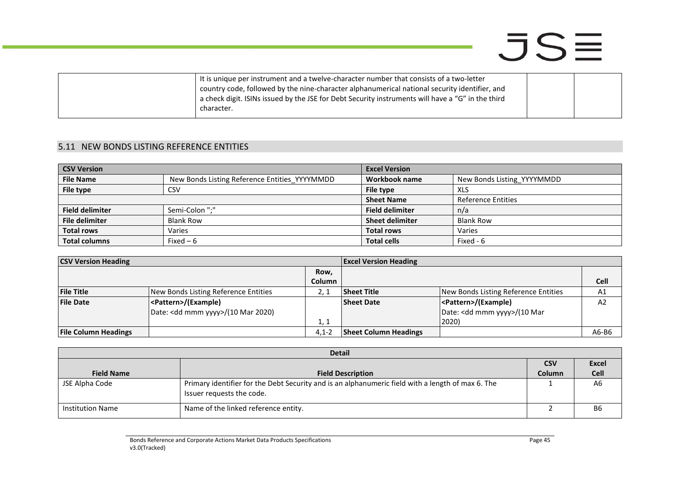| It is unique per instrument and a twelve-character number that consists of a two-letter           |  |
|---------------------------------------------------------------------------------------------------|--|
| country code, followed by the nine-character alphanumerical national security identifier, and     |  |
| a check digit. ISINs issued by the JSE for Debt Security instruments will have a "G" in the third |  |
| character.                                                                                        |  |
|                                                                                                   |  |

### 5.11 NEW BONDS LISTING REFERENCE ENTITIES

| <b>CSV Version</b>     |                                               | <b>Excel Version</b>   |                            |
|------------------------|-----------------------------------------------|------------------------|----------------------------|
| <b>File Name</b>       | New Bonds Listing Reference Entities YYYYMMDD | Workbook name          | New Bonds Listing YYYYMMDD |
| File type              | <b>CSV</b>                                    | File type              | XLS                        |
|                        |                                               | <b>Sheet Name</b>      | <b>Reference Entities</b>  |
| <b>Field delimiter</b> | Semi-Colon ":"                                | <b>Field delimiter</b> | n/a                        |
| <b>File delimiter</b>  | <b>Blank Row</b>                              | <b>Sheet delimiter</b> | <b>Blank Row</b>           |
| <b>Total rows</b>      | Varies                                        | <b>Total rows</b>      | Varies                     |
| <b>Total columns</b>   | Fixed $-6$                                    | <b>Total cells</b>     | Fixed - 6                  |

| <b>CSV Version Heading</b>  |                                                                                | <b>Excel Version Heading</b> |                              |                                                                                    |                |
|-----------------------------|--------------------------------------------------------------------------------|------------------------------|------------------------------|------------------------------------------------------------------------------------|----------------|
|                             |                                                                                | Row,<br><b>Column</b>        |                              |                                                                                    | <b>Cell</b>    |
| <b>File Title</b>           | New Bonds Listing Reference Entities                                           |                              | <b>Sheet Title</b>           | New Bonds Listing Reference Entities                                               | A1             |
| <b>File Date</b>            | <pattern>/(Example)<br/>Date: <dd mmm="" yyyy="">/(10 Mar 2020)</dd></pattern> | 1, 1                         | <b>Sheet Date</b>            | <pattern>/(Example)<br/>Date: <dd mmm="" yyyy="">/(10 Mar<br/>2020)</dd></pattern> | A <sub>2</sub> |
| <b>File Column Headings</b> |                                                                                | $4.1 - 2$                    | <b>Sheet Column Headings</b> |                                                                                    | A6-B6          |

<span id="page-44-0"></span>

|                         | <b>Detail</b>                                                                                                                  |               |                |  |  |
|-------------------------|--------------------------------------------------------------------------------------------------------------------------------|---------------|----------------|--|--|
|                         |                                                                                                                                | <b>CSV</b>    | Excel          |  |  |
| <b>Field Name</b>       | <b>Field Description</b>                                                                                                       | <b>Column</b> | <b>Cell</b>    |  |  |
| JSE Alpha Code          | Primary identifier for the Debt Security and is an alphanumeric field with a length of max 6. The<br>Issuer requests the code. |               | A <sub>6</sub> |  |  |
| <b>Institution Name</b> | Name of the linked reference entity.                                                                                           |               | <b>B6</b>      |  |  |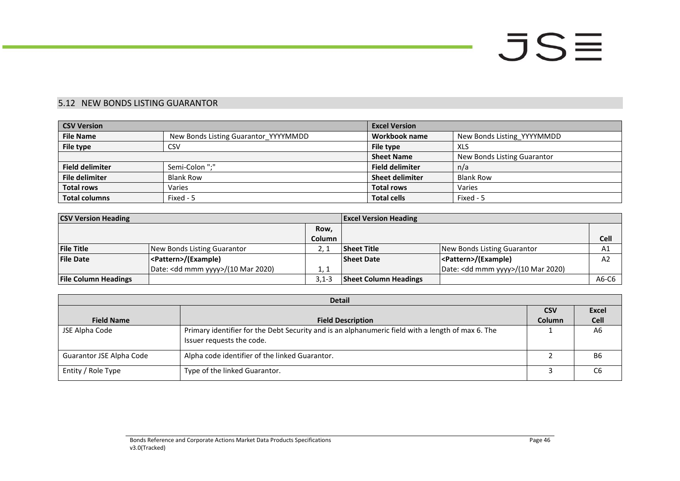### 5.12 NEW BONDS LISTING GUARANTOR

| <b>CSV Version</b>     |                                      | <b>Excel Version</b>   |                             |
|------------------------|--------------------------------------|------------------------|-----------------------------|
| <b>File Name</b>       | New Bonds Listing Guarantor YYYYMMDD | Workbook name          | New Bonds Listing YYYYMMDD  |
| File type              | CSV                                  | File type              | <b>XLS</b>                  |
|                        |                                      | <b>Sheet Name</b>      | New Bonds Listing Guarantor |
| <b>Field delimiter</b> | Semi-Colon ";"                       | <b>Field delimiter</b> | n/a                         |
| <b>File delimiter</b>  | <b>Blank Row</b>                     | <b>Sheet delimiter</b> | <b>Blank Row</b>            |
| <b>Total rows</b>      | Varies                               | <b>Total rows</b>      | Varies                      |
| <b>Total columns</b>   | Fixed - 5                            | <b>Total cells</b>     | Fixed - 5                   |

| <b>CSV Version Heading</b>  |                                              | <b>Excel Version Heading</b> |                              |                                              |                |
|-----------------------------|----------------------------------------------|------------------------------|------------------------------|----------------------------------------------|----------------|
|                             |                                              | Row,                         |                              |                                              |                |
|                             |                                              | <b>Column</b>                |                              |                                              | Cell           |
| <b>File Title</b>           | New Bonds Listing Guarantor                  |                              | Sheet Title                  | New Bonds Listing Guarantor                  | A1             |
| <b>File Date</b>            | <pattern>/(Example)</pattern>                |                              | <b>Sheet Date</b>            | <pattern>/(Example)</pattern>                | A <sub>2</sub> |
|                             | Date: <dd mmm="" yyyy="">/(10 Mar 2020)</dd> | 1.1                          |                              | Date: <dd mmm="" yyyy="">/(10 Mar 2020)</dd> |                |
| <b>File Column Headings</b> |                                              | $3.1 - 3$                    | <b>Sheet Column Headings</b> |                                              | A6-C6          |

<span id="page-45-0"></span>

|                          | <b>Detail</b>                                                                                                                  |               |                |  |  |
|--------------------------|--------------------------------------------------------------------------------------------------------------------------------|---------------|----------------|--|--|
|                          |                                                                                                                                | <b>CSV</b>    | <b>Excel</b>   |  |  |
| <b>Field Name</b>        | <b>Field Description</b>                                                                                                       | <b>Column</b> | <b>Cell</b>    |  |  |
| JSE Alpha Code           | Primary identifier for the Debt Security and is an alphanumeric field with a length of max 6. The<br>Issuer requests the code. |               | A6             |  |  |
| Guarantor JSE Alpha Code | Alpha code identifier of the linked Guarantor.                                                                                 |               | <b>B6</b>      |  |  |
| Entity / Role Type       | Type of the linked Guarantor.                                                                                                  |               | C <sub>6</sub> |  |  |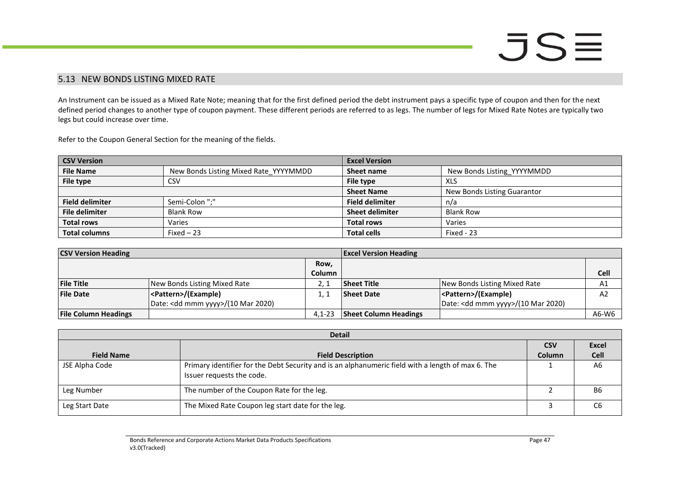### 5.13 NEW BONDS LISTING MIXED RATE

An Instrument can be issued as a Mixed Rate Note; meaning that for the first defined period the debt instrument pays a specific type of coupon and then for the next defined period changes to another type of coupon payment. These different periods are referred to as legs. The number of legs for Mixed Rate Notes are typically two legs but could increase over time.

Refer to the Coupon General Section for the meaning of the fields.

| <b>CSV Version</b>     |                                       | <b>Excel Version</b>   |                             |
|------------------------|---------------------------------------|------------------------|-----------------------------|
| <b>File Name</b>       | New Bonds Listing Mixed Rate YYYYMMDD | Sheet name             | New Bonds Listing YYYYMMDD  |
| File type              | CSV                                   | File type              | XLS                         |
|                        |                                       | <b>Sheet Name</b>      | New Bonds Listing Guarantor |
| <b>Field delimiter</b> | Semi-Colon ";"                        | <b>Field delimiter</b> | n/a                         |
| <b>File delimiter</b>  | <b>Blank Row</b>                      | <b>Sheet delimiter</b> | <b>Blank Row</b>            |
| <b>Total rows</b>      | Varies                                | <b>Total rows</b>      | Varies                      |
| <b>Total columns</b>   | $Fixed-23$                            | <b>Total cells</b>     | Fixed - 23                  |

<span id="page-46-0"></span>

| <b>CSV Version Heading</b>  |                                    | <b>Excel Version Heading</b> |                              |                                              |                |
|-----------------------------|------------------------------------|------------------------------|------------------------------|----------------------------------------------|----------------|
|                             |                                    | Row,                         |                              |                                              |                |
|                             |                                    | <b>Column</b>                |                              |                                              | <b>Cell</b>    |
| <b>File Title</b>           | New Bonds Listing Mixed Rate       |                              | Sheet Title                  | New Bonds Listing Mixed Rate                 | A <sub>1</sub> |
| <b>File Date</b>            | <pattern>/(Example)</pattern>      |                              | <b>Sheet Date</b>            | <pattern>/(Example)</pattern>                | A <sub>2</sub> |
|                             | Date: < dd mmm yyyy>/(10 Mar 2020) |                              |                              | Date: <dd mmm="" yyyy="">/(10 Mar 2020)</dd> |                |
| <b>File Column Headings</b> |                                    | $4.1 - 23$                   | <b>Sheet Column Headings</b> |                                              | A6-W6          |

| <b>Detail</b>     |                                                                                                                                |               |              |  |
|-------------------|--------------------------------------------------------------------------------------------------------------------------------|---------------|--------------|--|
|                   |                                                                                                                                | <b>CSV</b>    | <b>Excel</b> |  |
| <b>Field Name</b> | <b>Field Description</b>                                                                                                       | <b>Column</b> | <b>Cell</b>  |  |
| JSE Alpha Code    | Primary identifier for the Debt Security and is an alphanumeric field with a length of max 6. The<br>Issuer requests the code. |               | A6           |  |
| Leg Number        | The number of the Coupon Rate for the leg.                                                                                     |               | <b>B6</b>    |  |
| Leg Start Date    | The Mixed Rate Coupon leg start date for the leg.                                                                              |               | С6           |  |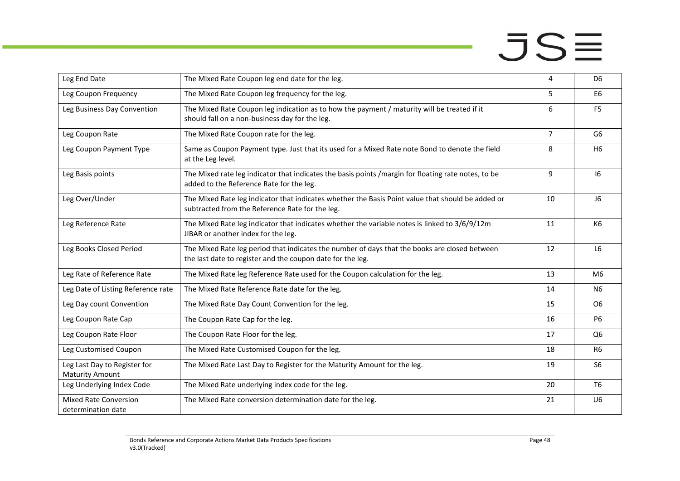| Leg End Date                                           | The Mixed Rate Coupon leg end date for the leg.                                                                                                             | 4              | D <sub>6</sub> |
|--------------------------------------------------------|-------------------------------------------------------------------------------------------------------------------------------------------------------------|----------------|----------------|
| Leg Coupon Frequency                                   | The Mixed Rate Coupon leg frequency for the leg.                                                                                                            | 5              | E <sub>6</sub> |
| Leg Business Day Convention                            | The Mixed Rate Coupon leg indication as to how the payment / maturity will be treated if it<br>should fall on a non-business day for the leg.               | 6              | F <sub>5</sub> |
| Leg Coupon Rate                                        | The Mixed Rate Coupon rate for the leg.                                                                                                                     | $\overline{7}$ | G <sub>6</sub> |
| Leg Coupon Payment Type                                | Same as Coupon Payment type. Just that its used for a Mixed Rate note Bond to denote the field<br>at the Leg level.                                         | 8              | H <sub>6</sub> |
| Leg Basis points                                       | The Mixed rate leg indicator that indicates the basis points /margin for floating rate notes, to be<br>added to the Reference Rate for the leg.             | 9              | 16             |
| Leg Over/Under                                         | The Mixed Rate leg indicator that indicates whether the Basis Point value that should be added or<br>subtracted from the Reference Rate for the leg.        | 10             | J6             |
| Leg Reference Rate                                     | The Mixed Rate leg indicator that indicates whether the variable notes is linked to 3/6/9/12m<br>JIBAR or another index for the leg.                        | 11             | K6             |
| Leg Books Closed Period                                | The Mixed Rate leg period that indicates the number of days that the books are closed between<br>the last date to register and the coupon date for the leg. | 12             | L <sub>6</sub> |
| Leg Rate of Reference Rate                             | The Mixed Rate leg Reference Rate used for the Coupon calculation for the leg.                                                                              | 13             | M6             |
| Leg Date of Listing Reference rate                     | The Mixed Rate Reference Rate date for the leg.                                                                                                             | 14             | N <sub>6</sub> |
| Leg Day count Convention                               | The Mixed Rate Day Count Convention for the leg.                                                                                                            | 15             | O <sub>6</sub> |
| Leg Coupon Rate Cap                                    | The Coupon Rate Cap for the leg.                                                                                                                            | 16             | <b>P6</b>      |
| Leg Coupon Rate Floor                                  | The Coupon Rate Floor for the leg.                                                                                                                          | 17             | Q <sub>6</sub> |
| Leg Customised Coupon                                  | The Mixed Rate Customised Coupon for the leg.                                                                                                               | 18             | R <sub>6</sub> |
| Leg Last Day to Register for<br><b>Maturity Amount</b> | The Mixed Rate Last Day to Register for the Maturity Amount for the leg.                                                                                    | 19             | S <sub>6</sub> |
| Leg Underlying Index Code                              | The Mixed Rate underlying index code for the leg.                                                                                                           | 20             | T <sub>6</sub> |
| <b>Mixed Rate Conversion</b><br>determination date     | The Mixed Rate conversion determination date for the leg.                                                                                                   | 21             | U <sub>6</sub> |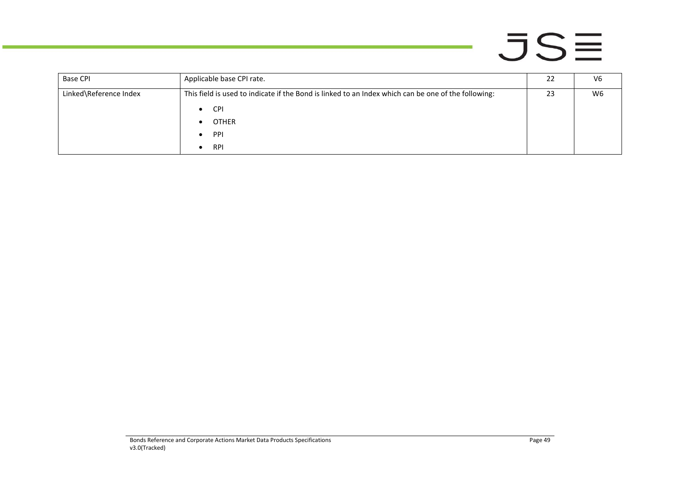| <b>Base CPI</b>        | Applicable base CPI rate.                                                                           | 22 | V6 |
|------------------------|-----------------------------------------------------------------------------------------------------|----|----|
| Linked\Reference Index | This field is used to indicate if the Bond is linked to an Index which can be one of the following: |    | W6 |
|                        | <b>CPI</b><br>$\bullet$                                                                             |    |    |
|                        | <b>OTHER</b>                                                                                        |    |    |
|                        | <b>PPI</b>                                                                                          |    |    |
|                        | <b>RPI</b><br>$\bullet$                                                                             |    |    |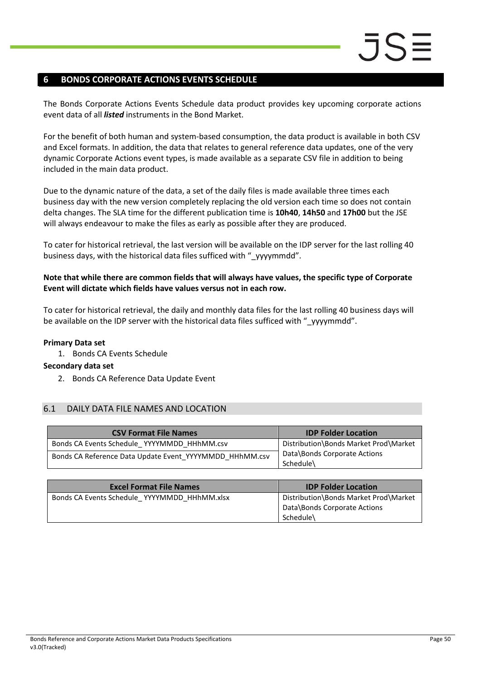### <span id="page-49-0"></span>**6 BONDS CORPORATE ACTIONS EVENTS SCHEDULE**

The Bonds Corporate Actions Events Schedule data product provides key upcoming corporate actions event data of all *listed* instruments in the Bond Market.

For the benefit of both human and system-based consumption, the data product is available in both CSV and Excel formats. In addition, the data that relates to general reference data updates, one of the very dynamic Corporate Actions event types, is made available as a separate CSV file in addition to being included in the main data product.

Due to the dynamic nature of the data, a set of the daily files is made available three times each business day with the new version completely replacing the old version each time so does not contain delta changes. The SLA time for the different publication time is **10h40**, **14h50** and **17h00** but the JSE will always endeavour to make the files as early as possible after they are produced.

To cater for historical retrieval, the last version will be available on the IDP server for the last rolling 40 business days, with the historical data files sufficed with " yyyymmdd".

### **Note that while there are common fields that will always have values, the specific type of Corporate Event will dictate which fields have values versus not in each row.**

To cater for historical retrieval, the daily and monthly data files for the last rolling 40 business days will be available on the IDP server with the historical data files sufficed with " yyyymmdd".

### **Primary Data set**

1. Bonds CA Events Schedule

### **Secondary data set**

2. Bonds CA Reference Data Update Event

### <span id="page-49-1"></span>6.1 DAILY DATA FILE NAMES AND LOCATION

| <b>CSV Format File Names</b>                            | <b>IDP Folder Location</b>                |
|---------------------------------------------------------|-------------------------------------------|
| Bonds CA Events Schedule YYYYMMDD HHhMM.csv             | Distribution\Bonds Market Prod\Market     |
| Bonds CA Reference Data Update Event YYYYMMDD HHhMM.csv | Data\Bonds Corporate Actions<br>Schedule\ |

| <b>Excel Format File Names</b>               | <b>IDP Folder Location</b>                                                         |
|----------------------------------------------|------------------------------------------------------------------------------------|
| Bonds CA Events Schedule YYYYMMDD HHhMM.xlsx | Distribution\Bonds Market Prod\Market<br>Data\Bonds Corporate Actions<br>Schedule\ |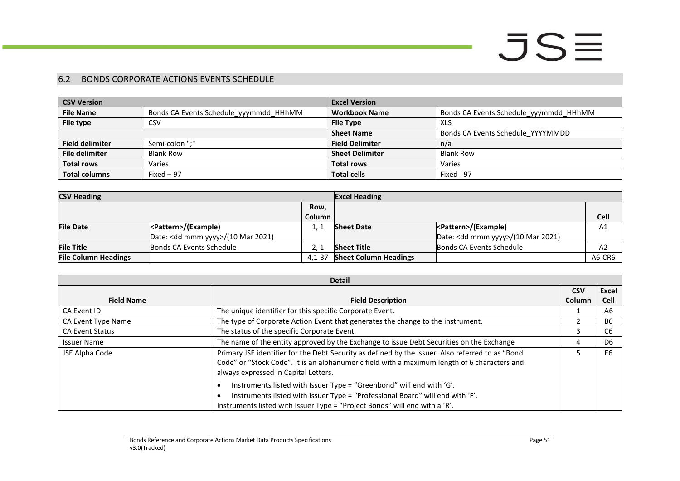### 6.2 BONDS CORPORATE ACTIONS EVENTS SCHEDULE

| <b>CSV Version</b>     |                                        | <b>Excel Version</b>   |                                        |
|------------------------|----------------------------------------|------------------------|----------------------------------------|
| <b>File Name</b>       | Bonds CA Events Schedule yyymmdd HHhMM | <b>Workbook Name</b>   | Bonds CA Events Schedule yyymmdd HHhMM |
| File type              | CSV                                    | <b>File Type</b>       | XLS                                    |
|                        |                                        | <b>Sheet Name</b>      | Bonds CA Events Schedule YYYYMMDD      |
| <b>Field delimiter</b> | Semi-colon ";"                         | <b>Field Delimiter</b> | n/a                                    |
| <b>File delimiter</b>  | <b>Blank Row</b>                       | <b>Sheet Delimiter</b> | <b>Blank Row</b>                       |
| <b>Total rows</b>      | Varies                                 | <b>Total rows</b>      | Varies                                 |
| <b>Total columns</b>   | Fixed $-97$                            | <b>Total cells</b>     | Fixed - 97                             |

| <b>CSV Heading</b>          | <b>Excel Heading</b>                         |               |                              |                                              |             |
|-----------------------------|----------------------------------------------|---------------|------------------------------|----------------------------------------------|-------------|
|                             |                                              | Row,          |                              |                                              |             |
|                             |                                              | <b>Column</b> |                              |                                              | <b>Cell</b> |
| <b>File Date</b>            | <pattern>/(Example)</pattern>                | - 1           | <b>Sheet Date</b>            |                                              | A1          |
|                             | Date: <dd mmm="" yyyy="">/(10 Mar 2021)</dd> |               |                              | Date: <dd mmm="" yyyy="">/(10 Mar 2021)</dd> |             |
| <b>File Title</b>           | Bonds CA Events Schedule                     |               | <b>Sheet Title</b>           | Bonds CA Events Schedule                     | A2          |
| <b>File Column Headings</b> |                                              | $4.1 - 37$    | <b>Sheet Column Headings</b> |                                              | A6-CR6      |

<span id="page-50-0"></span>

| <b>Detail</b>          |                                                                                                                                                                                                                                          |               |                |
|------------------------|------------------------------------------------------------------------------------------------------------------------------------------------------------------------------------------------------------------------------------------|---------------|----------------|
|                        |                                                                                                                                                                                                                                          | <b>CSV</b>    | Excel          |
| <b>Field Name</b>      | <b>Field Description</b>                                                                                                                                                                                                                 | <b>Column</b> | <b>Cell</b>    |
| CA Event ID            | The unique identifier for this specific Corporate Event.                                                                                                                                                                                 |               | A6             |
| CA Event Type Name     | The type of Corporate Action Event that generates the change to the instrument.                                                                                                                                                          |               | <b>B6</b>      |
| <b>CA Event Status</b> | The status of the specific Corporate Event.                                                                                                                                                                                              |               | C <sub>6</sub> |
| <b>Issuer Name</b>     | The name of the entity approved by the Exchange to issue Debt Securities on the Exchange                                                                                                                                                 |               | D <sub>6</sub> |
| JSE Alpha Code         | Primary JSE identifier for the Debt Security as defined by the Issuer. Also referred to as "Bond<br>Code" or "Stock Code". It is an alphanumeric field with a maximum length of 6 characters and<br>always expressed in Capital Letters. |               | E6             |
|                        | Instruments listed with Issuer Type = "Greenbond" will end with 'G'.<br>Instruments listed with Issuer Type = "Professional Board" will end with 'F'.<br>Instruments listed with Issuer Type = "Project Bonds" will end with a 'R'.      |               |                |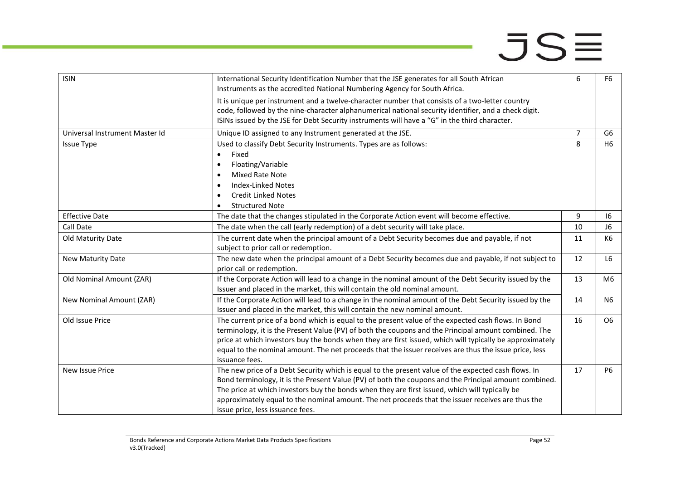man.

| <b>ISIN</b>                    | International Security Identification Number that the JSE generates for all South African<br>Instruments as the accredited National Numbering Agency for South Africa.                                                                                                                                                                                                                                                                                  | 6              | F <sub>6</sub> |
|--------------------------------|---------------------------------------------------------------------------------------------------------------------------------------------------------------------------------------------------------------------------------------------------------------------------------------------------------------------------------------------------------------------------------------------------------------------------------------------------------|----------------|----------------|
|                                | It is unique per instrument and a twelve-character number that consists of a two-letter country<br>code, followed by the nine-character alphanumerical national security identifier, and a check digit.<br>ISINs issued by the JSE for Debt Security instruments will have a "G" in the third character.                                                                                                                                                |                |                |
| Universal Instrument Master Id | Unique ID assigned to any Instrument generated at the JSE.                                                                                                                                                                                                                                                                                                                                                                                              | $\overline{7}$ | G6             |
| <b>Issue Type</b>              | Used to classify Debt Security Instruments. Types are as follows:<br>Fixed<br>$\bullet$<br>Floating/Variable<br>$\bullet$<br>Mixed Rate Note<br>$\bullet$<br><b>Index-Linked Notes</b><br>$\bullet$<br><b>Credit Linked Notes</b>                                                                                                                                                                                                                       | 8              | H <sub>6</sub> |
| <b>Effective Date</b>          | <b>Structured Note</b>                                                                                                                                                                                                                                                                                                                                                                                                                                  | 9              | 16             |
|                                | The date that the changes stipulated in the Corporate Action event will become effective.                                                                                                                                                                                                                                                                                                                                                               | 10             | J6             |
| Call Date                      | The date when the call (early redemption) of a debt security will take place.                                                                                                                                                                                                                                                                                                                                                                           |                |                |
| Old Maturity Date              | The current date when the principal amount of a Debt Security becomes due and payable, if not<br>subject to prior call or redemption.                                                                                                                                                                                                                                                                                                                   | 11             | K6             |
| New Maturity Date              | The new date when the principal amount of a Debt Security becomes due and payable, if not subject to<br>prior call or redemption.                                                                                                                                                                                                                                                                                                                       | 12             | L6             |
| Old Nominal Amount (ZAR)       | If the Corporate Action will lead to a change in the nominal amount of the Debt Security issued by the<br>Issuer and placed in the market, this will contain the old nominal amount.                                                                                                                                                                                                                                                                    | 13             | M6             |
| New Nominal Amount (ZAR)       | If the Corporate Action will lead to a change in the nominal amount of the Debt Security issued by the<br>Issuer and placed in the market, this will contain the new nominal amount.                                                                                                                                                                                                                                                                    | 14             | N <sub>6</sub> |
| Old Issue Price                | The current price of a bond which is equal to the present value of the expected cash flows. In Bond<br>terminology, it is the Present Value (PV) of both the coupons and the Principal amount combined. The<br>price at which investors buy the bonds when they are first issued, which will typically be approximately<br>equal to the nominal amount. The net proceeds that the issuer receives are thus the issue price, less<br>issuance fees.      | 16             | O6             |
| New Issue Price                | The new price of a Debt Security which is equal to the present value of the expected cash flows. In<br>Bond terminology, it is the Present Value (PV) of both the coupons and the Principal amount combined.<br>The price at which investors buy the bonds when they are first issued, which will typically be<br>approximately equal to the nominal amount. The net proceeds that the issuer receives are thus the<br>issue price, less issuance fees. | 17             | <b>P6</b>      |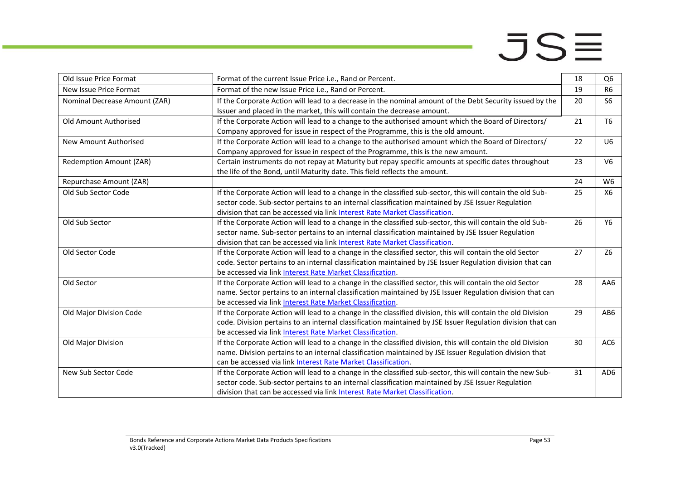**College** 

| Old Issue Price Format         | Format of the current Issue Price i.e., Rand or Percent.                                                                                                                                                                                                                                        | 18 | Q <sub>6</sub> |
|--------------------------------|-------------------------------------------------------------------------------------------------------------------------------------------------------------------------------------------------------------------------------------------------------------------------------------------------|----|----------------|
| New Issue Price Format         | Format of the new Issue Price i.e., Rand or Percent.                                                                                                                                                                                                                                            | 19 | R <sub>6</sub> |
| Nominal Decrease Amount (ZAR)  | If the Corporate Action will lead to a decrease in the nominal amount of the Debt Security issued by the<br>Issuer and placed in the market, this will contain the decrease amount.                                                                                                             | 20 | S <sub>6</sub> |
| Old Amount Authorised          | If the Corporate Action will lead to a change to the authorised amount which the Board of Directors/<br>Company approved for issue in respect of the Programme, this is the old amount.                                                                                                         | 21 | T <sub>6</sub> |
| New Amount Authorised          | If the Corporate Action will lead to a change to the authorised amount which the Board of Directors/<br>Company approved for issue in respect of the Programme, this is the new amount.                                                                                                         | 22 | U <sub>6</sub> |
| <b>Redemption Amount (ZAR)</b> | Certain instruments do not repay at Maturity but repay specific amounts at specific dates throughout<br>the life of the Bond, until Maturity date. This field reflects the amount.                                                                                                              | 23 | V <sub>6</sub> |
| Repurchase Amount (ZAR)        |                                                                                                                                                                                                                                                                                                 | 24 | W <sub>6</sub> |
| Old Sub Sector Code            | If the Corporate Action will lead to a change in the classified sub-sector, this will contain the old Sub-<br>sector code. Sub-sector pertains to an internal classification maintained by JSE Issuer Regulation<br>division that can be accessed via link Interest Rate Market Classification. | 25 | X6             |
| Old Sub Sector                 | If the Corporate Action will lead to a change in the classified sub-sector, this will contain the old Sub-<br>sector name. Sub-sector pertains to an internal classification maintained by JSE Issuer Regulation<br>division that can be accessed via link Interest Rate Market Classification. | 26 | Y6             |
| Old Sector Code                | If the Corporate Action will lead to a change in the classified sector, this will contain the old Sector<br>code. Sector pertains to an internal classification maintained by JSE Issuer Regulation division that can<br>be accessed via link Interest Rate Market Classification.              | 27 | Z6             |
| Old Sector                     | If the Corporate Action will lead to a change in the classified sector, this will contain the old Sector<br>name. Sector pertains to an internal classification maintained by JSE Issuer Regulation division that can<br>be accessed via link Interest Rate Market Classification.              | 28 | AA6            |
| Old Major Division Code        | If the Corporate Action will lead to a change in the classified division, this will contain the old Division<br>code. Division pertains to an internal classification maintained by JSE Issuer Regulation division that can<br>be accessed via link Interest Rate Market Classification.        | 29 | AB6            |
| Old Major Division             | If the Corporate Action will lead to a change in the classified division, this will contain the old Division<br>name. Division pertains to an internal classification maintained by JSE Issuer Regulation division that<br>can be accessed via link Interest Rate Market Classification.        | 30 | AC6            |
| New Sub Sector Code            | If the Corporate Action will lead to a change in the classified sub-sector, this will contain the new Sub-<br>sector code. Sub-sector pertains to an internal classification maintained by JSE Issuer Regulation<br>division that can be accessed via link Interest Rate Market Classification. | 31 | AD6            |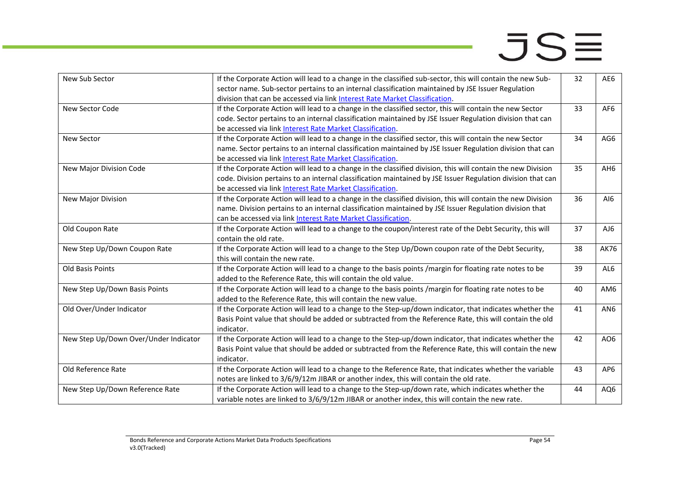| New Sub Sector                        | If the Corporate Action will lead to a change in the classified sub-sector, this will contain the new Sub-<br>sector name. Sub-sector pertains to an internal classification maintained by JSE Issuer Regulation | 32 | AE6             |
|---------------------------------------|------------------------------------------------------------------------------------------------------------------------------------------------------------------------------------------------------------------|----|-----------------|
|                                       | division that can be accessed via link Interest Rate Market Classification.                                                                                                                                      |    |                 |
| New Sector Code                       | If the Corporate Action will lead to a change in the classified sector, this will contain the new Sector                                                                                                         | 33 | AF <sub>6</sub> |
|                                       | code. Sector pertains to an internal classification maintained by JSE Issuer Regulation division that can                                                                                                        |    |                 |
|                                       | be accessed via link Interest Rate Market Classification.                                                                                                                                                        |    |                 |
| <b>New Sector</b>                     | If the Corporate Action will lead to a change in the classified sector, this will contain the new Sector                                                                                                         | 34 | AG6             |
|                                       | name. Sector pertains to an internal classification maintained by JSE Issuer Regulation division that can                                                                                                        |    |                 |
|                                       | be accessed via link Interest Rate Market Classification.                                                                                                                                                        |    |                 |
| New Major Division Code               | If the Corporate Action will lead to a change in the classified division, this will contain the new Division                                                                                                     | 35 | AH6             |
|                                       | code. Division pertains to an internal classification maintained by JSE Issuer Regulation division that can                                                                                                      |    |                 |
|                                       | be accessed via link Interest Rate Market Classification.                                                                                                                                                        |    |                 |
| New Major Division                    | If the Corporate Action will lead to a change in the classified division, this will contain the new Division                                                                                                     | 36 | AI6             |
|                                       | name. Division pertains to an internal classification maintained by JSE Issuer Regulation division that                                                                                                          |    |                 |
|                                       | can be accessed via link Interest Rate Market Classification.                                                                                                                                                    |    |                 |
| Old Coupon Rate                       | If the Corporate Action will lead to a change to the coupon/interest rate of the Debt Security, this will                                                                                                        | 37 | AJ6             |
|                                       | contain the old rate.                                                                                                                                                                                            |    |                 |
| New Step Up/Down Coupon Rate          | If the Corporate Action will lead to a change to the Step Up/Down coupon rate of the Debt Security,                                                                                                              | 38 | AK76            |
|                                       | this will contain the new rate.                                                                                                                                                                                  |    |                 |
| Old Basis Points                      | If the Corporate Action will lead to a change to the basis points /margin for floating rate notes to be                                                                                                          | 39 | AL6             |
|                                       | added to the Reference Rate, this will contain the old value.                                                                                                                                                    |    |                 |
| New Step Up/Down Basis Points         | If the Corporate Action will lead to a change to the basis points /margin for floating rate notes to be                                                                                                          | 40 | AM <sub>6</sub> |
|                                       | added to the Reference Rate, this will contain the new value.                                                                                                                                                    |    |                 |
| Old Over/Under Indicator              | If the Corporate Action will lead to a change to the Step-up/down indicator, that indicates whether the                                                                                                          | 41 | AN <sub>6</sub> |
|                                       | Basis Point value that should be added or subtracted from the Reference Rate, this will contain the old                                                                                                          |    |                 |
|                                       | indicator.                                                                                                                                                                                                       |    |                 |
| New Step Up/Down Over/Under Indicator | If the Corporate Action will lead to a change to the Step-up/down indicator, that indicates whether the                                                                                                          | 42 | AO6             |
|                                       | Basis Point value that should be added or subtracted from the Reference Rate, this will contain the new                                                                                                          |    |                 |
|                                       | indicator.                                                                                                                                                                                                       |    |                 |
| Old Reference Rate                    | If the Corporate Action will lead to a change to the Reference Rate, that indicates whether the variable                                                                                                         | 43 | AP <sub>6</sub> |
|                                       | notes are linked to 3/6/9/12m JIBAR or another index, this will contain the old rate.                                                                                                                            |    |                 |
| New Step Up/Down Reference Rate       | If the Corporate Action will lead to a change to the Step-up/down rate, which indicates whether the                                                                                                              | 44 | AQ6             |
|                                       | variable notes are linked to 3/6/9/12m JIBAR or another index, this will contain the new rate.                                                                                                                   |    |                 |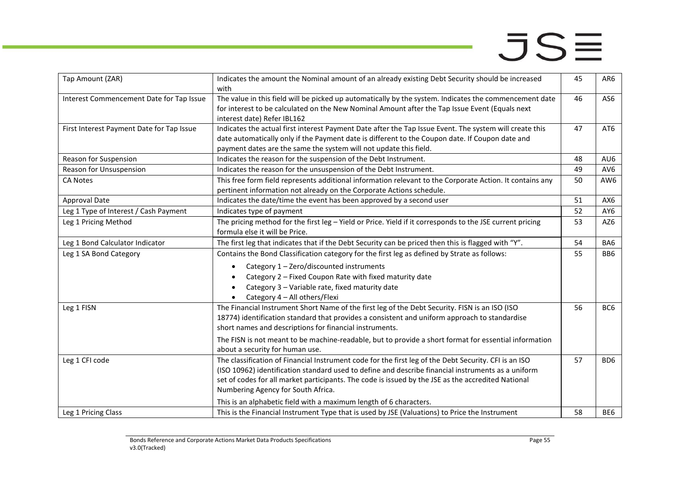| Tap Amount (ZAR)                          | Indicates the amount the Nominal amount of an already existing Debt Security should be increased<br>with                                                                                                                                                                                                                                                | 45 | AR6             |
|-------------------------------------------|---------------------------------------------------------------------------------------------------------------------------------------------------------------------------------------------------------------------------------------------------------------------------------------------------------------------------------------------------------|----|-----------------|
| Interest Commencement Date for Tap Issue  | The value in this field will be picked up automatically by the system. Indicates the commencement date<br>for interest to be calculated on the New Nominal Amount after the Tap Issue Event (Equals next<br>interest date) Refer IBL162                                                                                                                 | 46 | AS6             |
| First Interest Payment Date for Tap Issue | Indicates the actual first interest Payment Date after the Tap Issue Event. The system will create this<br>date automatically only if the Payment date is different to the Coupon date. If Coupon date and<br>payment dates are the same the system will not update this field.                                                                         | 47 | AT6             |
| Reason for Suspension                     | Indicates the reason for the suspension of the Debt Instrument.                                                                                                                                                                                                                                                                                         | 48 | AU6             |
| Reason for Unsuspension                   | Indicates the reason for the unsuspension of the Debt Instrument.                                                                                                                                                                                                                                                                                       | 49 | AV <sub>6</sub> |
| <b>CA Notes</b>                           | This free form field represents additional information relevant to the Corporate Action. It contains any<br>pertinent information not already on the Corporate Actions schedule.                                                                                                                                                                        | 50 | AW <sub>6</sub> |
| Approval Date                             | Indicates the date/time the event has been approved by a second user                                                                                                                                                                                                                                                                                    | 51 | AX6             |
| Leg 1 Type of Interest / Cash Payment     | Indicates type of payment                                                                                                                                                                                                                                                                                                                               | 52 | AY6             |
| Leg 1 Pricing Method                      | The pricing method for the first leg - Yield or Price. Yield if it corresponds to the JSE current pricing<br>formula else it will be Price.                                                                                                                                                                                                             | 53 | AZ6             |
| Leg 1 Bond Calculator Indicator           | The first leg that indicates that if the Debt Security can be priced then this is flagged with "Y".                                                                                                                                                                                                                                                     | 54 | BA6             |
| Leg 1 SA Bond Category                    | Contains the Bond Classification category for the first leg as defined by Strate as follows:                                                                                                                                                                                                                                                            | 55 | BB <sub>6</sub> |
|                                           | Category 1 - Zero/discounted instruments<br>Category 2 - Fixed Coupon Rate with fixed maturity date<br>Category 3 - Variable rate, fixed maturity date<br>Category 4 - All others/Flexi                                                                                                                                                                 |    |                 |
| Leg 1 FISN                                | The Financial Instrument Short Name of the first leg of the Debt Security. FISN is an ISO (ISO<br>18774) identification standard that provides a consistent and uniform approach to standardise<br>short names and descriptions for financial instruments.                                                                                              | 56 | BC <sub>6</sub> |
|                                           | The FISN is not meant to be machine-readable, but to provide a short format for essential information<br>about a security for human use.                                                                                                                                                                                                                |    |                 |
| Leg 1 CFI code                            | The classification of Financial Instrument code for the first leg of the Debt Security. CFI is an ISO<br>(ISO 10962) identification standard used to define and describe financial instruments as a uniform<br>set of codes for all market participants. The code is issued by the JSE as the accredited National<br>Numbering Agency for South Africa. | 57 | BD <sub>6</sub> |
|                                           | This is an alphabetic field with a maximum length of 6 characters.                                                                                                                                                                                                                                                                                      |    |                 |
| Leg 1 Pricing Class                       | This is the Financial Instrument Type that is used by JSE (Valuations) to Price the Instrument                                                                                                                                                                                                                                                          | 58 | BE <sub>6</sub> |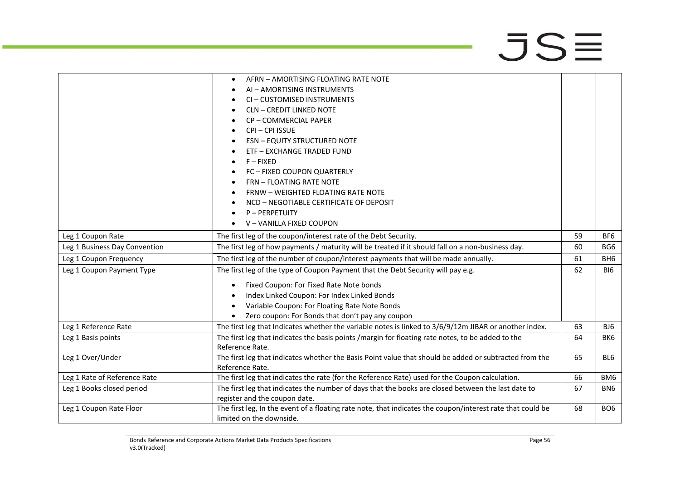|                               | AFRN - AMORTISING FLOATING RATE NOTE                                                                                                |    |                 |
|-------------------------------|-------------------------------------------------------------------------------------------------------------------------------------|----|-----------------|
|                               | AI - AMORTISING INSTRUMENTS                                                                                                         |    |                 |
|                               | CI-CUSTOMISED INSTRUMENTS                                                                                                           |    |                 |
|                               | <b>CLN - CREDIT LINKED NOTE</b>                                                                                                     |    |                 |
|                               | CP-COMMERCIAL PAPER                                                                                                                 |    |                 |
|                               | CPI-CPI ISSUE                                                                                                                       |    |                 |
|                               | <b>ESN - EQUITY STRUCTURED NOTE</b>                                                                                                 |    |                 |
|                               | ETF - EXCHANGE TRADED FUND                                                                                                          |    |                 |
|                               | $F - FIXED$                                                                                                                         |    |                 |
|                               | FC - FIXED COUPON QUARTERLY                                                                                                         |    |                 |
|                               | <b>FRN - FLOATING RATE NOTE</b>                                                                                                     |    |                 |
|                               | FRNW - WEIGHTED FLOATING RATE NOTE                                                                                                  |    |                 |
|                               | NCD - NEGOTIABLE CERTIFICATE OF DEPOSIT                                                                                             |    |                 |
|                               | P-PERPETUITY                                                                                                                        |    |                 |
|                               | V-VANILLA FIXED COUPON                                                                                                              |    |                 |
| Leg 1 Coupon Rate             | The first leg of the coupon/interest rate of the Debt Security.                                                                     | 59 | BF6             |
| Leg 1 Business Day Convention | The first leg of how payments / maturity will be treated if it should fall on a non-business day.                                   | 60 | BG6             |
| Leg 1 Coupon Frequency        | The first leg of the number of coupon/interest payments that will be made annually.                                                 | 61 | BH <sub>6</sub> |
| Leg 1 Coupon Payment Type     | The first leg of the type of Coupon Payment that the Debt Security will pay e.g.                                                    | 62 | <b>BI6</b>      |
|                               | Fixed Coupon: For Fixed Rate Note bonds<br>$\bullet$                                                                                |    |                 |
|                               | Index Linked Coupon: For Index Linked Bonds                                                                                         |    |                 |
|                               | Variable Coupon: For Floating Rate Note Bonds                                                                                       |    |                 |
|                               | Zero coupon: For Bonds that don't pay any coupon                                                                                    |    |                 |
| Leg 1 Reference Rate          | The first leg that Indicates whether the variable notes is linked to 3/6/9/12m JIBAR or another index.                              | 63 | BJ6             |
| Leg 1 Basis points            | The first leg that indicates the basis points /margin for floating rate notes, to be added to the                                   | 64 | BK <sub>6</sub> |
|                               | Reference Rate.                                                                                                                     |    |                 |
| Leg 1 Over/Under              | The first leg that indicates whether the Basis Point value that should be added or subtracted from the                              | 65 | BL <sub>6</sub> |
|                               | Reference Rate.                                                                                                                     |    |                 |
| Leg 1 Rate of Reference Rate  | The first leg that indicates the rate (for the Reference Rate) used for the Coupon calculation.                                     | 66 | BM <sub>6</sub> |
| Leg 1 Books closed period     | The first leg that indicates the number of days that the books are closed between the last date to<br>register and the coupon date. | 67 | BN <sub>6</sub> |
| Leg 1 Coupon Rate Floor       | The first leg, In the event of a floating rate note, that indicates the coupon/interest rate that could be                          | 68 | BO <sub>6</sub> |
|                               | limited on the downside.                                                                                                            |    |                 |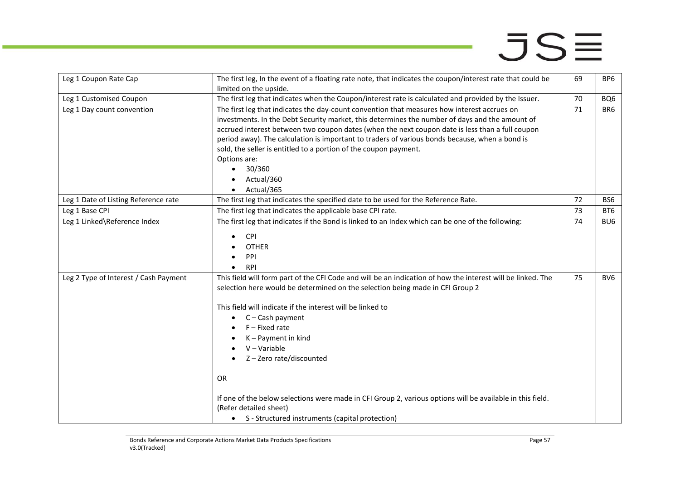| Leg 1 Coupon Rate Cap                 | The first leg, In the event of a floating rate note, that indicates the coupon/interest rate that could be  | 69 | BP6             |
|---------------------------------------|-------------------------------------------------------------------------------------------------------------|----|-----------------|
|                                       | limited on the upside.                                                                                      |    |                 |
| Leg 1 Customised Coupon               | The first leg that indicates when the Coupon/interest rate is calculated and provided by the Issuer.        | 70 | BQ6             |
| Leg 1 Day count convention            | The first leg that indicates the day-count convention that measures how interest accrues on                 | 71 | BR6             |
|                                       | investments. In the Debt Security market, this determines the number of days and the amount of              |    |                 |
|                                       | accrued interest between two coupon dates (when the next coupon date is less than a full coupon             |    |                 |
|                                       | period away). The calculation is important to traders of various bonds because, when a bond is              |    |                 |
|                                       | sold, the seller is entitled to a portion of the coupon payment.                                            |    |                 |
|                                       | Options are:                                                                                                |    |                 |
|                                       | 30/360<br>$\bullet$                                                                                         |    |                 |
|                                       | Actual/360                                                                                                  |    |                 |
|                                       | Actual/365<br>$\bullet$                                                                                     |    |                 |
| Leg 1 Date of Listing Reference rate  | The first leg that indicates the specified date to be used for the Reference Rate.                          | 72 | BS <sub>6</sub> |
| Leg 1 Base CPI                        | The first leg that indicates the applicable base CPI rate.                                                  | 73 | BT <sub>6</sub> |
| Leg 1 Linked\Reference Index          | The first leg that indicates if the Bond is linked to an Index which can be one of the following:           | 74 | BU <sub>6</sub> |
|                                       |                                                                                                             |    |                 |
|                                       | <b>CPI</b>                                                                                                  |    |                 |
|                                       | <b>OTHER</b>                                                                                                |    |                 |
|                                       | PPI                                                                                                         |    |                 |
|                                       | <b>RPI</b>                                                                                                  |    |                 |
| Leg 2 Type of Interest / Cash Payment | This field will form part of the CFI Code and will be an indication of how the interest will be linked. The | 75 | BV <sub>6</sub> |
|                                       | selection here would be determined on the selection being made in CFI Group 2                               |    |                 |
|                                       |                                                                                                             |    |                 |
|                                       | This field will indicate if the interest will be linked to                                                  |    |                 |
|                                       | C-Cash payment<br>$\bullet$                                                                                 |    |                 |
|                                       | $F$ – Fixed rate                                                                                            |    |                 |
|                                       | K - Payment in kind                                                                                         |    |                 |
|                                       | $V - Variable$                                                                                              |    |                 |
|                                       | Z-Zero rate/discounted                                                                                      |    |                 |
|                                       |                                                                                                             |    |                 |
|                                       | <b>OR</b>                                                                                                   |    |                 |
|                                       |                                                                                                             |    |                 |
|                                       | If one of the below selections were made in CFI Group 2, various options will be available in this field.   |    |                 |
|                                       | (Refer detailed sheet)                                                                                      |    |                 |
|                                       | • S - Structured instruments (capital protection)                                                           |    |                 |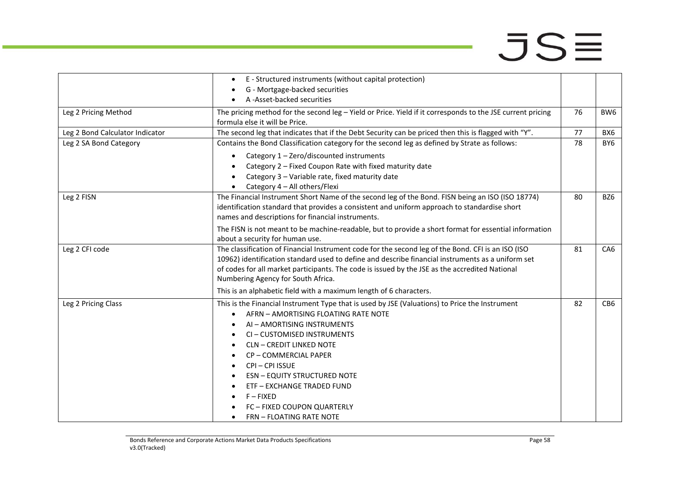|                                 | E - Structured instruments (without capital protection)                                                                                                                                                                                                                                                                                                                                                 |    |                 |
|---------------------------------|---------------------------------------------------------------------------------------------------------------------------------------------------------------------------------------------------------------------------------------------------------------------------------------------------------------------------------------------------------------------------------------------------------|----|-----------------|
|                                 | G - Mortgage-backed securities                                                                                                                                                                                                                                                                                                                                                                          |    |                 |
|                                 | A -Asset-backed securities                                                                                                                                                                                                                                                                                                                                                                              |    |                 |
| Leg 2 Pricing Method            | The pricing method for the second leg - Yield or Price. Yield if it corresponds to the JSE current pricing<br>formula else it will be Price.                                                                                                                                                                                                                                                            | 76 | BW6             |
| Leg 2 Bond Calculator Indicator | The second leg that indicates that if the Debt Security can be priced then this is flagged with "Y".                                                                                                                                                                                                                                                                                                    | 77 | BX6             |
| Leg 2 SA Bond Category          | Contains the Bond Classification category for the second leg as defined by Strate as follows:                                                                                                                                                                                                                                                                                                           | 78 | BY6             |
|                                 | Category 1 - Zero/discounted instruments<br>$\bullet$<br>Category 2 - Fixed Coupon Rate with fixed maturity date<br>Category 3 - Variable rate, fixed maturity date<br>Category 4 - All others/Flexi                                                                                                                                                                                                    |    |                 |
| Leg 2 FISN                      | The Financial Instrument Short Name of the second leg of the Bond. FISN being an ISO (ISO 18774)<br>identification standard that provides a consistent and uniform approach to standardise short<br>names and descriptions for financial instruments.                                                                                                                                                   | 80 | BZ6             |
|                                 | The FISN is not meant to be machine-readable, but to provide a short format for essential information<br>about a security for human use.                                                                                                                                                                                                                                                                |    |                 |
| Leg 2 CFI code                  | The classification of Financial Instrument code for the second leg of the Bond. CFI is an ISO (ISO<br>10962) identification standard used to define and describe financial instruments as a uniform set<br>of codes for all market participants. The code is issued by the JSE as the accredited National<br>Numbering Agency for South Africa.                                                         | 81 | CA <sub>6</sub> |
|                                 | This is an alphabetic field with a maximum length of 6 characters.                                                                                                                                                                                                                                                                                                                                      |    |                 |
| Leg 2 Pricing Class             | This is the Financial Instrument Type that is used by JSE (Valuations) to Price the Instrument<br>AFRN - AMORTISING FLOATING RATE NOTE<br>AI - AMORTISING INSTRUMENTS<br>CI-CUSTOMISED INSTRUMENTS<br><b>CLN - CREDIT LINKED NOTE</b><br>CP-COMMERCIAL PAPER<br>CPI-CPI ISSUE<br><b>ESN - EQUITY STRUCTURED NOTE</b><br><b>ETF - EXCHANGE TRADED FUND</b><br>$F - FIXED$<br>FC - FIXED COUPON QUARTERLY | 82 | CB6             |
|                                 | <b>FRN - FLOATING RATE NOTE</b>                                                                                                                                                                                                                                                                                                                                                                         |    |                 |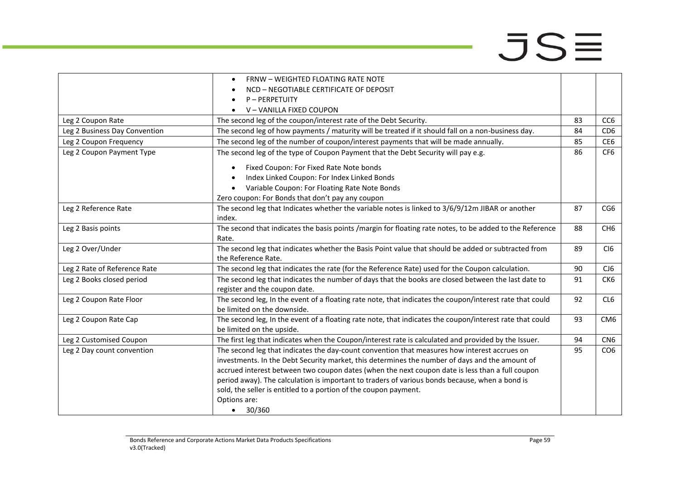|                               | <b>FRNW - WEIGHTED FLOATING RATE NOTE</b>                                                                 |    |                 |
|-------------------------------|-----------------------------------------------------------------------------------------------------------|----|-----------------|
|                               | NCD - NEGOTIABLE CERTIFICATE OF DEPOSIT                                                                   |    |                 |
|                               | P-PERPETUITY                                                                                              |    |                 |
|                               | V-VANILLA FIXED COUPON                                                                                    |    |                 |
| Leg 2 Coupon Rate             | The second leg of the coupon/interest rate of the Debt Security.                                          | 83 | CC <sub>6</sub> |
| Leg 2 Business Day Convention | The second leg of how payments / maturity will be treated if it should fall on a non-business day.        | 84 | CD <sub>6</sub> |
| Leg 2 Coupon Frequency        | The second leg of the number of coupon/interest payments that will be made annually.                      | 85 | CE <sub>6</sub> |
| Leg 2 Coupon Payment Type     | The second leg of the type of Coupon Payment that the Debt Security will pay e.g.                         | 86 | CF <sub>6</sub> |
|                               | Fixed Coupon: For Fixed Rate Note bonds<br>$\bullet$                                                      |    |                 |
|                               | Index Linked Coupon: For Index Linked Bonds                                                               |    |                 |
|                               | Variable Coupon: For Floating Rate Note Bonds                                                             |    |                 |
|                               | Zero coupon: For Bonds that don't pay any coupon                                                          |    |                 |
| Leg 2 Reference Rate          | The second leg that Indicates whether the variable notes is linked to 3/6/9/12m JIBAR or another          | 87 | CG6             |
|                               | index.                                                                                                    |    |                 |
| Leg 2 Basis points            | The second that indicates the basis points / margin for floating rate notes, to be added to the Reference | 88 | CH <sub>6</sub> |
|                               | Rate.                                                                                                     |    |                 |
| Leg 2 Over/Under              | The second leg that indicates whether the Basis Point value that should be added or subtracted from       | 89 | CI <sub>6</sub> |
|                               | the Reference Rate.                                                                                       |    |                 |
| Leg 2 Rate of Reference Rate  | The second leg that indicates the rate (for the Reference Rate) used for the Coupon calculation.          | 90 | CJ <sub>6</sub> |
| Leg 2 Books closed period     | The second leg that indicates the number of days that the books are closed between the last date to       | 91 | CK6             |
|                               | register and the coupon date.                                                                             |    |                 |
| Leg 2 Coupon Rate Floor       | The second leg, In the event of a floating rate note, that indicates the coupon/interest rate that could  | 92 | CL <sub>6</sub> |
|                               | be limited on the downside.                                                                               |    |                 |
| Leg 2 Coupon Rate Cap         | The second leg, In the event of a floating rate note, that indicates the coupon/interest rate that could  | 93 | CM <sub>6</sub> |
|                               | be limited on the upside.                                                                                 |    |                 |
| Leg 2 Customised Coupon       | The first leg that indicates when the Coupon/interest rate is calculated and provided by the Issuer.      | 94 | CN <sub>6</sub> |
| Leg 2 Day count convention    | The second leg that indicates the day-count convention that measures how interest accrues on              | 95 | CO <sub>6</sub> |
|                               | investments. In the Debt Security market, this determines the number of days and the amount of            |    |                 |
|                               | accrued interest between two coupon dates (when the next coupon date is less than a full coupon           |    |                 |
|                               | period away). The calculation is important to traders of various bonds because, when a bond is            |    |                 |
|                               | sold, the seller is entitled to a portion of the coupon payment.                                          |    |                 |
|                               | Options are:                                                                                              |    |                 |
|                               | • 30/360                                                                                                  |    |                 |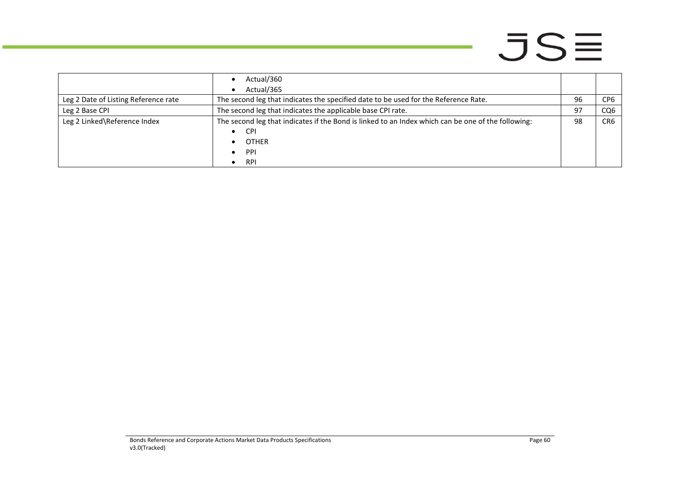цý.

|                                      | Actual/360<br>Actual/365                                                                           |    |     |
|--------------------------------------|----------------------------------------------------------------------------------------------------|----|-----|
| Leg 2 Date of Listing Reference rate | The second leg that indicates the specified date to be used for the Reference Rate.                | 96 | CP6 |
| Leg 2 Base CPI                       | The second leg that indicates the applicable base CPI rate.                                        |    | CQ6 |
| Leg 2 Linked\Reference Index         | The second leg that indicates if the Bond is linked to an Index which can be one of the following: | 98 | CR6 |
|                                      | <b>CPI</b>                                                                                         |    |     |
|                                      | <b>OTHER</b>                                                                                       |    |     |
|                                      | PPI                                                                                                |    |     |
|                                      | <b>RPI</b>                                                                                         |    |     |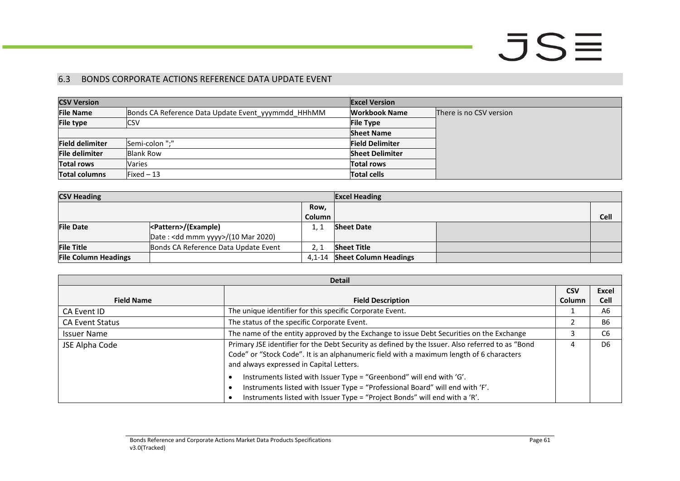### 6.3 BONDS CORPORATE ACTIONS REFERENCE DATA UPDATE EVENT

| <b>CSV Version</b>     |                                                    | <b>Excel Version</b>   |                         |
|------------------------|----------------------------------------------------|------------------------|-------------------------|
| <b>File Name</b>       | Bonds CA Reference Data Update Event yyymmdd HHhMM | Workbook Name          | There is no CSV version |
| <b>File type</b>       | ICSV                                               | <b>File Type</b>       |                         |
|                        |                                                    | <b>Sheet Name</b>      |                         |
| <b>Field delimiter</b> | Semi-colon ";"                                     | <b>Field Delimiter</b> |                         |
| <b>File delimiter</b>  | <b>Blank Row</b>                                   | <b>Sheet Delimiter</b> |                         |
| <b>Total rows</b>      | <b>Varies</b>                                      | <b>Total rows</b>      |                         |
| <b>Total columns</b>   | $Fixed-13$                                         | <b>Total cells</b>     |                         |

| <b>CSV Heading</b>          |                                              | <b>Excel Heading</b> |                              |  |      |
|-----------------------------|----------------------------------------------|----------------------|------------------------------|--|------|
|                             |                                              | Row,                 |                              |  |      |
|                             |                                              | <b>Column</b>        |                              |  | Cell |
| <b>File Date</b>            |                                              | 1.7                  | <b>Sheet Date</b>            |  |      |
|                             | Date: <dd mmm="" yyyy="">/(10 Mar 2020)</dd> |                      |                              |  |      |
| <b>File Title</b>           | Bonds CA Reference Data Update Event         | 2. :                 | <b>Sheet Title</b>           |  |      |
| <b>File Column Headings</b> |                                              | 4.1-14               | <b>Sheet Column Headings</b> |  |      |

<span id="page-60-0"></span>

| <b>Detail</b>          |                                                                                                                                                                                                                                          |        |                |
|------------------------|------------------------------------------------------------------------------------------------------------------------------------------------------------------------------------------------------------------------------------------|--------|----------------|
|                        |                                                                                                                                                                                                                                          |        | <b>Excel</b>   |
| <b>Field Name</b>      | <b>Field Description</b>                                                                                                                                                                                                                 | Column | <b>Cell</b>    |
| CA Event ID            | The unique identifier for this specific Corporate Event.                                                                                                                                                                                 |        | A6             |
| <b>CA Event Status</b> | The status of the specific Corporate Event.                                                                                                                                                                                              |        | <b>B6</b>      |
| <b>Issuer Name</b>     | The name of the entity approved by the Exchange to issue Debt Securities on the Exchange                                                                                                                                                 |        | C <sub>6</sub> |
| JSE Alpha Code         | Primary JSE identifier for the Debt Security as defined by the Issuer. Also referred to as "Bond<br>Code" or "Stock Code". It is an alphanumeric field with a maximum length of 6 characters<br>and always expressed in Capital Letters. | 4      | D <sub>6</sub> |
|                        | Instruments listed with Issuer Type = "Greenbond" will end with 'G'.<br>Instruments listed with Issuer Type = "Professional Board" will end with 'F'.<br>Instruments listed with Issuer Type = "Project Bonds" will end with a 'R'.      |        |                |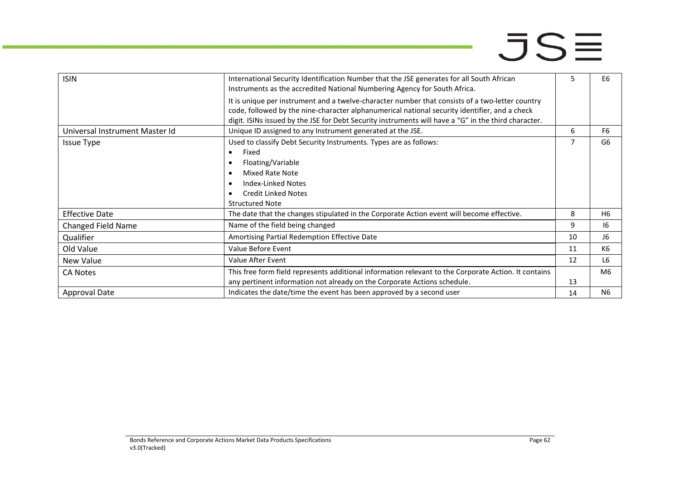| <b>ISIN</b>                    | International Security Identification Number that the JSE generates for all South African<br>Instruments as the accredited National Numbering Agency for South Africa.                                                                                                                                   |    | E6             |
|--------------------------------|----------------------------------------------------------------------------------------------------------------------------------------------------------------------------------------------------------------------------------------------------------------------------------------------------------|----|----------------|
|                                | It is unique per instrument and a twelve-character number that consists of a two-letter country<br>code, followed by the nine-character alphanumerical national security identifier, and a check<br>digit. ISINs issued by the JSE for Debt Security instruments will have a "G" in the third character. |    |                |
| Universal Instrument Master Id | Unique ID assigned to any Instrument generated at the JSE.                                                                                                                                                                                                                                               | 6  | F <sub>6</sub> |
| <b>Issue Type</b>              | Used to classify Debt Security Instruments. Types are as follows:                                                                                                                                                                                                                                        |    | G <sub>6</sub> |
|                                | Fixed<br>$\bullet$                                                                                                                                                                                                                                                                                       |    |                |
|                                | Floating/Variable                                                                                                                                                                                                                                                                                        |    |                |
|                                | Mixed Rate Note                                                                                                                                                                                                                                                                                          |    |                |
|                                | Index-Linked Notes                                                                                                                                                                                                                                                                                       |    |                |
|                                | <b>Credit Linked Notes</b>                                                                                                                                                                                                                                                                               |    |                |
|                                | <b>Structured Note</b>                                                                                                                                                                                                                                                                                   |    |                |
| <b>Effective Date</b>          | The date that the changes stipulated in the Corporate Action event will become effective.                                                                                                                                                                                                                | 8  | H <sub>6</sub> |
| <b>Changed Field Name</b>      | Name of the field being changed                                                                                                                                                                                                                                                                          | 9  | 16             |
| Qualifier                      | Amortising Partial Redemption Effective Date                                                                                                                                                                                                                                                             | 10 | 16             |
| Old Value                      | Value Before Event                                                                                                                                                                                                                                                                                       | 11 | K6             |
| New Value                      | Value After Event                                                                                                                                                                                                                                                                                        | 12 | L <sub>6</sub> |
| <b>CA Notes</b>                | This free form field represents additional information relevant to the Corporate Action. It contains                                                                                                                                                                                                     |    | M6             |
|                                | any pertinent information not already on the Corporate Actions schedule.                                                                                                                                                                                                                                 | 13 |                |
| <b>Approval Date</b>           | Indicates the date/time the event has been approved by a second user                                                                                                                                                                                                                                     | 14 | N <sub>6</sub> |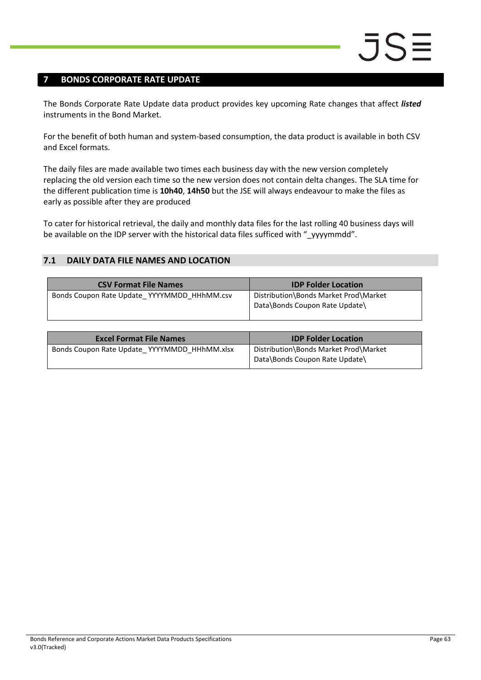### <span id="page-62-0"></span>**7 BONDS CORPORATE RATE UPDATE**

The Bonds Corporate Rate Update data product provides key upcoming Rate changes that affect *listed* instruments in the Bond Market.

For the benefit of both human and system-based consumption, the data product is available in both CSV and Excel formats.

The daily files are made available two times each business day with the new version completely replacing the old version each time so the new version does not contain delta changes. The SLA time for the different publication time is **10h40**, **14h50** but the JSE will always endeavour to make the files as early as possible after they are produced

To cater for historical retrieval, the daily and monthly data files for the last rolling 40 business days will be available on the IDP server with the historical data files sufficed with "\_yyyymmdd".

### <span id="page-62-1"></span>**7.1 DAILY DATA FILE NAMES AND LOCATION**

| <b>CSV Format File Names</b>                | <b>IDP Folder Location</b>                                              |
|---------------------------------------------|-------------------------------------------------------------------------|
| Bonds Coupon Rate Update YYYYMMDD HHhMM.csv | Distribution\Bonds Market Prod\Market<br>Data\Bonds Coupon Rate Update\ |

| <b>Excel Format File Names</b>               | <b>IDP Folder Location</b>                                              |
|----------------------------------------------|-------------------------------------------------------------------------|
| Bonds Coupon Rate Update YYYYMMDD HHhMM.xlsx | Distribution\Bonds Market Prod\Market<br>Data\Bonds Coupon Rate Update\ |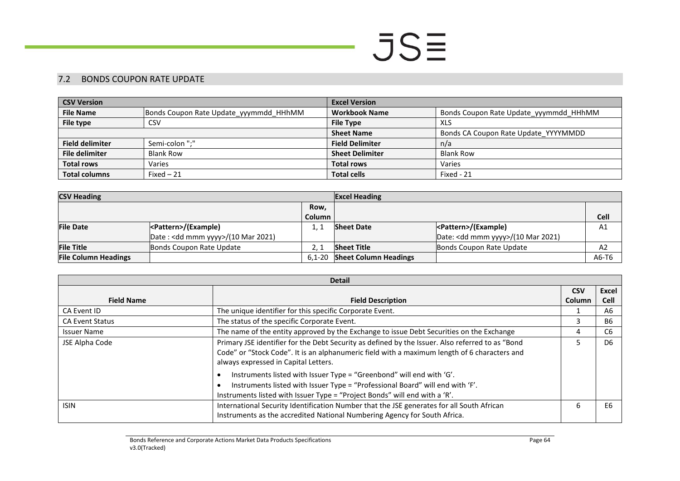### 7.2 BONDS COUPON RATE UPDATE

| <b>CSV Version</b>     |                                        | <b>Excel Version</b>   |                                        |  |
|------------------------|----------------------------------------|------------------------|----------------------------------------|--|
| <b>File Name</b>       | Bonds Coupon Rate Update_yyymmdd_HHhMM | <b>Workbook Name</b>   | Bonds Coupon Rate Update yyymmdd HHhMM |  |
| File type              | CSV                                    | <b>File Type</b>       | XLS                                    |  |
|                        |                                        | <b>Sheet Name</b>      | Bonds CA Coupon Rate Update YYYYMMDD   |  |
| <b>Field delimiter</b> | Semi-colon ";"                         | <b>Field Delimiter</b> | n/a                                    |  |
| <b>File delimiter</b>  | <b>Blank Row</b>                       | <b>Sheet Delimiter</b> | <b>Blank Row</b>                       |  |
| <b>Total rows</b>      | Varies                                 | <b>Total rows</b>      | Varies                                 |  |
| <b>Total columns</b>   | $Fixed-21$                             | <b>Total cells</b>     | Fixed - 21                             |  |

| <b>CSV Heading</b>          |                                    | <b>Excel Heading</b> |                              |                                    |             |
|-----------------------------|------------------------------------|----------------------|------------------------------|------------------------------------|-------------|
|                             |                                    | Row.                 |                              |                                    |             |
|                             |                                    | Column               |                              |                                    | <b>Cell</b> |
| <b>File Date</b>            | <pattern>/(Example)</pattern>      |                      | <b>Sheet Date</b>            |                                    | A1          |
|                             | Date: < dd mmm yyyy>/(10 Mar 2021) |                      |                              | Date: < dd mmm yyyy>/(10 Mar 2021) |             |
| <b>File Title</b>           | Bonds Coupon Rate Update           |                      | <b>Sheet Title</b>           | Bonds Coupon Rate Update           | A2          |
| <b>File Column Headings</b> |                                    | $6.1 - 20$           | <b>Sheet Column Headings</b> |                                    | A6-T6       |

<span id="page-63-0"></span>

| <b>Detail</b>          |                                                                                                                                                                                                                                                                                                                                                                                                                                                                                 |               |                |
|------------------------|---------------------------------------------------------------------------------------------------------------------------------------------------------------------------------------------------------------------------------------------------------------------------------------------------------------------------------------------------------------------------------------------------------------------------------------------------------------------------------|---------------|----------------|
|                        |                                                                                                                                                                                                                                                                                                                                                                                                                                                                                 | <b>CSV</b>    | Excel          |
| <b>Field Name</b>      | <b>Field Description</b>                                                                                                                                                                                                                                                                                                                                                                                                                                                        | <b>Column</b> | <b>Cell</b>    |
| CA Event ID            | The unique identifier for this specific Corporate Event.                                                                                                                                                                                                                                                                                                                                                                                                                        |               | A6             |
| <b>CA Event Status</b> | The status of the specific Corporate Event.                                                                                                                                                                                                                                                                                                                                                                                                                                     |               | <b>B6</b>      |
| <b>Issuer Name</b>     | The name of the entity approved by the Exchange to issue Debt Securities on the Exchange                                                                                                                                                                                                                                                                                                                                                                                        | 4             | C <sub>6</sub> |
| JSE Alpha Code         | Primary JSE identifier for the Debt Security as defined by the Issuer. Also referred to as "Bond<br>Code" or "Stock Code". It is an alphanumeric field with a maximum length of 6 characters and<br>always expressed in Capital Letters.<br>Instruments listed with Issuer Type = "Greenbond" will end with 'G'.<br>Instruments listed with Issuer Type = "Professional Board" will end with 'F'.<br>Instruments listed with Issuer Type = "Project Bonds" will end with a 'R'. |               | D <sub>6</sub> |
| <b>ISIN</b>            | International Security Identification Number that the JSE generates for all South African<br>Instruments as the accredited National Numbering Agency for South Africa.                                                                                                                                                                                                                                                                                                          |               | E <sub>6</sub> |